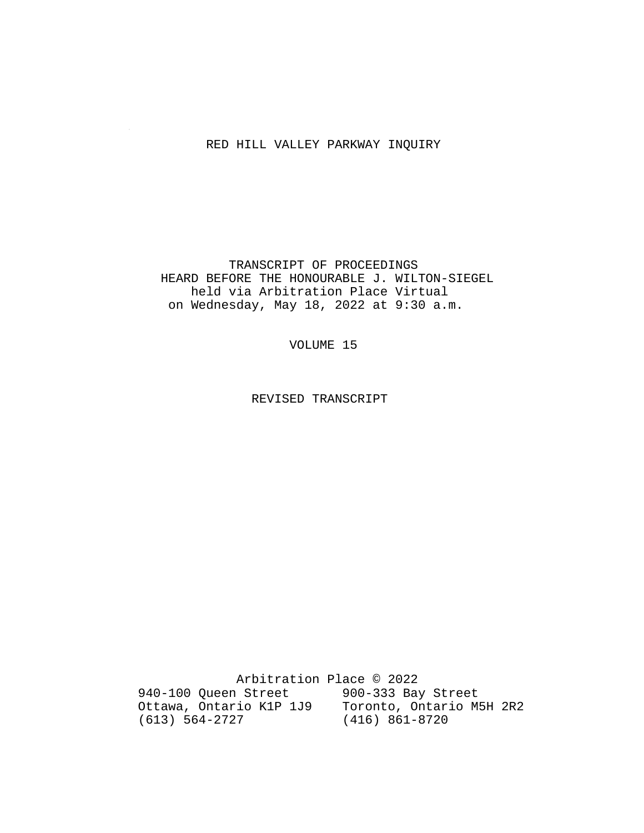### RED HILL VALLEY PARKWAY INQUIRY

 TRANSCRIPT OF PROCEEDINGS HEARD BEFORE THE HONOURABLE J. WILTON-SIEGEL held via Arbitration Place Virtual on Wednesday, May 18, 2022 at 9:30 a.m.

VOLUME 15

REVISED TRANSCRIPT

 Arbitration Place © 2022 940-100 Queen Street 900-333 Bay Street Ottawa, Ontario K1P 1J9 Toronto, Ontario M5H 2R2 (613) 564-2727 (416) 861-8720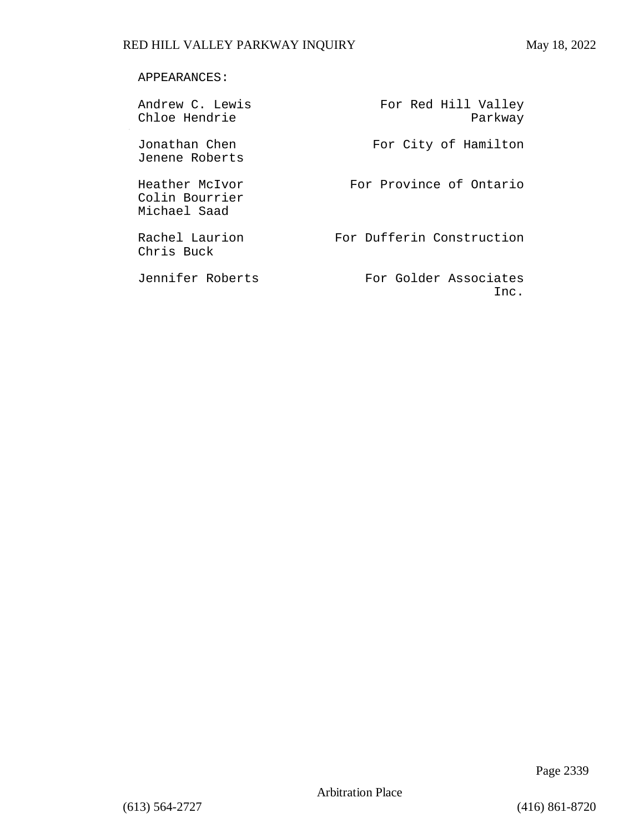### APPEARANCES:

Jenene Roberts

Colin Bourrier Michael Saad

Chris Buck

Andrew C. Lewis For Red Hill Valley Chloe Hendrie **Parkway** 

Jonathan Chen For City of Hamilton

Heather McIvor **For Province of Ontario** 

Rachel Laurion For Dufferin Construction

Jennifer Roberts For Golder Associates Inc.

Page 2339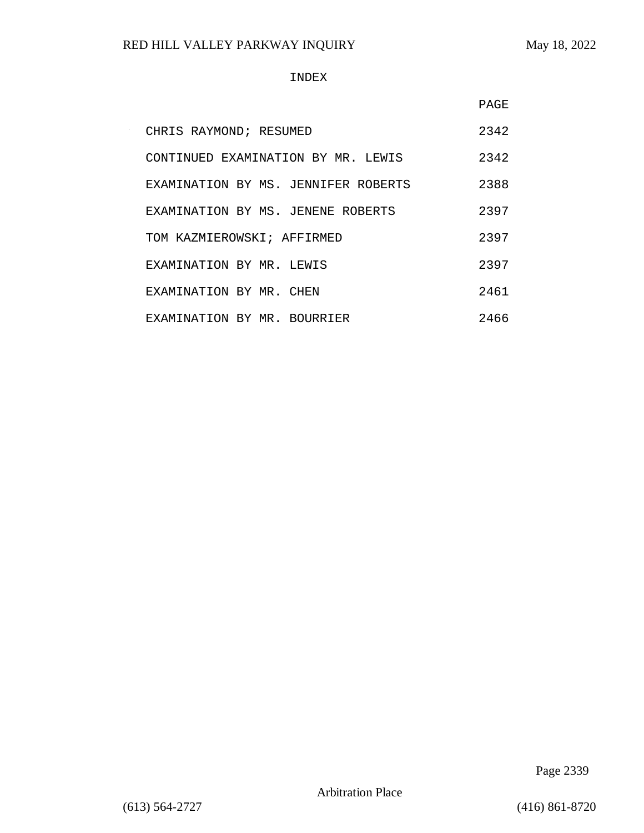#### INDEX

|                                     | <b>PAGE</b> |
|-------------------------------------|-------------|
| CHRIS RAYMOND; RESUMED              | 2342        |
| CONTINUED EXAMINATION BY MR. LEWIS  | 2342        |
| EXAMINATION BY MS. JENNIFER ROBERTS | 2388        |
| EXAMINATION BY MS. JENENE ROBERTS   | 2397        |
| TOM KAZMIEROWSKI; AFFIRMED          | 2397        |
| EXAMINATION BY MR. LEWIS            | 2397        |
| EXAMINATION BY MR. CHEN             | 2461        |
| EXAMINATION BY MR. BOURRIER         | 2466        |

Page 2339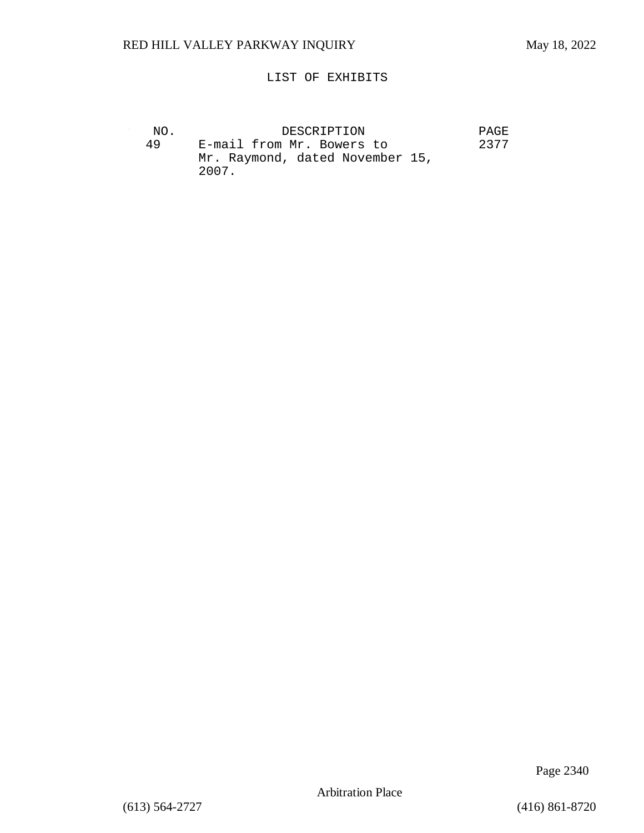### LIST OF EXHIBITS

| NO. | DESCRIPTION                              | <b>PAGE</b> |
|-----|------------------------------------------|-------------|
| 49  | E-mail from Mr. Bowers to                | 2377        |
|     | Mr. Raymond, dated November 15,<br>2007. |             |

Page 2340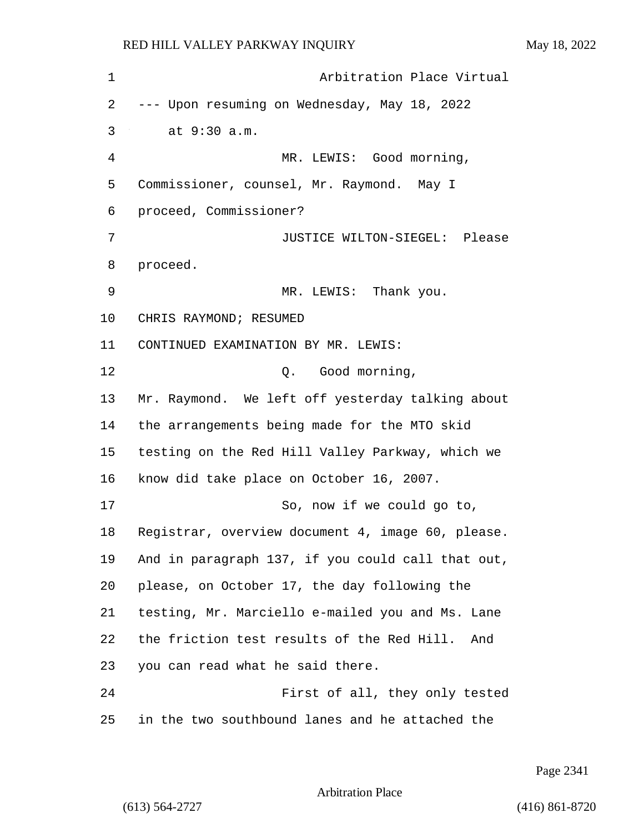1 Arbitration Place Virtual --- Upon resuming on Wednesday, May 18, 2022 3 at 9:30 a.m. 4 MR. LEWIS: Good morning, Commissioner, counsel, Mr. Raymond. May I proceed, Commissioner? 7 JUSTICE WILTON-SIEGEL: Please 8 proceed. 9 MR. LEWIS: Thank you. CHRIS RAYMOND; RESUMED CONTINUED EXAMINATION BY MR. LEWIS: 12 O. Good morning, Mr. Raymond. We left off yesterday talking about the arrangements being made for the MTO skid testing on the Red Hill Valley Parkway, which we know did take place on October 16, 2007. 17 So, now if we could go to, Registrar, overview document 4, image 60, please. And in paragraph 137, if you could call that out, please, on October 17, the day following the testing, Mr. Marciello e-mailed you and Ms. Lane the friction test results of the Red Hill. And you can read what he said there. 24 First of all, they only tested in the two southbound lanes and he attached the

Page 2341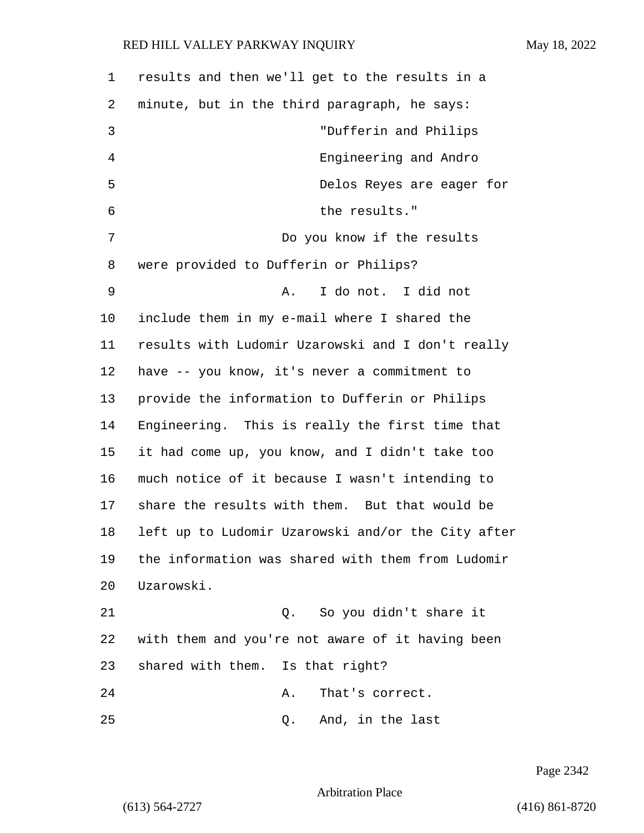| 1  | results and then we'll get to the results in a     |
|----|----------------------------------------------------|
| 2  | minute, but in the third paragraph, he says:       |
| 3  | "Dufferin and Philips                              |
| 4  | Engineering and Andro                              |
| 5  | Delos Reyes are eager for                          |
| 6  | the results."                                      |
| 7  | Do you know if the results                         |
| 8  | were provided to Dufferin or Philips?              |
| 9  | I do not. I did not<br>Α.                          |
| 10 | include them in my e-mail where I shared the       |
| 11 | results with Ludomir Uzarowski and I don't really  |
| 12 | have -- you know, it's never a commitment to       |
| 13 | provide the information to Dufferin or Philips     |
| 14 | Engineering. This is really the first time that    |
| 15 | it had come up, you know, and I didn't take too    |
| 16 | much notice of it because I wasn't intending to    |
| 17 | share the results with them. But that would be     |
| 18 | left up to Ludomir Uzarowski and/or the City after |
| 19 | the information was shared with them from Ludomir  |
| 20 | Uzarowski.                                         |
| 21 | So you didn't share it<br>Q.                       |
| 22 | with them and you're not aware of it having been   |
| 23 | shared with them. Is that right?                   |
| 24 | That's correct.<br>Α.                              |
| 25 | And, in the last<br>Q.                             |

Page 2342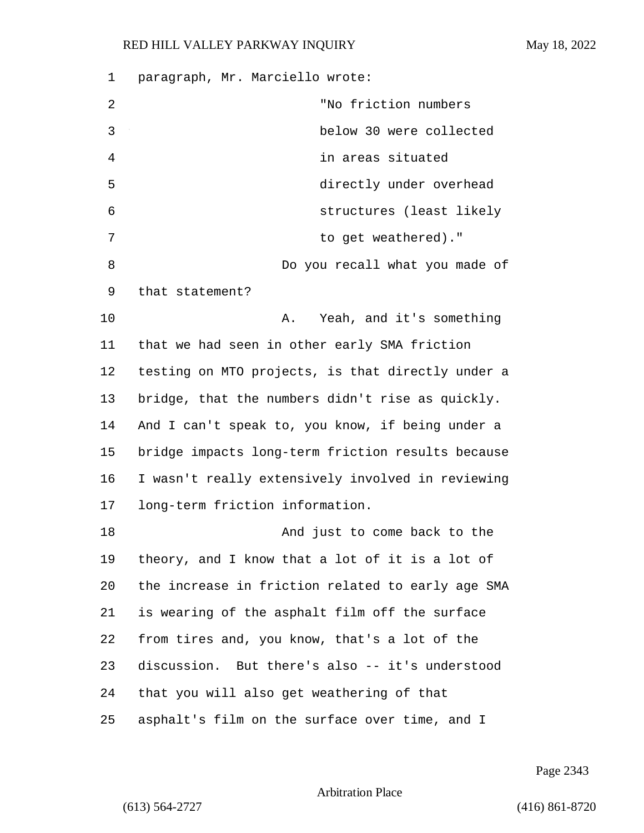| 1  | paragraph, Mr. Marciello wrote:                   |
|----|---------------------------------------------------|
| 2  | "No friction numbers                              |
| 3  | below 30 were collected                           |
| 4  | in areas situated                                 |
| 5  | directly under overhead                           |
| 6  | structures (least likely                          |
| 7  | to get weathered)."                               |
| 8  | Do you recall what you made of                    |
| 9  | that statement?                                   |
| 10 | Yeah, and it's something<br>Α.                    |
| 11 | that we had seen in other early SMA friction      |
| 12 | testing on MTO projects, is that directly under a |
| 13 | bridge, that the numbers didn't rise as quickly.  |
| 14 | And I can't speak to, you know, if being under a  |
| 15 | bridge impacts long-term friction results because |
| 16 | I wasn't really extensively involved in reviewing |
| 17 | long-term friction information.                   |
| 18 | And just to come back to the                      |
| 19 | theory, and I know that a lot of it is a lot of   |
| 20 | the increase in friction related to early age SMA |
| 21 | is wearing of the asphalt film off the surface    |
| 22 | from tires and, you know, that's a lot of the     |
| 23 | discussion. But there's also -- it's understood   |
| 24 | that you will also get weathering of that         |
| 25 | asphalt's film on the surface over time, and I    |

Page 2343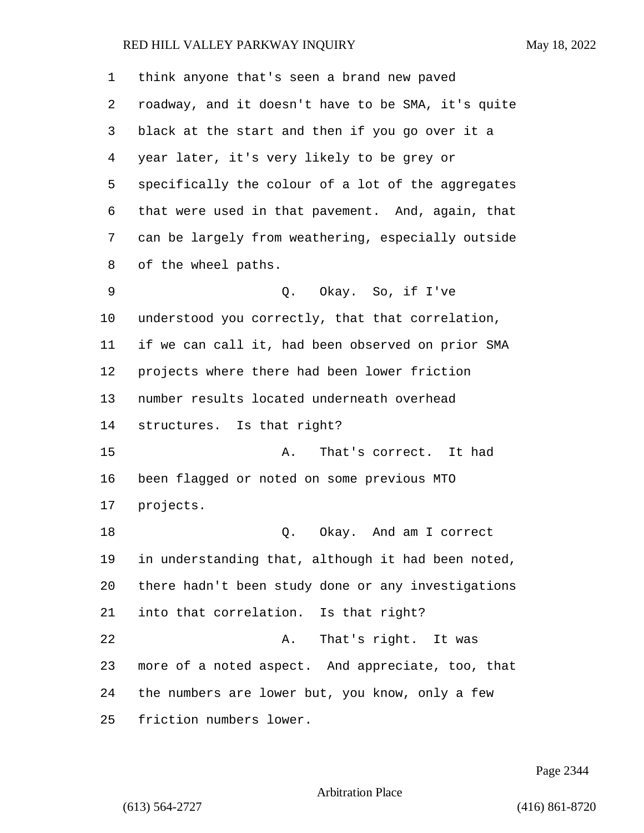| 1  | think anyone that's seen a brand new paved         |
|----|----------------------------------------------------|
| 2  | roadway, and it doesn't have to be SMA, it's quite |
| 3  | black at the start and then if you go over it a    |
| 4  | year later, it's very likely to be grey or         |
| 5  | specifically the colour of a lot of the aggregates |
| 6  | that were used in that pavement. And, again, that  |
| 7  | can be largely from weathering, especially outside |
| 8  | of the wheel paths.                                |
| 9  | Q. Okay. So, if I've                               |
| 10 | understood you correctly, that that correlation,   |
| 11 | if we can call it, had been observed on prior SMA  |
| 12 | projects where there had been lower friction       |
| 13 | number results located underneath overhead         |
| 14 | structures. Is that right?                         |
| 15 | That's correct. It had<br>Α.                       |
| 16 | been flagged or noted on some previous MTO         |
| 17 | projects.                                          |
| 18 | Q. Okay. And am I correct                          |
| 19 | in understanding that, although it had been noted, |
| 20 | there hadn't been study done or any investigations |
| 21 | into that correlation. Is that right?              |
| 22 | That's right. It was<br>Α.                         |
| 23 | more of a noted aspect. And appreciate, too, that  |
| 24 | the numbers are lower but, you know, only a few    |
| 25 | friction numbers lower.                            |

Page 2344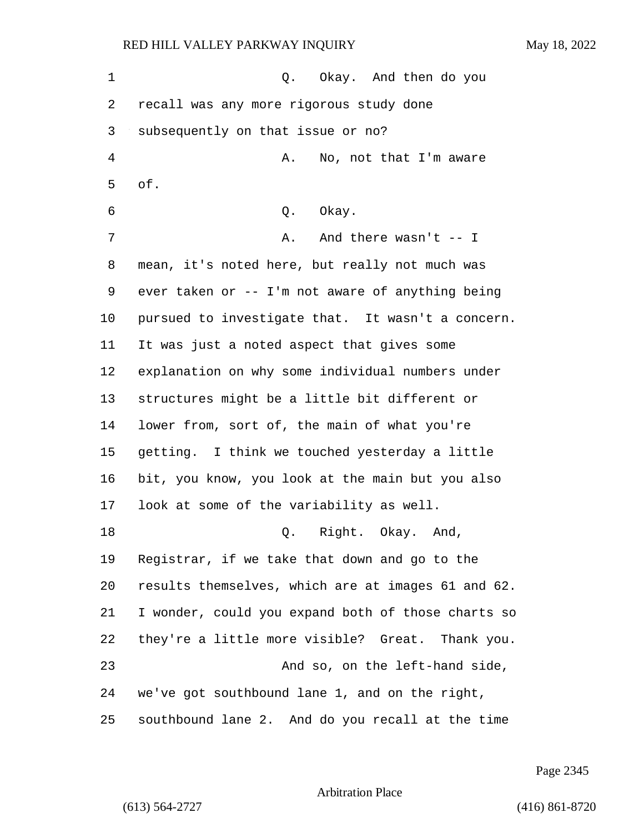1 C. Okay. And then do you recall was any more rigorous study done subsequently on that issue or no? 4 A. No, not that I'm aware of. 6 0. Okay. 7 A. And there wasn't -- I mean, it's noted here, but really not much was ever taken or -- I'm not aware of anything being pursued to investigate that. It wasn't a concern. It was just a noted aspect that gives some explanation on why some individual numbers under structures might be a little bit different or lower from, sort of, the main of what you're getting. I think we touched yesterday a little bit, you know, you look at the main but you also look at some of the variability as well. 18 Q. Right. Okay. And, Registrar, if we take that down and go to the results themselves, which are at images 61 and 62. I wonder, could you expand both of those charts so they're a little more visible? Great. Thank you. 23 And so, on the left-hand side, we've got southbound lane 1, and on the right, southbound lane 2. And do you recall at the time

Page 2345

Arbitration Place

(613) 564-2727 (416) 861-8720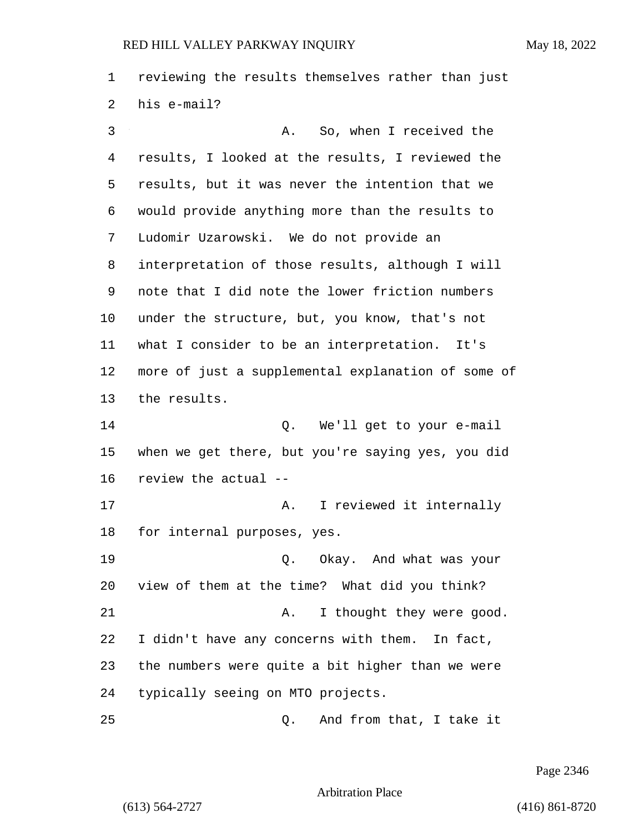reviewing the results themselves rather than just his e-mail? 3 A. So, when I received the

 results, I looked at the results, I reviewed the results, but it was never the intention that we would provide anything more than the results to Ludomir Uzarowski. We do not provide an interpretation of those results, although I will note that I did note the lower friction numbers under the structure, but, you know, that's not what I consider to be an interpretation. It's more of just a supplemental explanation of some of the results. 14 Q. We'll get to your e-mail when we get there, but you're saying yes, you did review the actual --

17 A. I reviewed it internally for internal purposes, yes.

19 Q. Okay. And what was your view of them at the time? What did you think? 21 A. I thought they were good. I didn't have any concerns with them. In fact, the numbers were quite a bit higher than we were typically seeing on MTO projects.

25 Q. And from that, I take it

Page 2346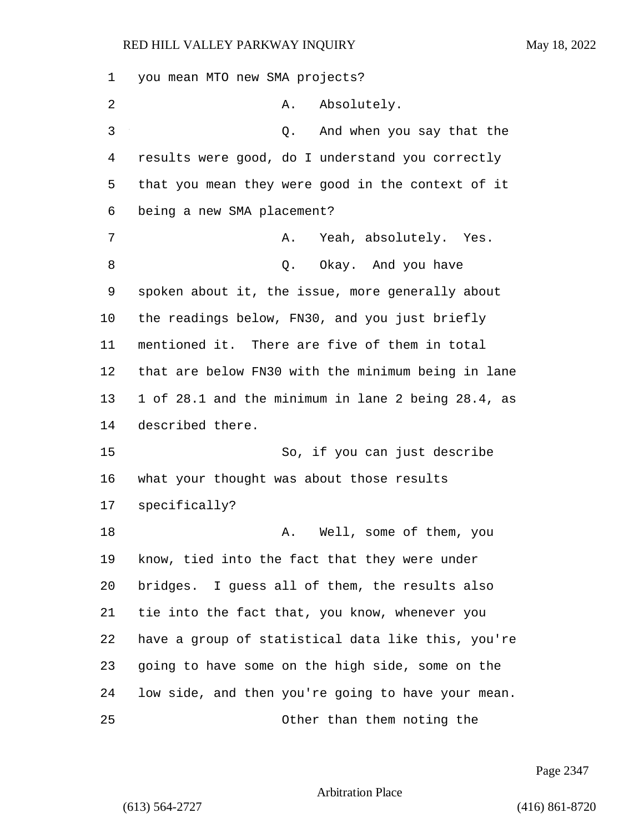you mean MTO new SMA projects? 2 A. Absolutely. 3 Q. And when you say that the results were good, do I understand you correctly that you mean they were good in the context of it being a new SMA placement? 7 A. Yeah, absolutely. Yes. 8 a. S. Q. Okay. And you have spoken about it, the issue, more generally about the readings below, FN30, and you just briefly mentioned it. There are five of them in total that are below FN30 with the minimum being in lane 1 of 28.1 and the minimum in lane 2 being 28.4, as described there. 15 So, if you can just describe what your thought was about those results specifically? 18 A. Well, some of them, you know, tied into the fact that they were under bridges. I guess all of them, the results also tie into the fact that, you know, whenever you have a group of statistical data like this, you're going to have some on the high side, some on the low side, and then you're going to have your mean. 25 Other than them noting the

Page 2347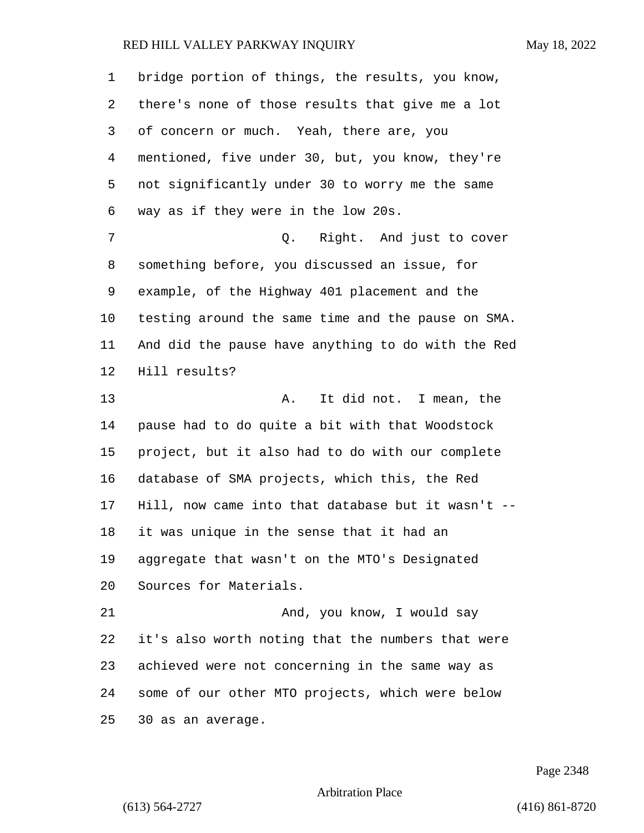| $\mathbf 1$ | bridge portion of things, the results, you know,   |
|-------------|----------------------------------------------------|
| 2           | there's none of those results that give me a lot   |
| 3           | of concern or much. Yeah, there are, you           |
| 4           | mentioned, five under 30, but, you know, they're   |
| 5           | not significantly under 30 to worry me the same    |
| 6           | way as if they were in the low 20s.                |
| 7           | Q. Right. And just to cover                        |
| 8           | something before, you discussed an issue, for      |
| 9           | example, of the Highway 401 placement and the      |
| $10 \,$     | testing around the same time and the pause on SMA. |
| 11          | And did the pause have anything to do with the Red |
| 12          | Hill results?                                      |
| 13          | It did not. I mean, the<br>Α.                      |
| 14          | pause had to do quite a bit with that Woodstock    |
| 15          | project, but it also had to do with our complete   |
| 16          | database of SMA projects, which this, the Red      |
| 17          | Hill, now came into that database but it wasn't -- |
| 18          | it was unique in the sense that it had an          |
| 19          | aggregate that wasn't on the MTO's Designated      |
| 20          | Sources for Materials.                             |
| 21          | And, you know, I would say                         |
| 22          | it's also worth noting that the numbers that were  |
| 23          | achieved were not concerning in the same way as    |
| 24          | some of our other MTO projects, which were below   |
| 25          | 30 as an average.                                  |

Page 2348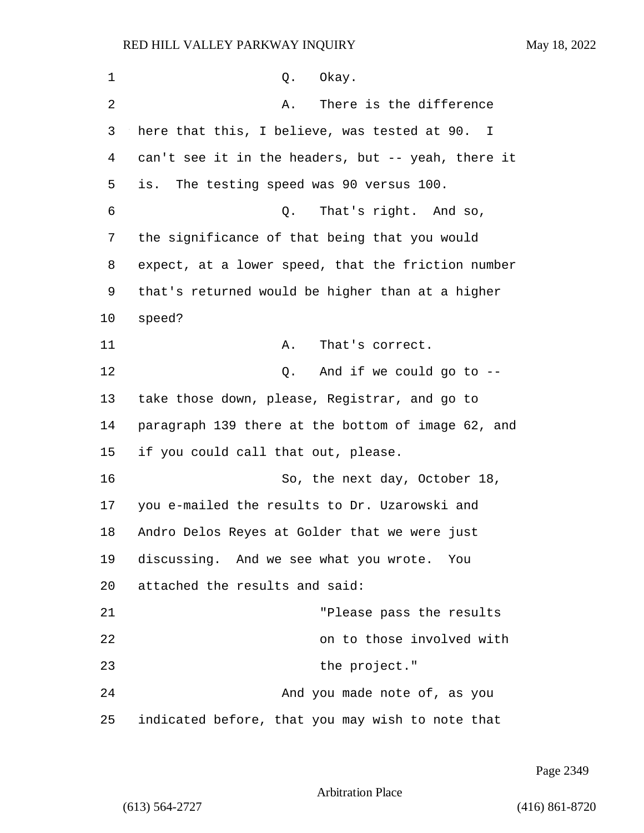| 1              | Okay.<br>Q.                                        |
|----------------|----------------------------------------------------|
| $\overline{2}$ | There is the difference<br>Α.                      |
| 3              | here that this, I believe, was tested at 90. I     |
| 4              | can't see it in the headers, but -- yeah, there it |
| 5              | The testing speed was 90 versus 100.<br>is.        |
| 6              | That's right. And so,<br>Q.                        |
| 7              | the significance of that being that you would      |
| 8              | expect, at a lower speed, that the friction number |
| 9              | that's returned would be higher than at a higher   |
| 10             | speed?                                             |
| 11             | That's correct.<br>Α.                              |
| 12             | And if we could go to $-$ -<br>Q.                  |
| 13             | take those down, please, Registrar, and go to      |
| 14             | paragraph 139 there at the bottom of image 62, and |
| 15             | if you could call that out, please.                |
| 16             | So, the next day, October 18,                      |
| 17             | you e-mailed the results to Dr. Uzarowski and      |
| 18             | Andro Delos Reyes at Golder that we were just      |
| 19             | discussing. And we see what you wrote. You         |
| 20             | attached the results and said:                     |
| 21             | "Please pass the results                           |
| 22             | on to those involved with                          |
| 23             | the project."                                      |
| 24             | And you made note of, as you                       |
| 25             | indicated before, that you may wish to note that   |

Page 2349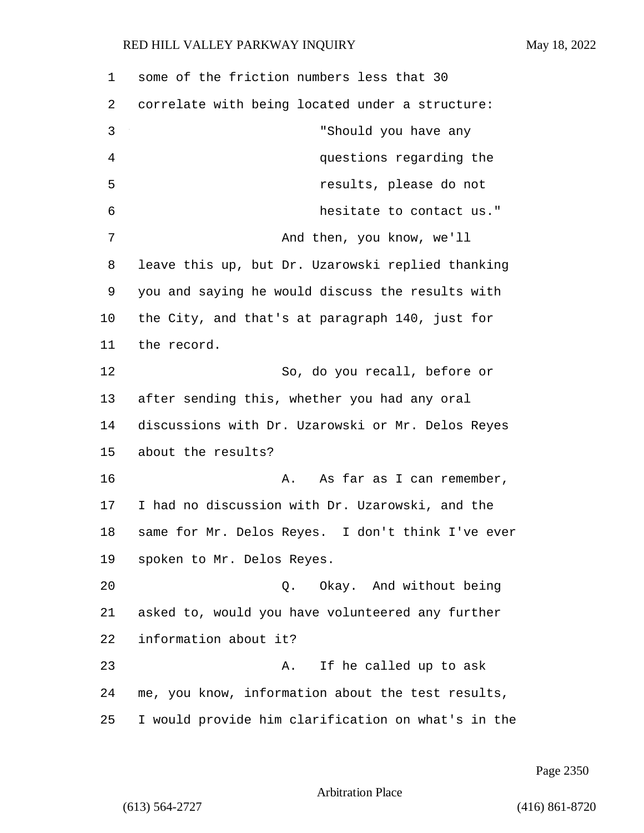some of the friction numbers less that 30 correlate with being located under a structure: 3 "Should you have any 4 questions regarding the 5 results, please do not 6 hesitate to contact us." 7 And then, you know, we'll leave this up, but Dr. Uzarowski replied thanking you and saying he would discuss the results with the City, and that's at paragraph 140, just for the record. 12 So, do you recall, before or after sending this, whether you had any oral discussions with Dr. Uzarowski or Mr. Delos Reyes about the results? 16 A. As far as I can remember, I had no discussion with Dr. Uzarowski, and the same for Mr. Delos Reyes. I don't think I've ever spoken to Mr. Delos Reyes. 20 Q. Okay. And without being asked to, would you have volunteered any further information about it? 23 A. If he called up to ask me, you know, information about the test results, I would provide him clarification on what's in the

Page 2350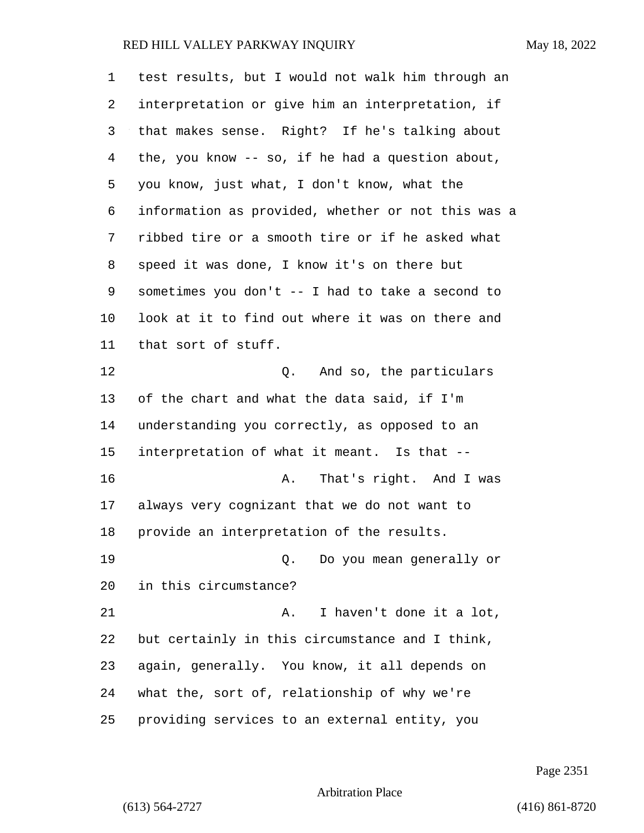| $\mathbf 1$ | test results, but I would not walk him through an  |
|-------------|----------------------------------------------------|
| 2           | interpretation or give him an interpretation, if   |
| 3           | that makes sense. Right? If he's talking about     |
| 4           | the, you know -- so, if he had a question about,   |
| 5           | you know, just what, I don't know, what the        |
| 6           | information as provided, whether or not this was a |
| 7           | ribbed tire or a smooth tire or if he asked what   |
| 8           | speed it was done, I know it's on there but        |
| 9           | sometimes you don't -- I had to take a second to   |
| 10          | look at it to find out where it was on there and   |
| 11          | that sort of stuff.                                |
| 12          | Q. And so, the particulars                         |
| 13          | of the chart and what the data said, if I'm        |
| 14          | understanding you correctly, as opposed to an      |
| 15          | interpretation of what it meant. Is that --        |
| 16          | That's right. And I was<br>Α.                      |
| 17          | always very cognizant that we do not want to       |
| 18          | provide an interpretation of the results.          |
| 19          | Do you mean generally or<br>Q.                     |
| 20          | in this circumstance?                              |
| 21          | I haven't done it a lot,<br>Α.                     |
| 22          | but certainly in this circumstance and I think,    |
| 23          | again, generally. You know, it all depends on      |
| 24          | what the, sort of, relationship of why we're       |
| 25          | providing services to an external entity, you      |

Page 2351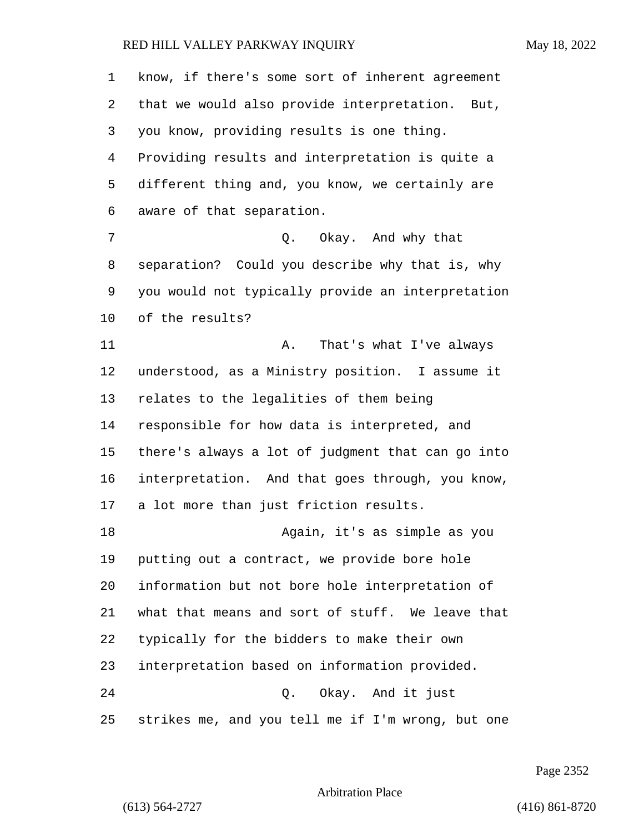know, if there's some sort of inherent agreement that we would also provide interpretation. But, you know, providing results is one thing. Providing results and interpretation is quite a different thing and, you know, we certainly are aware of that separation. 7 Q. Okay. And why that separation? Could you describe why that is, why you would not typically provide an interpretation of the results? 11 A. That's what I've always understood, as a Ministry position. I assume it relates to the legalities of them being responsible for how data is interpreted, and there's always a lot of judgment that can go into interpretation. And that goes through, you know, a lot more than just friction results. 18 Again, it's as simple as you putting out a contract, we provide bore hole information but not bore hole interpretation of what that means and sort of stuff. We leave that typically for the bidders to make their own interpretation based on information provided. 24 Q. Okay. And it just strikes me, and you tell me if I'm wrong, but one

Page 2352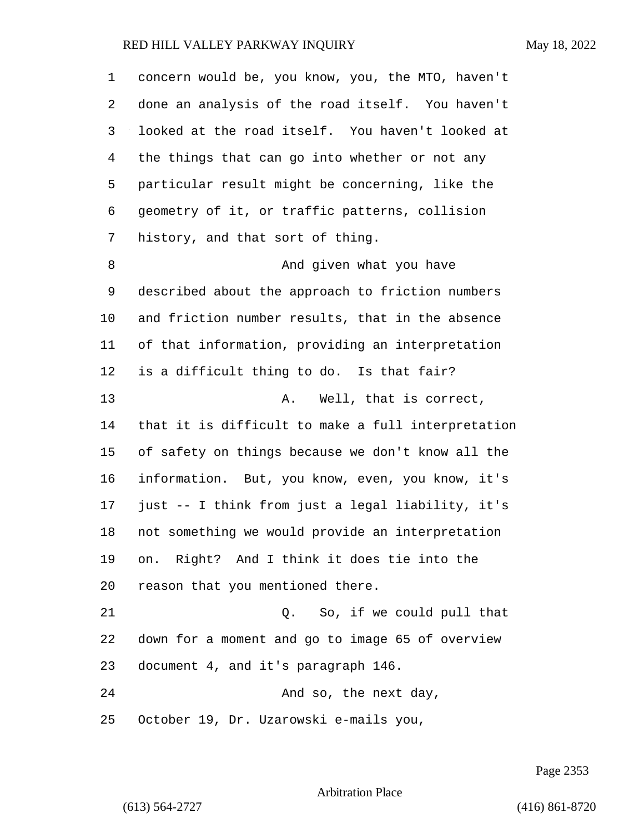| 1  | concern would be, you know, you, the MTO, haven't  |
|----|----------------------------------------------------|
| 2  | done an analysis of the road itself. You haven't   |
| 3  | looked at the road itself. You haven't looked at   |
| 4  | the things that can go into whether or not any     |
| 5  | particular result might be concerning, like the    |
| 6  | geometry of it, or traffic patterns, collision     |
| 7  | history, and that sort of thing.                   |
| 8  | And given what you have                            |
| 9  | described about the approach to friction numbers   |
| 10 | and friction number results, that in the absence   |
| 11 | of that information, providing an interpretation   |
| 12 | is a difficult thing to do. Is that fair?          |
| 13 | Well, that is correct,<br>Α.                       |
| 14 | that it is difficult to make a full interpretation |
| 15 | of safety on things because we don't know all the  |
| 16 | information. But, you know, even, you know, it's   |
| 17 | just -- I think from just a legal liability, it's  |
| 18 | not something we would provide an interpretation   |
| 19 | on. Right? And I think it does tie into the        |
| 20 | reason that you mentioned there.                   |
| 21 | So, if we could pull that<br>Q.                    |
| 22 | down for a moment and go to image 65 of overview   |
| 23 | document 4, and it's paragraph 146.                |
| 24 | And so, the next day,                              |
| 25 | October 19, Dr. Uzarowski e-mails you,             |

Page 2353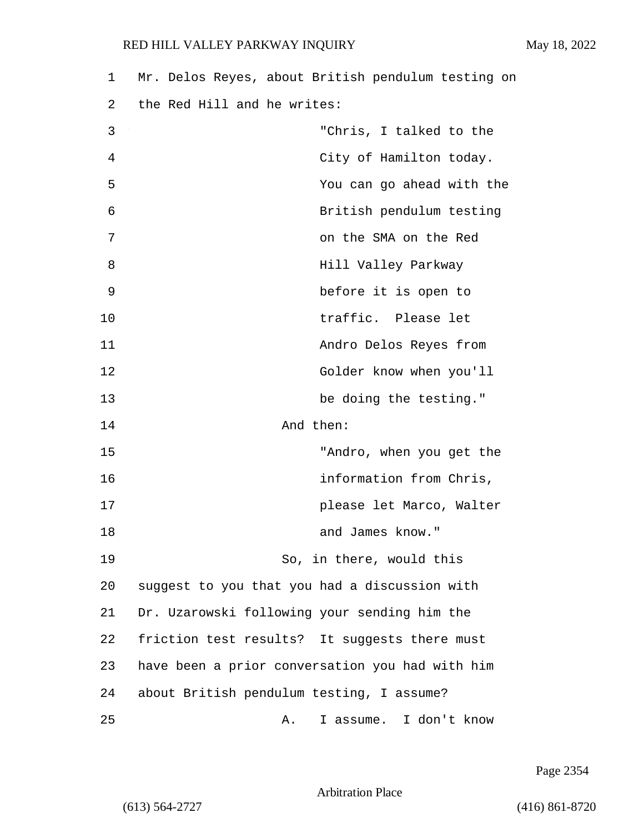1 Mr. Delos Reyes, about British pendulum testing on 2 the Red Hill and he writes: 3 "Chris, I talked to the 4 City of Hamilton today. 5 You can go ahead with the 6 British pendulum testing 7 on the SMA on the Red 8 **B** Hill Valley Parkway 9 before it is open to 10 traffic. Please let 11 Andro Delos Reyes from 12 Golder know when you'll 13 be doing the testing." 14 And then: 15 "Andro, when you get the 16 information from Chris, 17 please let Marco, Walter 18 and James know." 19 So, in there, would this 20 suggest to you that you had a discussion with 21 Dr. Uzarowski following your sending him the

Page 2354

Arbitration Place

22 friction test results? It suggests there must

23 have been a prior conversation you had with him

25 A. I assume. I don't know

24 about British pendulum testing, I assume?

(613) 564-2727 (416) 861-8720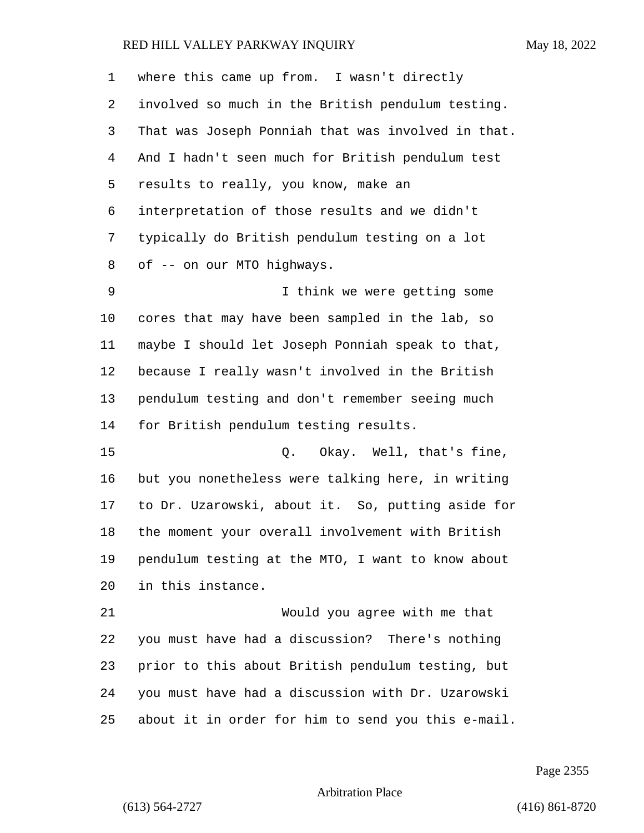| $\mathbf{1}$ | where this came up from. I wasn't directly         |
|--------------|----------------------------------------------------|
| 2            | involved so much in the British pendulum testing.  |
| 3            | That was Joseph Ponniah that was involved in that. |
| 4            | And I hadn't seen much for British pendulum test   |
| 5            | results to really, you know, make an               |
| 6            | interpretation of those results and we didn't      |
| 7            | typically do British pendulum testing on a lot     |
| 8            | of -- on our MTO highways.                         |
| 9            | I think we were getting some                       |
| 10           | cores that may have been sampled in the lab, so    |
| 11           | maybe I should let Joseph Ponniah speak to that,   |
| 12           | because I really wasn't involved in the British    |
| 13           | pendulum testing and don't remember seeing much    |
| 14           | for British pendulum testing results.              |
| 15           | Q. Okay. Well, that's fine,                        |
| 16           | but you nonetheless were talking here, in writing  |
| 17           | to Dr. Uzarowski, about it. So, putting aside for  |
| 18           | the moment your overall involvement with British   |
| 19           | pendulum testing at the MTO, I want to know about  |
| 20           | in this instance.                                  |
| 21           | Would you agree with me that                       |
| 22           | you must have had a discussion? There's nothing    |
| 23           | prior to this about British pendulum testing, but  |
| 24           | you must have had a discussion with Dr. Uzarowski  |
| 25           | about it in order for him to send you this e-mail. |

Page 2355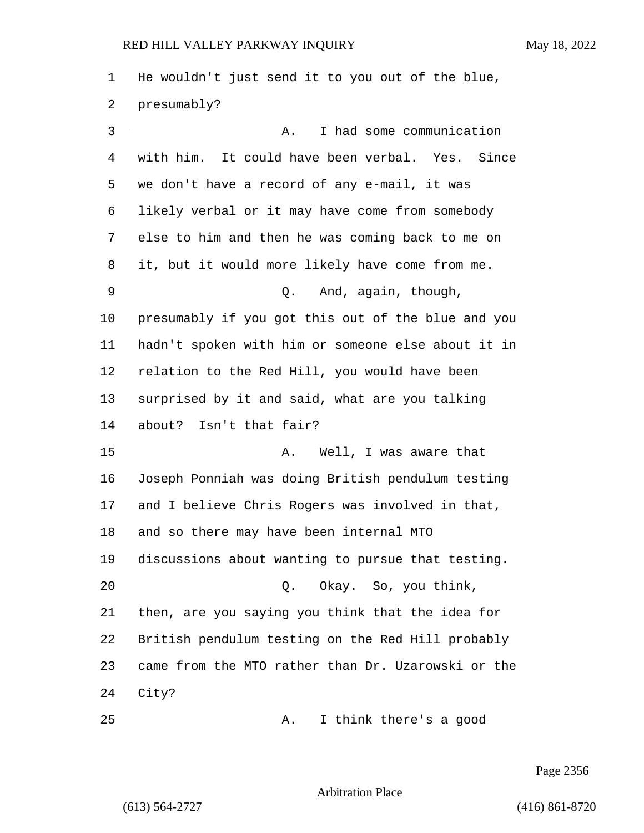He wouldn't just send it to you out of the blue, presumably? 3 A. I had some communication with him. It could have been verbal. Yes. Since we don't have a record of any e-mail, it was likely verbal or it may have come from somebody else to him and then he was coming back to me on it, but it would more likely have come from me. 9 Q. And, again, though, presumably if you got this out of the blue and you hadn't spoken with him or someone else about it in relation to the Red Hill, you would have been surprised by it and said, what are you talking about? Isn't that fair? 15 A. Well, I was aware that Joseph Ponniah was doing British pendulum testing and I believe Chris Rogers was involved in that, and so there may have been internal MTO discussions about wanting to pursue that testing. 20 Q. Okay. So, you think, then, are you saying you think that the idea for British pendulum testing on the Red Hill probably came from the MTO rather than Dr. Uzarowski or the City? 25 A. I think there's a good

Page 2356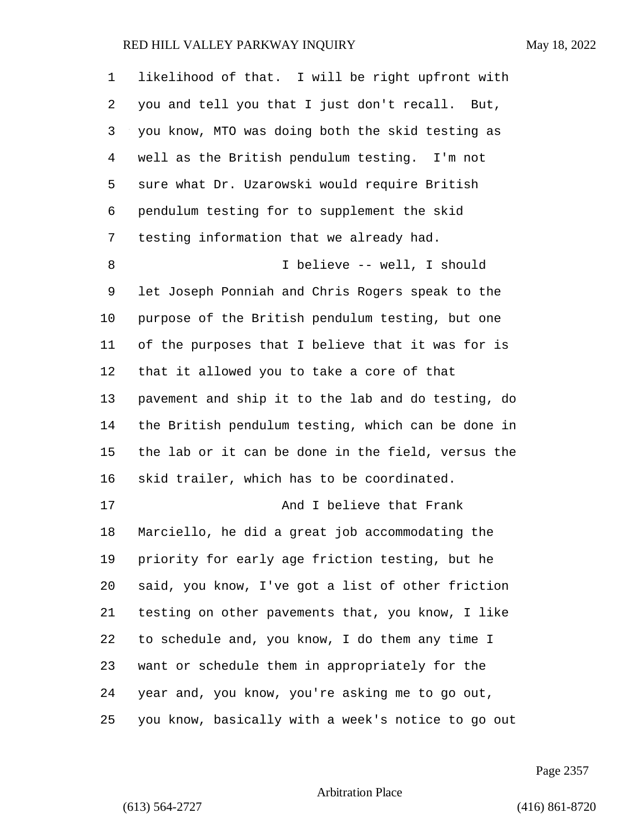| 1  | likelihood of that. I will be right upfront with   |
|----|----------------------------------------------------|
| 2  | you and tell you that I just don't recall. But,    |
| 3  | you know, MTO was doing both the skid testing as   |
| 4  | well as the British pendulum testing. I'm not      |
| 5  | sure what Dr. Uzarowski would require British      |
| 6  | pendulum testing for to supplement the skid        |
| 7  | testing information that we already had.           |
| 8  | I believe -- well, I should                        |
| 9  | let Joseph Ponniah and Chris Rogers speak to the   |
| 10 | purpose of the British pendulum testing, but one   |
| 11 | of the purposes that I believe that it was for is  |
| 12 | that it allowed you to take a core of that         |
| 13 | pavement and ship it to the lab and do testing, do |
| 14 | the British pendulum testing, which can be done in |
| 15 | the lab or it can be done in the field, versus the |
| 16 | skid trailer, which has to be coordinated.         |
| 17 | And I believe that Frank                           |
| 18 | Marciello, he did a great job accommodating the    |
| 19 | priority for early age friction testing, but he    |
| 20 | said, you know, I've got a list of other friction  |
| 21 | testing on other pavements that, you know, I like  |
| 22 | to schedule and, you know, I do them any time I    |
| 23 | want or schedule them in appropriately for the     |
| 24 | year and, you know, you're asking me to go out,    |
| 25 | you know, basically with a week's notice to go out |

Page 2357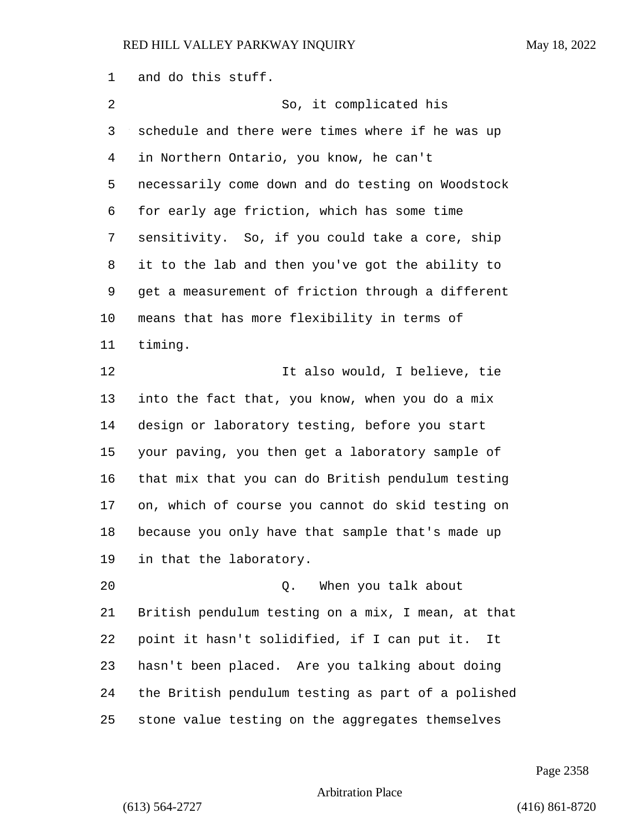and do this stuff. 2 So, it complicated his schedule and there were times where if he was up in Northern Ontario, you know, he can't necessarily come down and do testing on Woodstock for early age friction, which has some time sensitivity. So, if you could take a core, ship it to the lab and then you've got the ability to get a measurement of friction through a different means that has more flexibility in terms of timing. 12 12 It also would, I believe, tie into the fact that, you know, when you do a mix design or laboratory testing, before you start your paving, you then get a laboratory sample of that mix that you can do British pendulum testing on, which of course you cannot do skid testing on because you only have that sample that's made up in that the laboratory. 20 Q. When you talk about British pendulum testing on a mix, I mean, at that point it hasn't solidified, if I can put it. It hasn't been placed. Are you talking about doing the British pendulum testing as part of a polished stone value testing on the aggregates themselves

Page 2358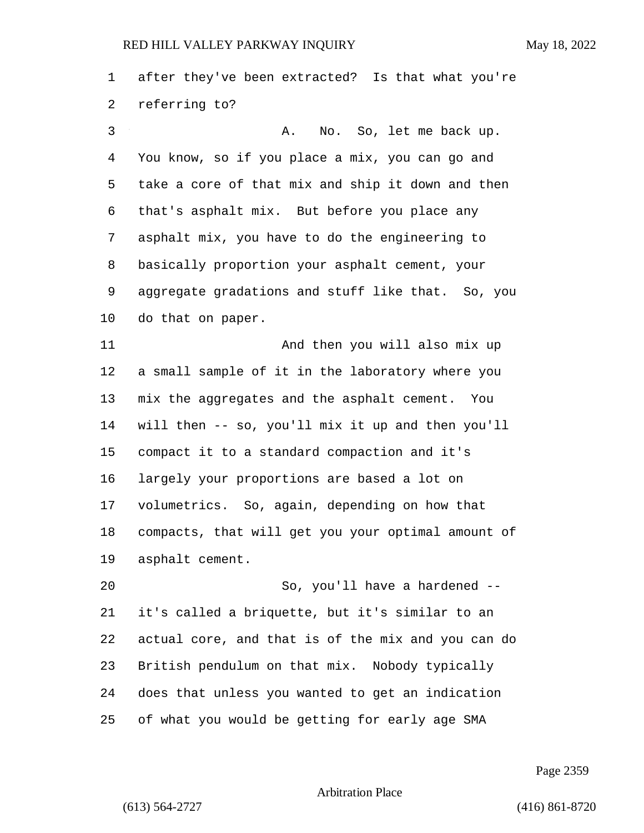after they've been extracted? Is that what you're referring to?

3 A. No. So, let me back up. You know, so if you place a mix, you can go and take a core of that mix and ship it down and then that's asphalt mix. But before you place any asphalt mix, you have to do the engineering to basically proportion your asphalt cement, your aggregate gradations and stuff like that. So, you do that on paper.

11 And then you will also mix up a small sample of it in the laboratory where you mix the aggregates and the asphalt cement. You will then -- so, you'll mix it up and then you'll compact it to a standard compaction and it's largely your proportions are based a lot on volumetrics. So, again, depending on how that compacts, that will get you your optimal amount of asphalt cement.

20 So, you'll have a hardened -- it's called a briquette, but it's similar to an actual core, and that is of the mix and you can do British pendulum on that mix. Nobody typically does that unless you wanted to get an indication of what you would be getting for early age SMA

Page 2359

Arbitration Place

(613) 564-2727 (416) 861-8720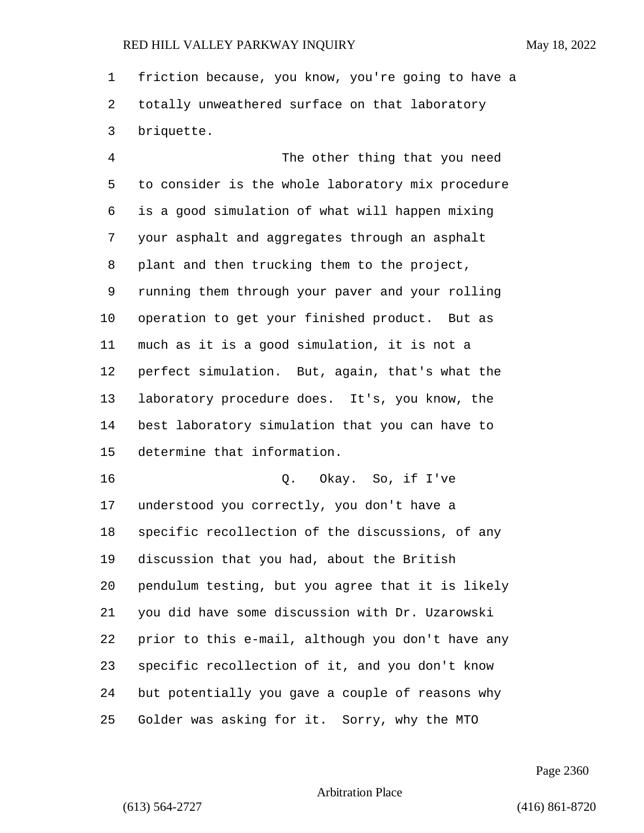friction because, you know, you're going to have a totally unweathered surface on that laboratory briquette.

4 The other thing that you need to consider is the whole laboratory mix procedure is a good simulation of what will happen mixing your asphalt and aggregates through an asphalt plant and then trucking them to the project, running them through your paver and your rolling operation to get your finished product. But as much as it is a good simulation, it is not a perfect simulation. But, again, that's what the laboratory procedure does. It's, you know, the best laboratory simulation that you can have to determine that information.

16 Q. Okay. So, if I've understood you correctly, you don't have a specific recollection of the discussions, of any discussion that you had, about the British pendulum testing, but you agree that it is likely you did have some discussion with Dr. Uzarowski prior to this e-mail, although you don't have any specific recollection of it, and you don't know but potentially you gave a couple of reasons why Golder was asking for it. Sorry, why the MTO

Page 2360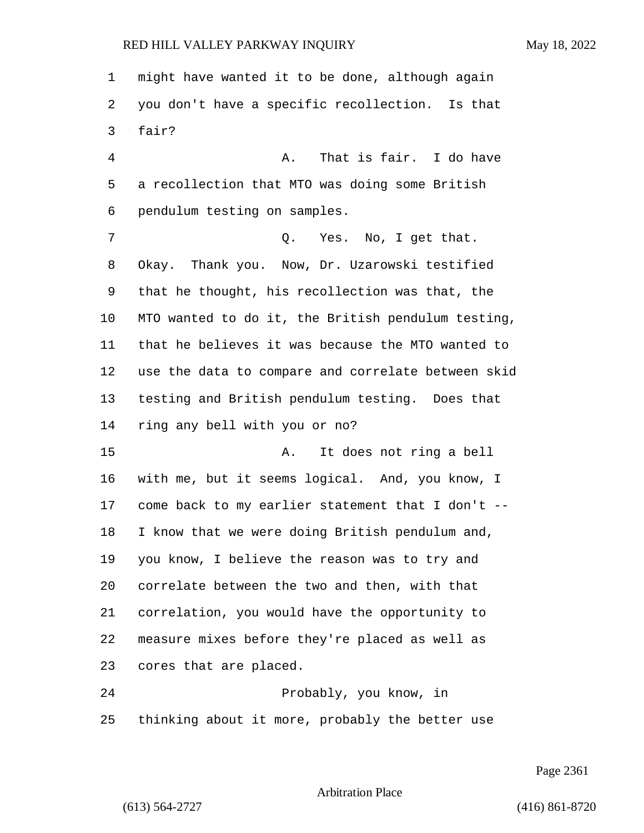might have wanted it to be done, although again you don't have a specific recollection. Is that fair? 4 A. That is fair. I do have a recollection that MTO was doing some British pendulum testing on samples. 7 C. Yes. No, I get that. Okay. Thank you. Now, Dr. Uzarowski testified that he thought, his recollection was that, the MTO wanted to do it, the British pendulum testing, that he believes it was because the MTO wanted to use the data to compare and correlate between skid testing and British pendulum testing. Does that ring any bell with you or no? 15 A. It does not ring a bell with me, but it seems logical. And, you know, I come back to my earlier statement that I don't -- I know that we were doing British pendulum and, you know, I believe the reason was to try and correlate between the two and then, with that correlation, you would have the opportunity to measure mixes before they're placed as well as cores that are placed. 24 Probably, you know, in thinking about it more, probably the better use

Page 2361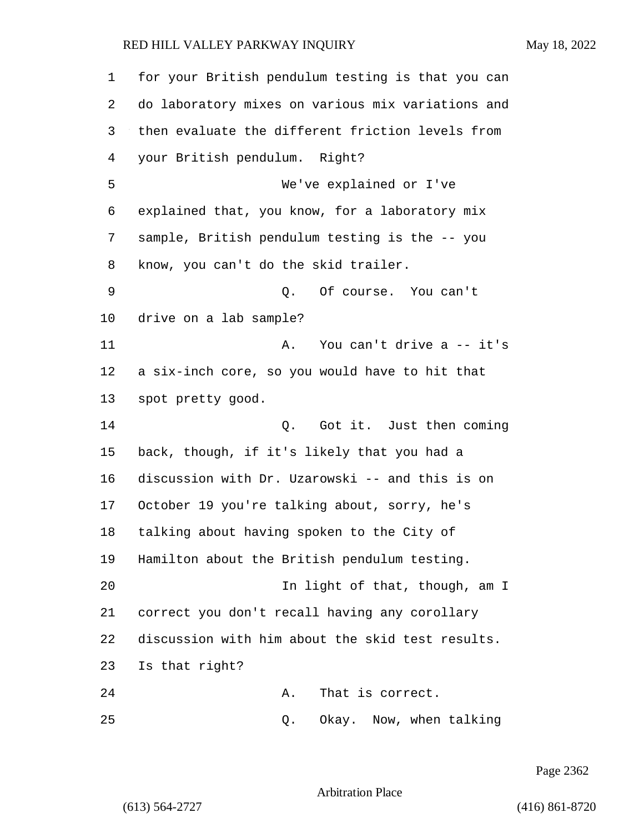| $\mathbf 1$ | for your British pendulum testing is that you can |
|-------------|---------------------------------------------------|
| 2           | do laboratory mixes on various mix variations and |
| 3           | then evaluate the different friction levels from  |
| 4           | your British pendulum. Right?                     |
| 5           | We've explained or I've                           |
| 6           | explained that, you know, for a laboratory mix    |
| 7           | sample, British pendulum testing is the -- you    |
| 8           | know, you can't do the skid trailer.              |
| 9           | Of course. You can't<br>Q.                        |
| 10          | drive on a lab sample?                            |
| 11          | You can't drive a -- it's<br>Α.                   |
| 12          | a six-inch core, so you would have to hit that    |
| 13          | spot pretty good.                                 |
| 14          | Got it. Just then coming<br>Q.                    |
| 15          | back, though, if it's likely that you had a       |
| 16          | discussion with Dr. Uzarowski -- and this is on   |
| 17          | October 19 you're talking about, sorry, he's      |
| 18          | talking about having spoken to the City of        |
| 19          | Hamilton about the British pendulum testing.      |
| 20          | In light of that, though, am I                    |
| 21          | correct you don't recall having any corollary     |
| 22          | discussion with him about the skid test results.  |
| 23          | Is that right?                                    |
| 24          | That is correct.<br>Α.                            |
| 25          | Okay. Now, when talking<br>Q.                     |

Page 2362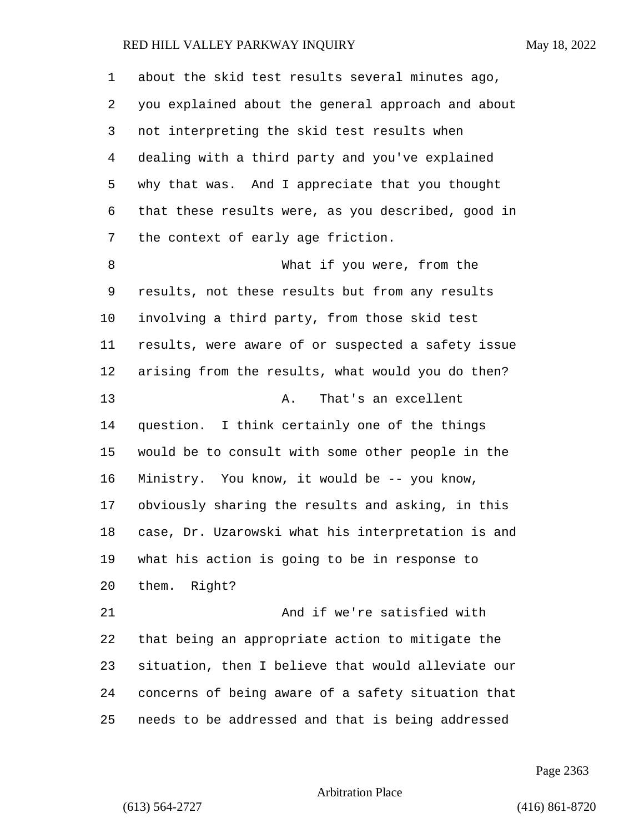| 1       | about the skid test results several minutes ago,   |
|---------|----------------------------------------------------|
| 2       | you explained about the general approach and about |
| 3       | not interpreting the skid test results when        |
| 4       | dealing with a third party and you've explained    |
| 5       | why that was. And I appreciate that you thought    |
| 6       | that these results were, as you described, good in |
| 7       | the context of early age friction.                 |
| 8       | What if you were, from the                         |
| 9       | results, not these results but from any results    |
| $10 \,$ | involving a third party, from those skid test      |
| 11      | results, were aware of or suspected a safety issue |
| 12      | arising from the results, what would you do then?  |
| 13      | That's an excellent<br>Α.                          |
| 14      | question. I think certainly one of the things      |
| 15      | would be to consult with some other people in the  |
| 16      | Ministry. You know, it would be -- you know,       |
| 17      | obviously sharing the results and asking, in this  |
| 18      | case, Dr. Uzarowski what his interpretation is and |
| 19      | what his action is going to be in response to      |
| 20      | them. Right?                                       |
| 21      | And if we're satisfied with                        |
| 22      | that being an appropriate action to mitigate the   |
| 23      | situation, then I believe that would alleviate our |
| 24      | concerns of being aware of a safety situation that |
| 25      | needs to be addressed and that is being addressed  |

Page 2363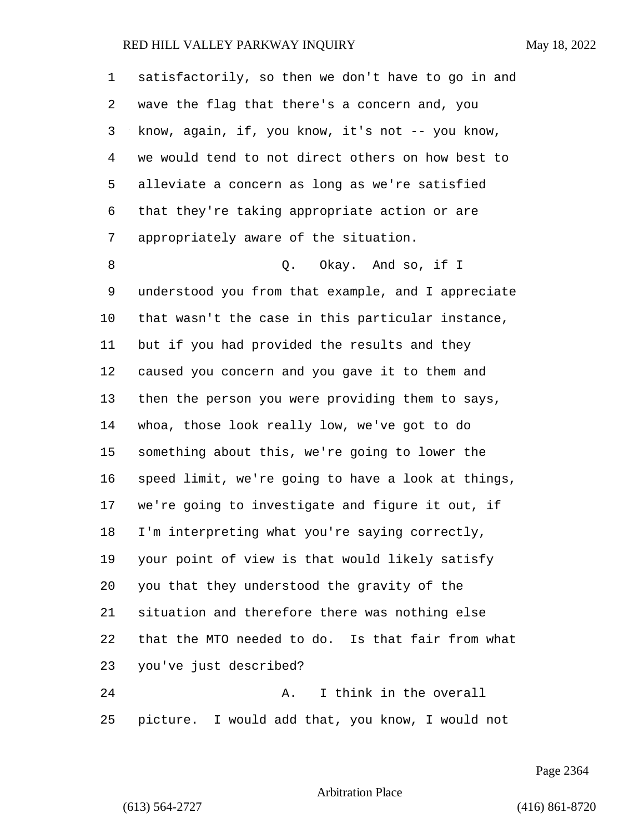| 1  | satisfactorily, so then we don't have to go in and |
|----|----------------------------------------------------|
| 2  | wave the flag that there's a concern and, you      |
| 3  | know, again, if, you know, it's not -- you know,   |
| 4  | we would tend to not direct others on how best to  |
| 5  | alleviate a concern as long as we're satisfied     |
| 6  | that they're taking appropriate action or are      |
| 7  | appropriately aware of the situation.              |
| 8  | Okay. And so, if I<br>Q.                           |
| 9  | understood you from that example, and I appreciate |
| 10 | that wasn't the case in this particular instance,  |
| 11 | but if you had provided the results and they       |
| 12 | caused you concern and you gave it to them and     |
| 13 | then the person you were providing them to says,   |
| 14 | whoa, those look really low, we've got to do       |
| 15 | something about this, we're going to lower the     |
| 16 | speed limit, we're going to have a look at things, |
| 17 | we're going to investigate and figure it out, if   |
| 18 | I'm interpreting what you're saying correctly,     |
| 19 | your point of view is that would likely satisfy    |
| 20 | you that they understood the gravity of the        |
| 21 | situation and therefore there was nothing else     |
| 22 | that the MTO needed to do. Is that fair from what  |
| 23 | you've just described?                             |
| 24 | I think in the overall<br>Α.                       |
| 25 | picture. I would add that, you know, I would not   |

Page 2364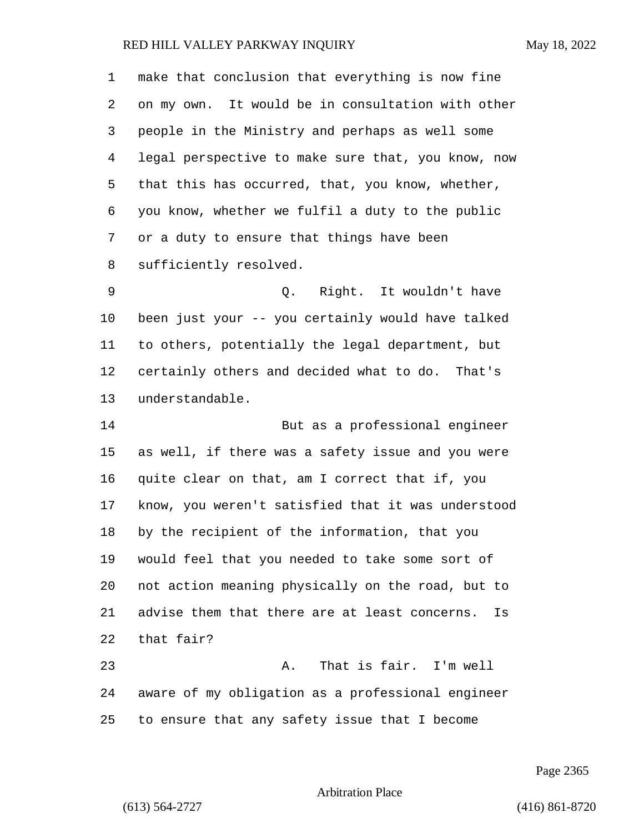make that conclusion that everything is now fine on my own. It would be in consultation with other people in the Ministry and perhaps as well some legal perspective to make sure that, you know, now that this has occurred, that, you know, whether, you know, whether we fulfil a duty to the public or a duty to ensure that things have been sufficiently resolved. 9 Q. Right. It wouldn't have been just your -- you certainly would have talked to others, potentially the legal department, but certainly others and decided what to do. That's understandable. 14 But as a professional engineer as well, if there was a safety issue and you were quite clear on that, am I correct that if, you know, you weren't satisfied that it was understood by the recipient of the information, that you would feel that you needed to take some sort of not action meaning physically on the road, but to advise them that there are at least concerns. Is that fair? 23 A. That is fair. I'm well aware of my obligation as a professional engineer to ensure that any safety issue that I become

Page 2365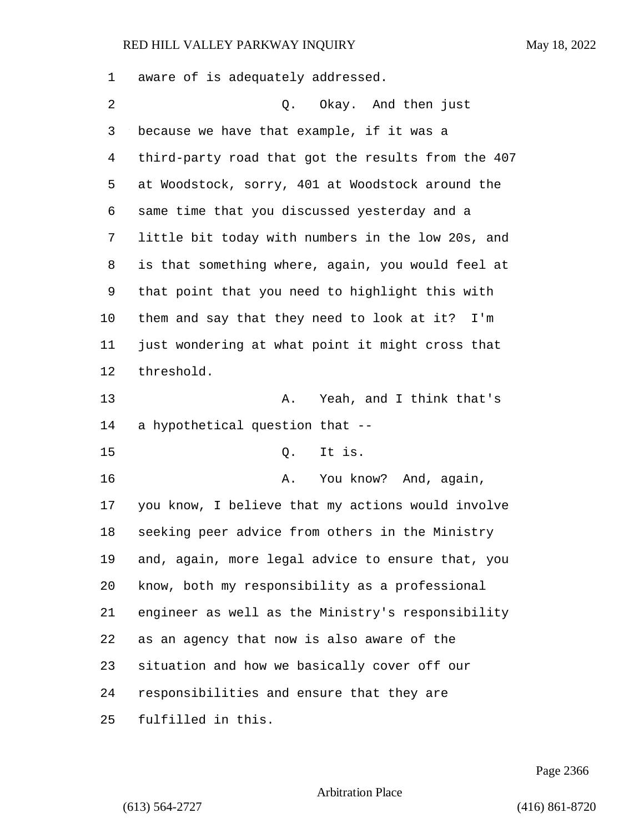aware of is adequately addressed. 2 Q. Okay. And then just because we have that example, if it was a third-party road that got the results from the 407 at Woodstock, sorry, 401 at Woodstock around the same time that you discussed yesterday and a little bit today with numbers in the low 20s, and is that something where, again, you would feel at that point that you need to highlight this with them and say that they need to look at it? I'm just wondering at what point it might cross that threshold. 13 A. Yeah, and I think that's a hypothetical question that -- 15 Q. It is. 16 A. You know? And, again, you know, I believe that my actions would involve seeking peer advice from others in the Ministry and, again, more legal advice to ensure that, you know, both my responsibility as a professional engineer as well as the Ministry's responsibility as an agency that now is also aware of the situation and how we basically cover off our responsibilities and ensure that they are fulfilled in this.

Page 2366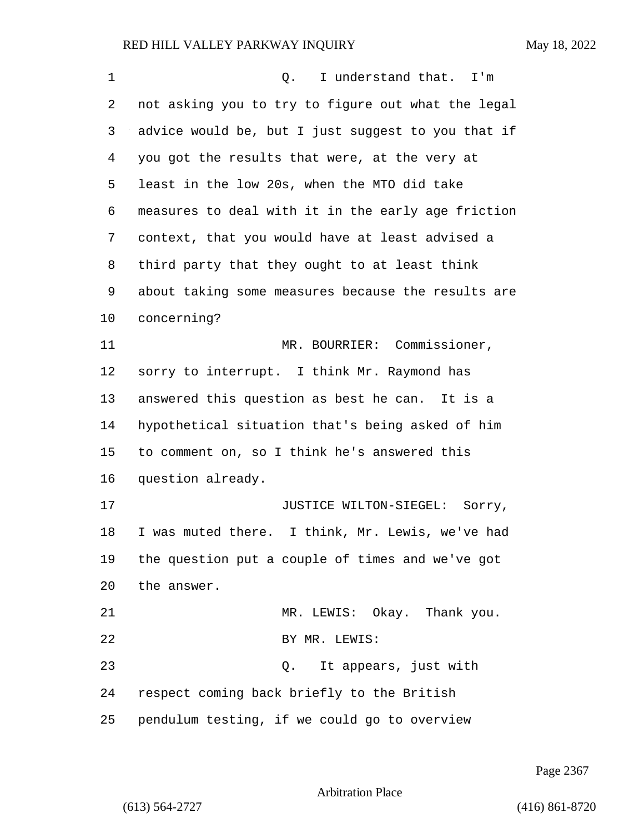| $\mathbf 1$ | I understand that. I'm<br>О.                       |
|-------------|----------------------------------------------------|
| 2           | not asking you to try to figure out what the legal |
| 3           | advice would be, but I just suggest to you that if |
| 4           | you got the results that were, at the very at      |
| 5           | least in the low 20s, when the MTO did take        |
| 6           | measures to deal with it in the early age friction |
| 7           | context, that you would have at least advised a    |
| 8           | third party that they ought to at least think      |
| 9           | about taking some measures because the results are |
| 10          | concerning?                                        |
| 11          | MR. BOURRIER: Commissioner,                        |
| 12          | sorry to interrupt. I think Mr. Raymond has        |
| 13          | answered this question as best he can. It is a     |
| 14          | hypothetical situation that's being asked of him   |
| 15          | to comment on, so I think he's answered this       |
| 16          | question already.                                  |
| 17          | JUSTICE WILTON-SIEGEL: Sorry,                      |
| 18          | I was muted there. I think, Mr. Lewis, we've had   |
| 19          | the question put a couple of times and we've got   |
| 20          | the answer.                                        |
| 21          | MR. LEWIS: Okay. Thank you.                        |
| 22          | BY MR. LEWIS:                                      |
| 23          | It appears, just with<br>Q.                        |
| 24          | respect coming back briefly to the British         |
| 25          | pendulum testing, if we could go to overview       |

Page 2367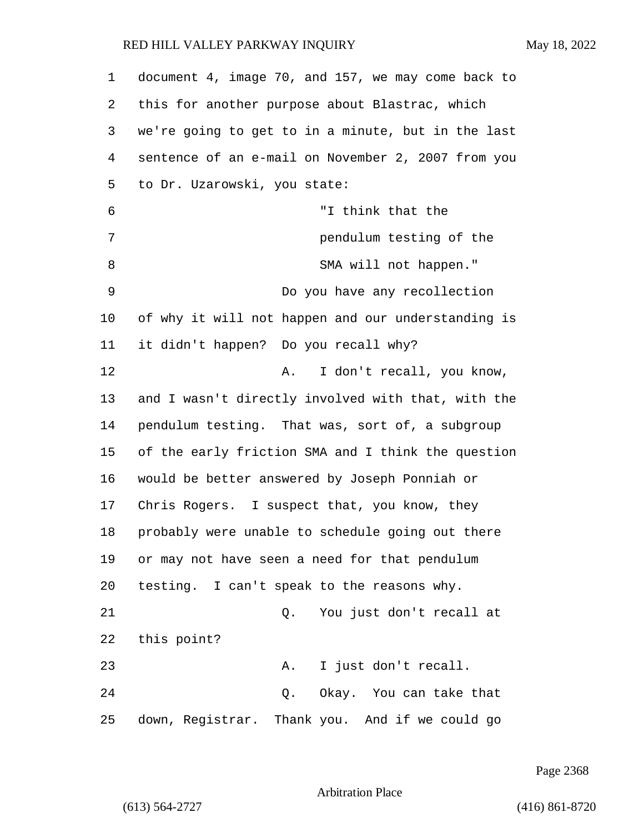| $\mathbf 1$ | document 4, image 70, and 157, we may come back to |
|-------------|----------------------------------------------------|
| 2           | this for another purpose about Blastrac, which     |
| 3           | we're going to get to in a minute, but in the last |
| 4           | sentence of an e-mail on November 2, 2007 from you |
| 5           | to Dr. Uzarowski, you state:                       |
| 6           | "I think that the                                  |
| 7           | pendulum testing of the                            |
| 8           | SMA will not happen."                              |
| 9           | Do you have any recollection                       |
| $10 \,$     | of why it will not happen and our understanding is |
| 11          | it didn't happen? Do you recall why?               |
| 12          | I don't recall, you know,<br>Α.                    |
| 13          | and I wasn't directly involved with that, with the |
| 14          | pendulum testing. That was, sort of, a subgroup    |
| 15          | of the early friction SMA and I think the question |
| 16          | would be better answered by Joseph Ponniah or      |
| 17          | Chris Rogers. I suspect that, you know, they       |
| 18          | probably were unable to schedule going out there   |
| 19          | or may not have seen a need for that pendulum      |
| 20          | testing. I can't speak to the reasons why.         |
| 21          | You just don't recall at<br>Q.                     |
| 22          | this point?                                        |
| 23          | I just don't recall.<br>Α.                         |
| 24          | Okay. You can take that<br>Q.                      |
| 25          | down, Registrar. Thank you. And if we could go     |

Page 2368

Arbitration Place

(613) 564-2727 (416) 861-8720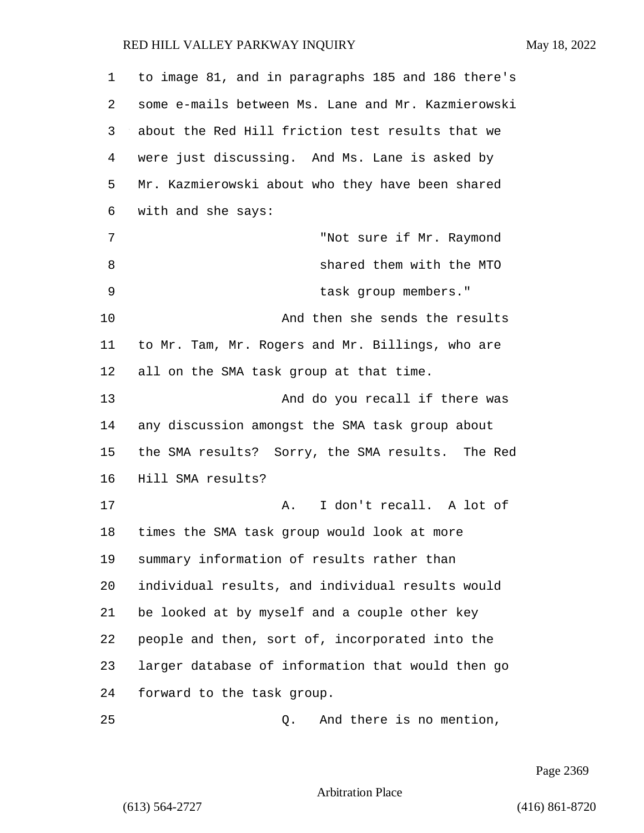to image 81, and in paragraphs 185 and 186 there's some e-mails between Ms. Lane and Mr. Kazmierowski about the Red Hill friction test results that we were just discussing. And Ms. Lane is asked by Mr. Kazmierowski about who they have been shared with and she says: 7 "Not sure if Mr. Raymond 8 shared them with the MTO 9 task group members." 10 And then she sends the results to Mr. Tam, Mr. Rogers and Mr. Billings, who are all on the SMA task group at that time. 13 And do you recall if there was any discussion amongst the SMA task group about the SMA results? Sorry, the SMA results. The Red Hill SMA results? 17 A. I don't recall. A lot of times the SMA task group would look at more summary information of results rather than individual results, and individual results would be looked at by myself and a couple other key people and then, sort of, incorporated into the larger database of information that would then go forward to the task group. 25 Q. And there is no mention,

Page 2369

Arbitration Place

(613) 564-2727 (416) 861-8720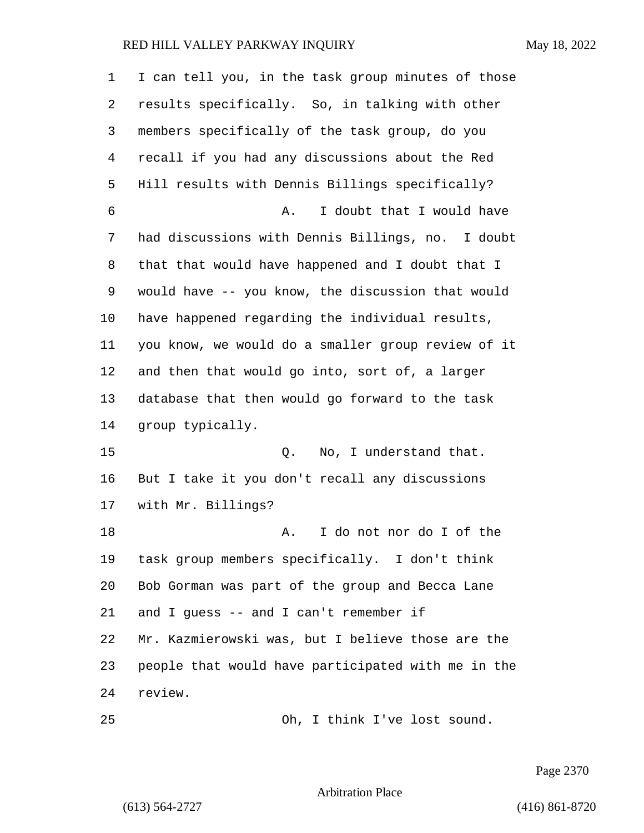| 1  | I can tell you, in the task group minutes of those |
|----|----------------------------------------------------|
| 2  | results specifically. So, in talking with other    |
| 3  | members specifically of the task group, do you     |
| 4  | recall if you had any discussions about the Red    |
| 5  | Hill results with Dennis Billings specifically?    |
| 6  | I doubt that I would have<br>Α.                    |
| 7  | had discussions with Dennis Billings, no. I doubt  |
| 8  | that that would have happened and I doubt that I   |
| 9  | would have -- you know, the discussion that would  |
| 10 | have happened regarding the individual results,    |
| 11 | you know, we would do a smaller group review of it |
| 12 | and then that would go into, sort of, a larger     |
| 13 | database that then would go forward to the task    |
| 14 | group typically.                                   |
| 15 | No, I understand that.<br>Q.                       |
| 16 | But I take it you don't recall any discussions     |
| 17 | with Mr. Billings?                                 |
| 18 | I do not nor do I of the<br>Α.                     |
| 19 | task group members specifically. I don't think     |
| 20 | Bob Gorman was part of the group and Becca Lane    |
| 21 | and I quess -- and I can't remember if             |
| 22 | Mr. Kazmierowski was, but I believe those are the  |
| 23 | people that would have participated with me in the |
| 24 | review.                                            |
| 25 | Oh, I think I've lost sound.                       |

Page 2370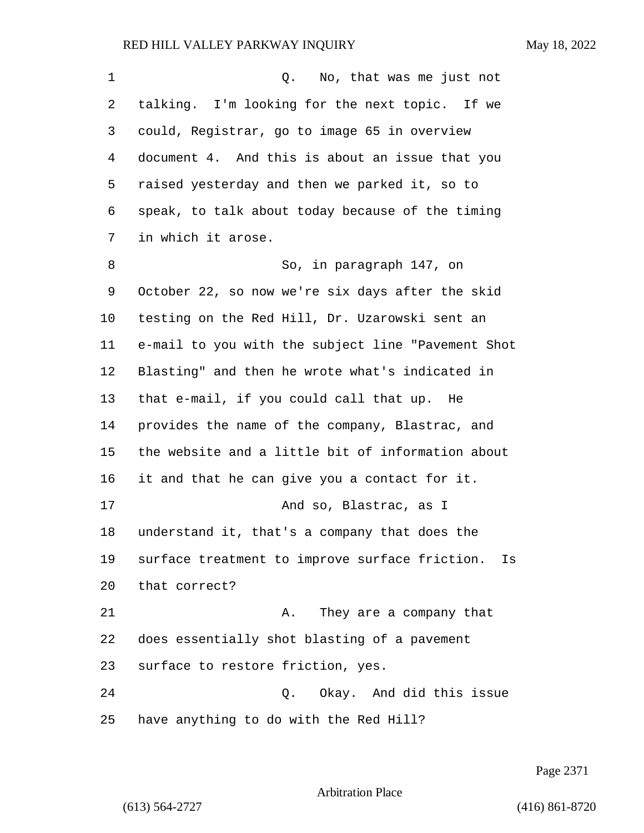| 1  | Q.<br>No, that was me just not                       |
|----|------------------------------------------------------|
| 2  | talking. I'm looking for the next topic. If we       |
| 3  | could, Registrar, go to image 65 in overview         |
| 4  | document 4. And this is about an issue that you      |
| 5  | raised yesterday and then we parked it, so to        |
| 6  | speak, to talk about today because of the timing     |
| 7  | in which it arose.                                   |
| 8  | So, in paragraph 147, on                             |
| 9  | October 22, so now we're six days after the skid     |
| 10 | testing on the Red Hill, Dr. Uzarowski sent an       |
| 11 | e-mail to you with the subject line "Pavement Shot   |
| 12 | Blasting" and then he wrote what's indicated in      |
| 13 | that e-mail, if you could call that up. He           |
| 14 | provides the name of the company, Blastrac, and      |
| 15 | the website and a little bit of information about    |
| 16 | it and that he can give you a contact for it.        |
| 17 | And so, Blastrac, as I                               |
| 18 | understand it, that's a company that does the        |
| 19 | surface treatment to improve surface friction.<br>Is |
| 20 | that correct?                                        |
| 21 | They are a company that<br>Α.                        |
| 22 | does essentially shot blasting of a pavement         |
| 23 | surface to restore friction, yes.                    |
| 24 | Q. Okay. And did this issue                          |
| 25 | have anything to do with the Red Hill?               |

Page 2371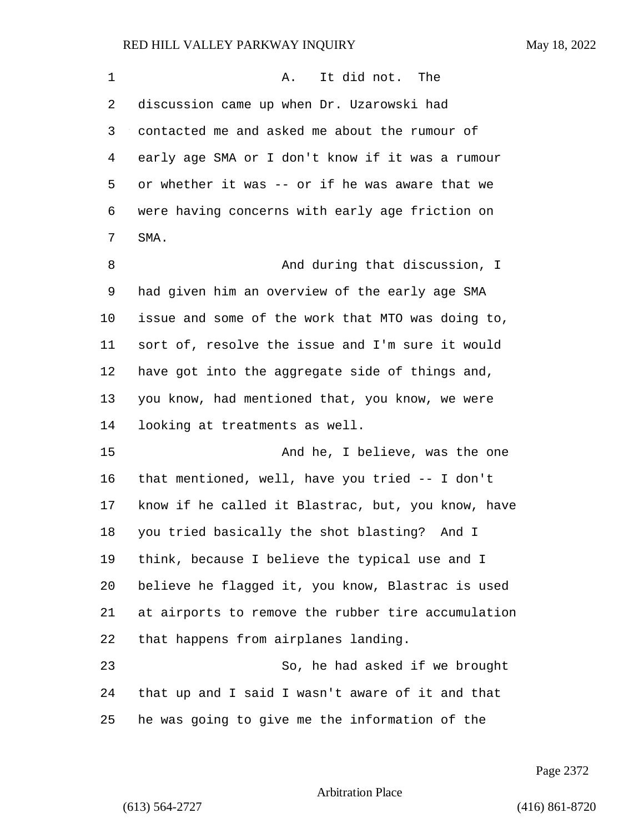| $\mathbf 1$ | It did not. The<br>Α.                              |
|-------------|----------------------------------------------------|
| 2           | discussion came up when Dr. Uzarowski had          |
| 3           | contacted me and asked me about the rumour of      |
| 4           | early age SMA or I don't know if it was a rumour   |
| 5           | or whether it was -- or if he was aware that we    |
| 6           | were having concerns with early age friction on    |
| 7           | SMA.                                               |
| 8           | And during that discussion, I                      |
| 9           | had given him an overview of the early age SMA     |
| $10 \,$     | issue and some of the work that MTO was doing to,  |
| 11          | sort of, resolve the issue and I'm sure it would   |
| 12          | have got into the aggregate side of things and,    |
| 13          | you know, had mentioned that, you know, we were    |
| 14          | looking at treatments as well.                     |
| 15          | And he, I believe, was the one                     |
| 16          | that mentioned, well, have you tried $-$ I don't   |
| 17          | know if he called it Blastrac, but, you know, have |
| 18          | you tried basically the shot blasting? And I       |
| 19          | think, because I believe the typical use and I     |
| 20          | believe he flagged it, you know, Blastrac is used  |
| 21          | at airports to remove the rubber tire accumulation |
| 22          | that happens from airplanes landing.               |
| 23          | So, he had asked if we brought                     |
| 24          | that up and I said I wasn't aware of it and that   |
| 25          | he was going to give me the information of the     |

Page 2372

Arbitration Place

(613) 564-2727 (416) 861-8720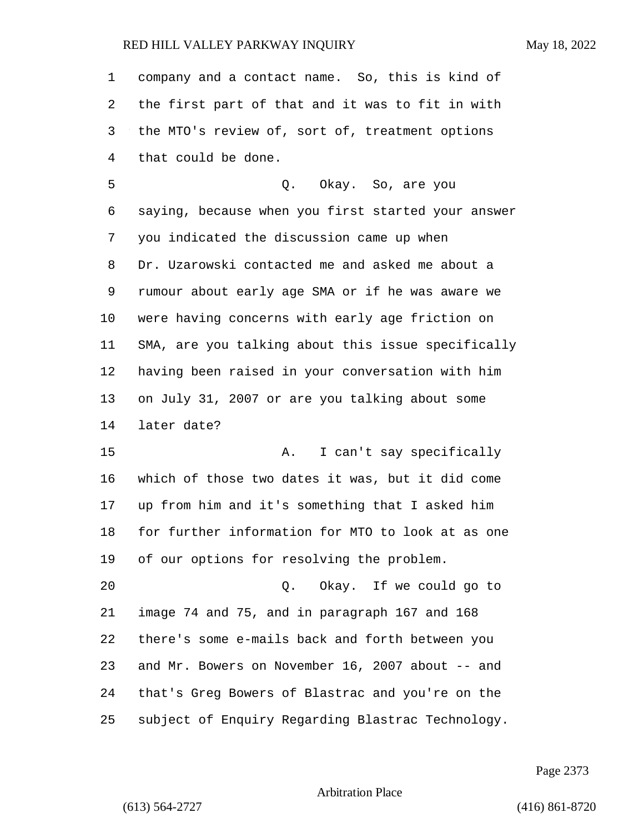company and a contact name. So, this is kind of the first part of that and it was to fit in with the MTO's review of, sort of, treatment options that could be done.

5 Q. Okay. So, are you saying, because when you first started your answer you indicated the discussion came up when Dr. Uzarowski contacted me and asked me about a rumour about early age SMA or if he was aware we were having concerns with early age friction on SMA, are you talking about this issue specifically having been raised in your conversation with him on July 31, 2007 or are you talking about some later date?

15 A. I can't say specifically which of those two dates it was, but it did come up from him and it's something that I asked him for further information for MTO to look at as one of our options for resolving the problem.

20 Q. Okay. If we could go to image 74 and 75, and in paragraph 167 and 168 there's some e-mails back and forth between you and Mr. Bowers on November 16, 2007 about -- and that's Greg Bowers of Blastrac and you're on the subject of Enquiry Regarding Blastrac Technology.

Page 2373

Arbitration Place

(613) 564-2727 (416) 861-8720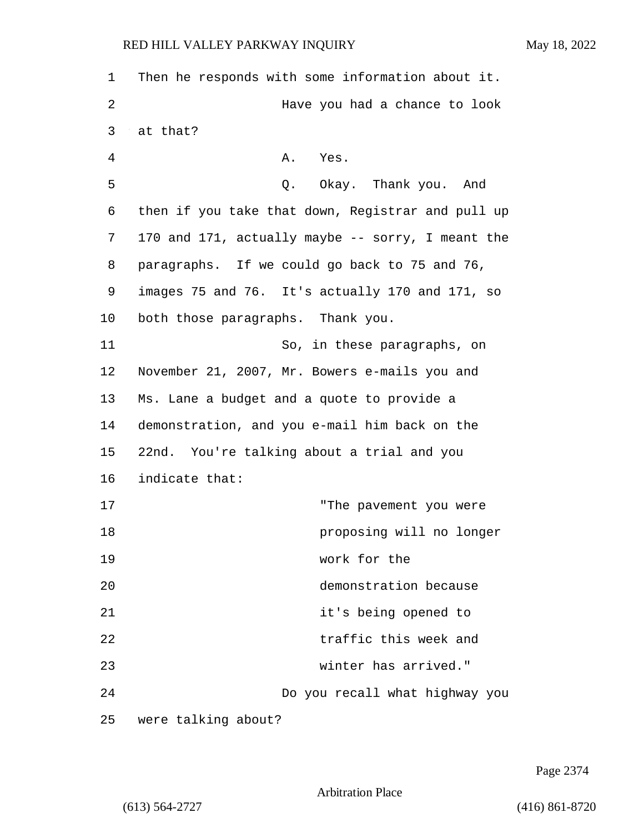| 1       | Then he responds with some information about it.  |
|---------|---------------------------------------------------|
| 2       | Have you had a chance to look                     |
| 3       | at that?                                          |
| 4       | Α.<br>Yes.                                        |
| 5       | Q. Okay. Thank you. And                           |
| 6       | then if you take that down, Registrar and pull up |
| 7       | 170 and 171, actually maybe -- sorry, I meant the |
| 8       | paragraphs. If we could go back to 75 and 76,     |
| 9       | images 75 and 76. It's actually 170 and 171, so   |
| $10 \,$ | both those paragraphs. Thank you.                 |
| 11      | So, in these paragraphs, on                       |
| 12      | November 21, 2007, Mr. Bowers e-mails you and     |
| 13      | Ms. Lane a budget and a quote to provide a        |
| 14      | demonstration, and you e-mail him back on the     |
| 15      | 22nd. You're talking about a trial and you        |
| 16      | indicate that:                                    |
| 17      | "The pavement you were                            |
| 18      | proposing will no longer                          |
| 19      | work for the                                      |
| 20      | demonstration because                             |
| 21      | it's being opened to                              |
| 22      | traffic this week and                             |
| 23      | winter has arrived."                              |
| 24      | Do you recall what highway you                    |
| 25      | were talking about?                               |

Page 2374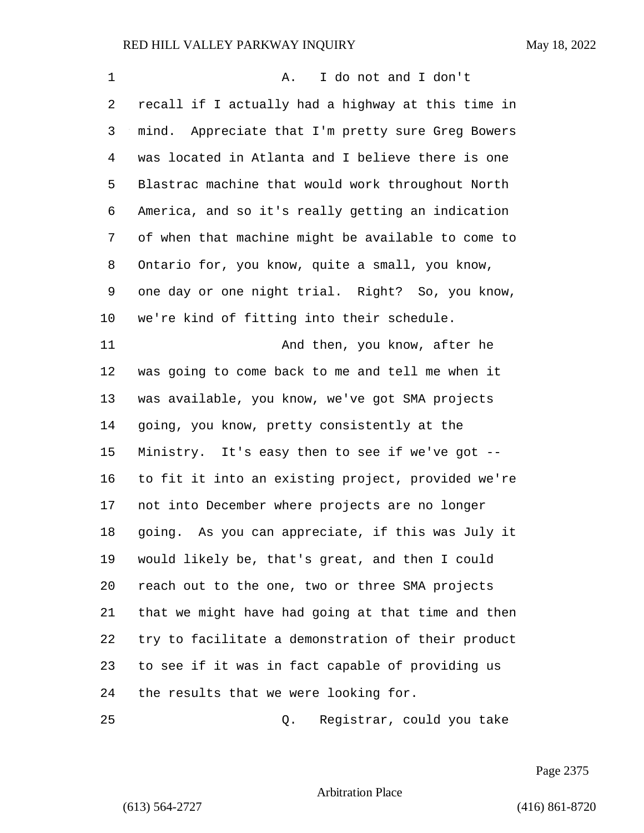| 1  | I do not and I don't<br>Α.                         |
|----|----------------------------------------------------|
| 2  | recall if I actually had a highway at this time in |
| 3  | mind. Appreciate that I'm pretty sure Greg Bowers  |
| 4  | was located in Atlanta and I believe there is one  |
| 5  | Blastrac machine that would work throughout North  |
| 6  | America, and so it's really getting an indication  |
| 7  | of when that machine might be available to come to |
| 8  | Ontario for, you know, quite a small, you know,    |
| 9  | one day or one night trial. Right? So, you know,   |
| 10 | we're kind of fitting into their schedule.         |
| 11 | And then, you know, after he                       |
| 12 | was going to come back to me and tell me when it   |
| 13 | was available, you know, we've got SMA projects    |
| 14 | going, you know, pretty consistently at the        |
| 15 | Ministry. It's easy then to see if we've got --    |
| 16 | to fit it into an existing project, provided we're |
| 17 | not into December where projects are no longer     |
| 18 | going. As you can appreciate, if this was July it  |
| 19 | would likely be, that's great, and then I could    |
| 20 | reach out to the one, two or three SMA projects    |
| 21 | that we might have had going at that time and then |
| 22 | try to facilitate a demonstration of their product |
| 23 | to see if it was in fact capable of providing us   |
| 24 | the results that we were looking for.              |
| 25 | Registrar, could you take<br>Q.                    |

Page 2375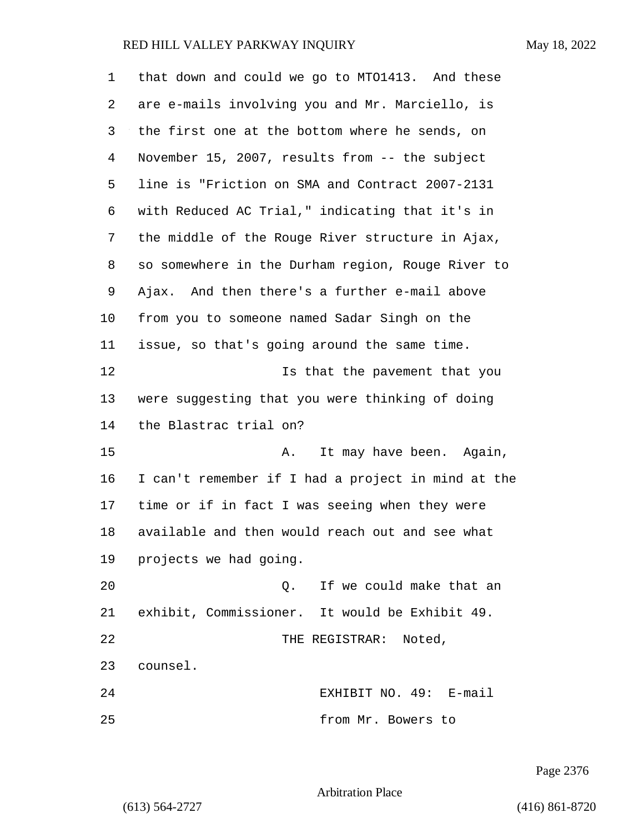| 1  | that down and could we go to MT01413. And these    |
|----|----------------------------------------------------|
| 2  | are e-mails involving you and Mr. Marciello, is    |
| 3  | the first one at the bottom where he sends, on     |
| 4  | November 15, 2007, results from -- the subject     |
| 5  | line is "Friction on SMA and Contract 2007-2131    |
| 6  | with Reduced AC Trial," indicating that it's in    |
| 7  | the middle of the Rouge River structure in Ajax,   |
| 8  | so somewhere in the Durham region, Rouge River to  |
| 9  | Ajax. And then there's a further e-mail above      |
| 10 | from you to someone named Sadar Singh on the       |
| 11 | issue, so that's going around the same time.       |
| 12 | Is that the pavement that you                      |
| 13 | were suggesting that you were thinking of doing    |
| 14 | the Blastrac trial on?                             |
| 15 | It may have been. Again,<br>Α.                     |
| 16 | I can't remember if I had a project in mind at the |
| 17 | time or if in fact I was seeing when they were     |
| 18 | available and then would reach out and see what    |
| 19 | projects we had going.                             |
| 20 | If we could make that an<br>$\circ$ .              |
| 21 | exhibit, Commissioner. It would be Exhibit 49.     |
| 22 | THE REGISTRAR:<br>Noted,                           |
| 23 | counsel.                                           |
| 24 | EXHIBIT NO. 49: E-mail                             |
| 25 | from Mr. Bowers to                                 |

Page 2376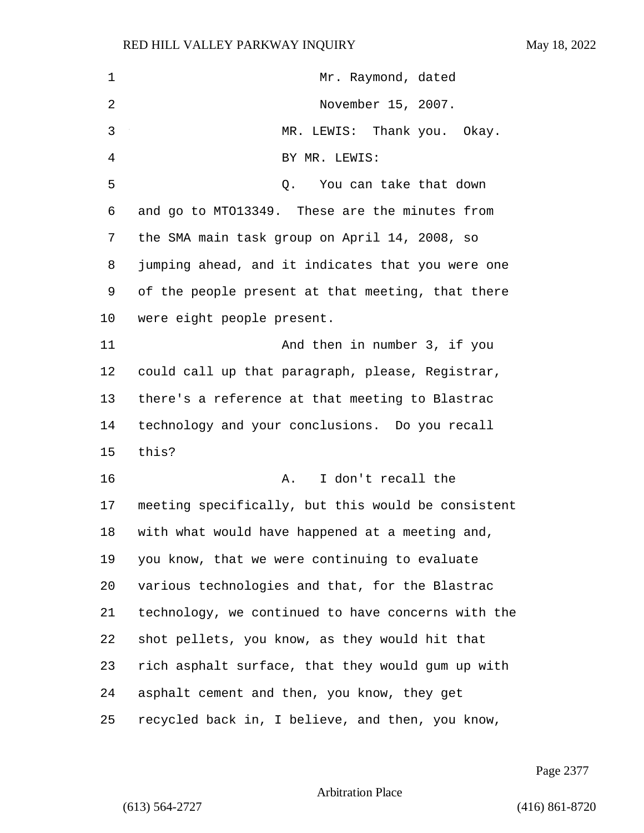| 1  | Mr. Raymond, dated                                 |
|----|----------------------------------------------------|
| 2  | November 15, 2007.                                 |
| 3  | MR. LEWIS: Thank you. Okay.                        |
| 4  | BY MR. LEWIS:                                      |
| 5  | Q. You can take that down                          |
| 6  | and go to MT013349. These are the minutes from     |
| 7  | the SMA main task group on April 14, 2008, so      |
| 8  | jumping ahead, and it indicates that you were one  |
| 9  | of the people present at that meeting, that there  |
| 10 | were eight people present.                         |
| 11 | And then in number 3, if you                       |
| 12 | could call up that paragraph, please, Registrar,   |
| 13 | there's a reference at that meeting to Blastrac    |
| 14 | technology and your conclusions. Do you recall     |
| 15 | this?                                              |
| 16 | I don't recall the<br>Α.                           |
| 17 | meeting specifically, but this would be consistent |
| 18 | with what would have happened at a meeting and,    |
| 19 | you know, that we were continuing to evaluate      |
| 20 | various technologies and that, for the Blastrac    |
| 21 | technology, we continued to have concerns with the |
| 22 | shot pellets, you know, as they would hit that     |
| 23 | rich asphalt surface, that they would gum up with  |
| 24 | asphalt cement and then, you know, they get        |
| 25 | recycled back in, I believe, and then, you know,   |

Page 2377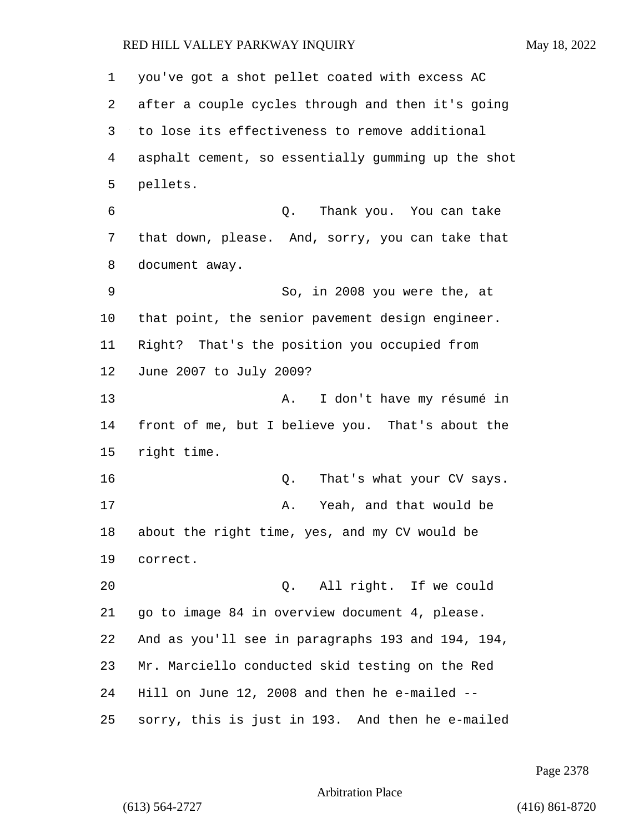you've got a shot pellet coated with excess AC after a couple cycles through and then it's going to lose its effectiveness to remove additional asphalt cement, so essentially gumming up the shot pellets. 6 Q. Thank you. You can take that down, please. And, sorry, you can take that document away. 9 So, in 2008 you were the, at that point, the senior pavement design engineer. Right? That's the position you occupied from June 2007 to July 2009? 13 A. I don't have my résumé in front of me, but I believe you. That's about the right time. **16** Q. That's what your CV says. 17 A. Yeah, and that would be about the right time, yes, and my CV would be correct. 20 Q. All right. If we could go to image 84 in overview document 4, please. And as you'll see in paragraphs 193 and 194, 194, Mr. Marciello conducted skid testing on the Red Hill on June 12, 2008 and then he e-mailed -- sorry, this is just in 193. And then he e-mailed

Page 2378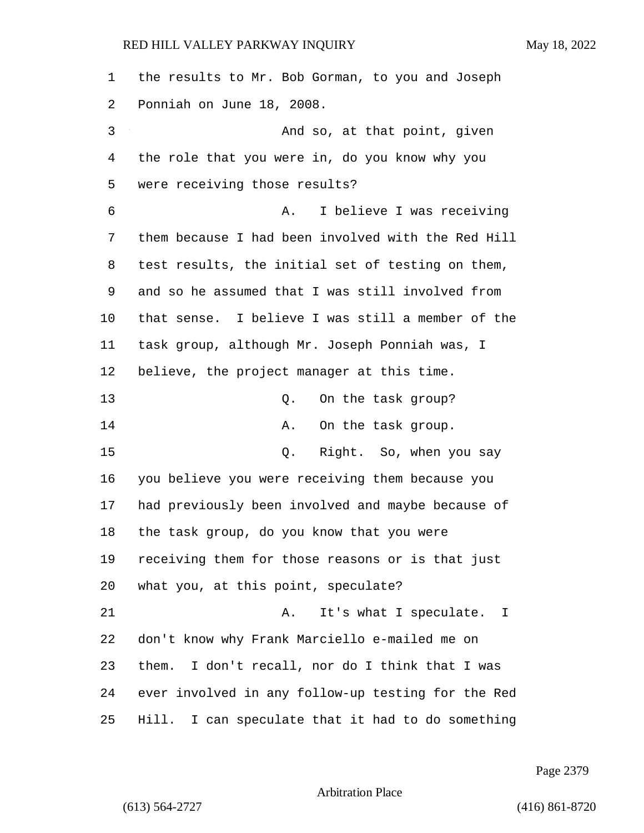| 1  | the results to Mr. Bob Gorman, to you and Joseph   |
|----|----------------------------------------------------|
| 2  | Ponniah on June 18, 2008.                          |
| 3  | And so, at that point, given                       |
| 4  | the role that you were in, do you know why you     |
| 5  | were receiving those results?                      |
| 6  | I believe I was receiving<br>Α.                    |
| 7  | them because I had been involved with the Red Hill |
| 8  | test results, the initial set of testing on them,  |
| 9  | and so he assumed that I was still involved from   |
| 10 | that sense. I believe I was still a member of the  |
| 11 | task group, although Mr. Joseph Ponniah was, I     |
| 12 | believe, the project manager at this time.         |
| 13 | On the task group?<br>Q.                           |
| 14 | On the task group.<br>Α.                           |
| 15 | Right. So, when you say<br>Q.                      |
| 16 | you believe you were receiving them because you    |
| 17 | had previously been involved and maybe because of  |
| 18 | the task group, do you know that you were          |
| 19 | receiving them for those reasons or is that just   |
| 20 | what you, at this point, speculate?                |
| 21 | It's what I speculate. I<br>Α.                     |
| 22 | don't know why Frank Marciello e-mailed me on      |
| 23 | I don't recall, nor do I think that I was<br>them. |
| 24 | ever involved in any follow-up testing for the Red |
| 25 | Hill. I can speculate that it had to do something  |

Page 2379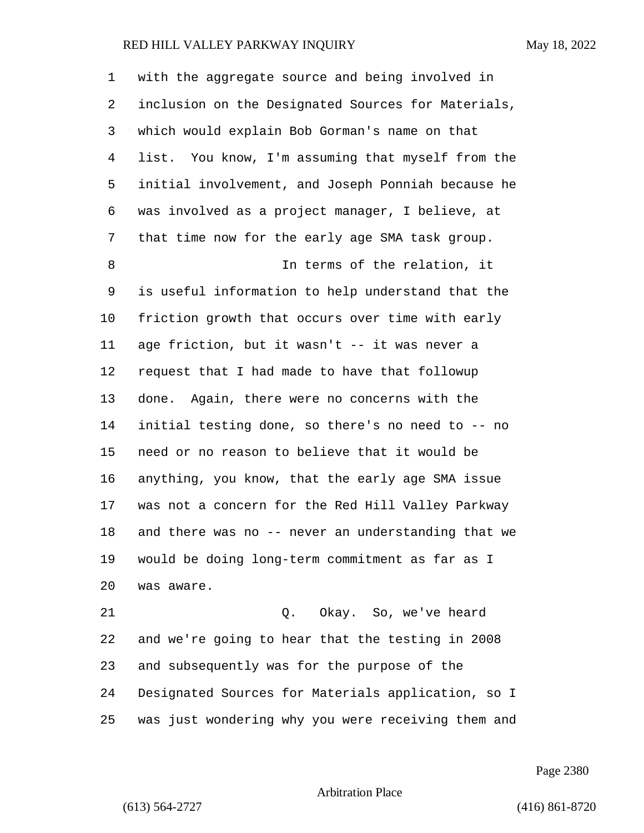| with the aggregate source and being involved in    |
|----------------------------------------------------|
| inclusion on the Designated Sources for Materials, |
| which would explain Bob Gorman's name on that      |
| list. You know, I'm assuming that myself from the  |
| initial involvement, and Joseph Ponniah because he |
| was involved as a project manager, I believe, at   |
| that time now for the early age SMA task group.    |
| In terms of the relation, it                       |
| is useful information to help understand that the  |
| friction growth that occurs over time with early   |
| age friction, but it wasn't -- it was never a      |
| request that I had made to have that followup      |
| done. Again, there were no concerns with the       |
| initial testing done, so there's no need to -- no  |
| need or no reason to believe that it would be      |
| anything, you know, that the early age SMA issue   |
| was not a concern for the Red Hill Valley Parkway  |
| and there was no -- never an understanding that we |
| would be doing long-term commitment as far as I    |
| was aware.                                         |
| Okay. So, we've heard<br>Q.                        |
| and we're going to hear that the testing in 2008   |
| and subsequently was for the purpose of the        |
|                                                    |

was just wondering why you were receiving them and

Designated Sources for Materials application, so I

Page 2380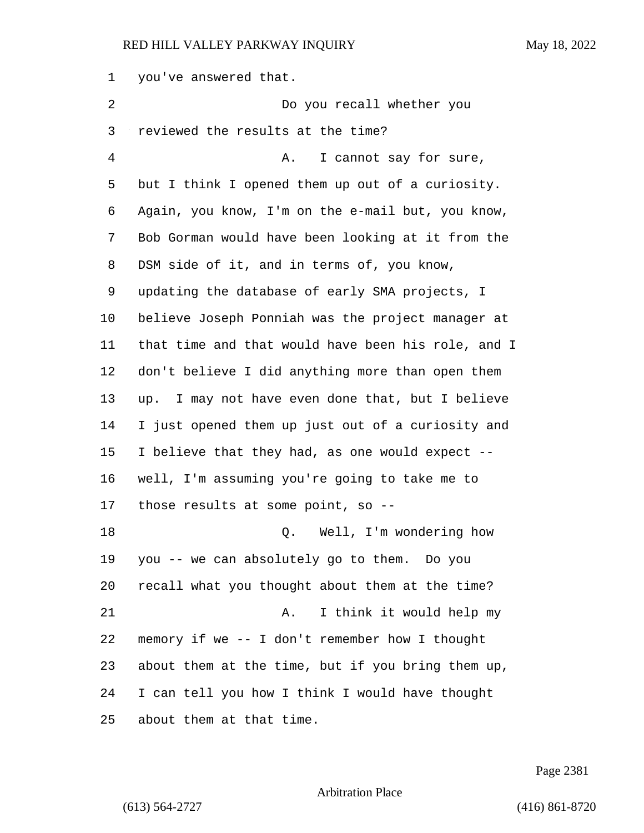you've answered that. 2 Do you recall whether you reviewed the results at the time? 4 A. I cannot say for sure, but I think I opened them up out of a curiosity. Again, you know, I'm on the e-mail but, you know, Bob Gorman would have been looking at it from the DSM side of it, and in terms of, you know, updating the database of early SMA projects, I believe Joseph Ponniah was the project manager at that time and that would have been his role, and I don't believe I did anything more than open them up. I may not have even done that, but I believe I just opened them up just out of a curiosity and I believe that they had, as one would expect -- well, I'm assuming you're going to take me to those results at some point, so -- 18 C. Well, I'm wondering how you -- we can absolutely go to them. Do you recall what you thought about them at the time? 21 A. I think it would help my memory if we -- I don't remember how I thought about them at the time, but if you bring them up, I can tell you how I think I would have thought about them at that time.

Page 2381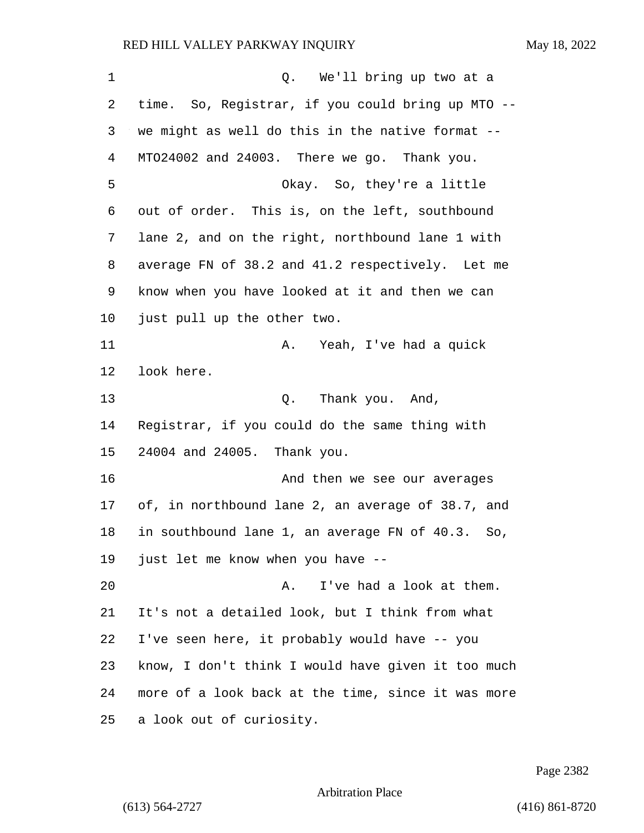| 1  | Q. We'll bring up two at a                          |
|----|-----------------------------------------------------|
| 2  | time. So, Registrar, if you could bring up MTO --   |
| 3  | we might as well do this in the native format --    |
| 4  | MT024002 and 24003. There we go. Thank you.         |
| 5  | Okay. So, they're a little                          |
| 6  | out of order. This is, on the left, southbound      |
| 7  | lane 2, and on the right, northbound lane 1 with    |
| 8  | average FN of 38.2 and 41.2 respectively. Let me    |
| 9  | know when you have looked at it and then we can     |
| 10 | just pull up the other two.                         |
| 11 | Yeah, I've had a quick<br>Α.                        |
| 12 | look here.                                          |
| 13 | Thank you. And,<br>Q.                               |
| 14 | Registrar, if you could do the same thing with      |
| 15 | 24004 and 24005. Thank you.                         |
| 16 | And then we see our averages                        |
| 17 | of, in northbound lane 2, an average of 38.7, and   |
| 18 | in southbound lane 1, an average FN of 40.3.<br>So, |
| 19 | just let me know when you have --                   |
| 20 | I've had a look at them.<br>Α.                      |
| 21 | It's not a detailed look, but I think from what     |
| 22 | I've seen here, it probably would have -- you       |
| 23 | know, I don't think I would have given it too much  |
| 24 | more of a look back at the time, since it was more  |
| 25 | a look out of curiosity.                            |

Page 2382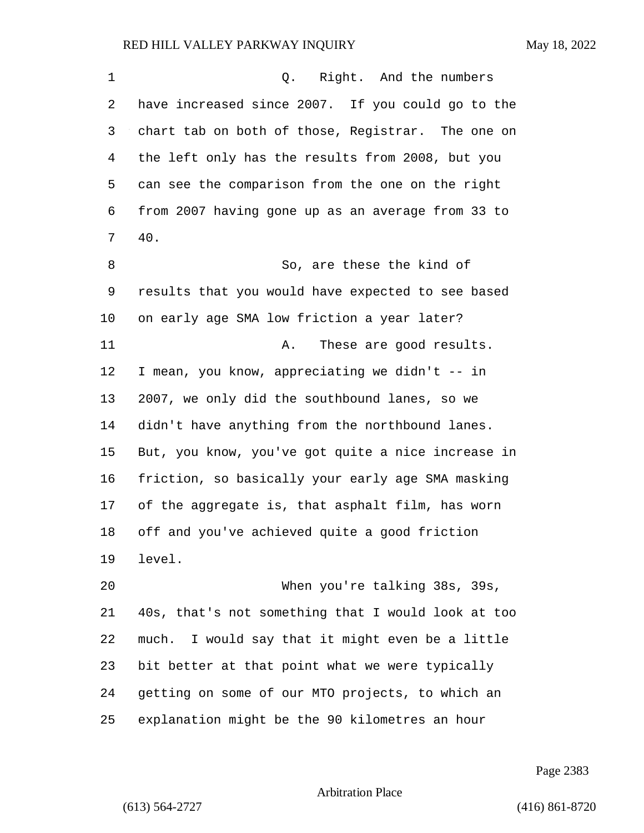| $\mathbf 1$ | Q.<br>Right. And the numbers                        |
|-------------|-----------------------------------------------------|
| 2           | have increased since 2007. If you could go to the   |
| 3           | chart tab on both of those, Registrar. The one on   |
| 4           | the left only has the results from 2008, but you    |
| 5           | can see the comparison from the one on the right    |
| 6           | from 2007 having gone up as an average from 33 to   |
| 7           | 40.                                                 |
| 8           | So, are these the kind of                           |
| 9           | results that you would have expected to see based   |
| 10          | on early age SMA low friction a year later?         |
| 11          | These are good results.<br>Α.                       |
| 12          | I mean, you know, appreciating we didn't -- in      |
| 13          | 2007, we only did the southbound lanes, so we       |
| 14          | didn't have anything from the northbound lanes.     |
| 15          | But, you know, you've got quite a nice increase in  |
| 16          | friction, so basically your early age SMA masking   |
| 17          | of the aggregate is, that asphalt film, has worn    |
| 18          | off and you've achieved quite a good friction       |
| 19          | level.                                              |
| 20          | When you're talking 38s, 39s,                       |
| 21          | 40s, that's not something that I would look at too  |
| 22          | I would say that it might even be a little<br>much. |
| 23          | bit better at that point what we were typically     |
| 24          | getting on some of our MTO projects, to which an    |
| 25          | explanation might be the 90 kilometres an hour      |

Page 2383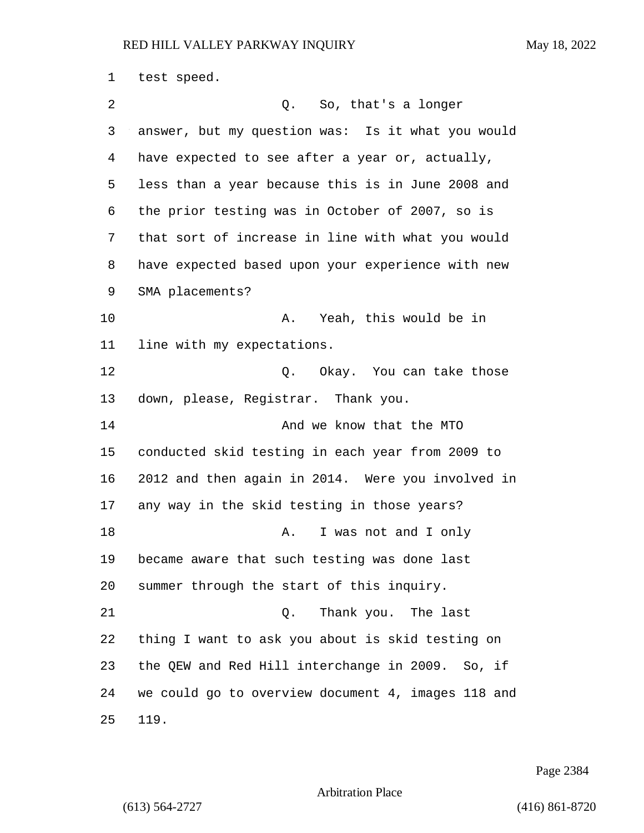test speed. 2 Q. So, that's a longer answer, but my question was: Is it what you would have expected to see after a year or, actually, less than a year because this is in June 2008 and the prior testing was in October of 2007, so is that sort of increase in line with what you would have expected based upon your experience with new SMA placements? 10 A. Yeah, this would be in line with my expectations. 12 C. Okay. You can take those down, please, Registrar. Thank you. 14 And we know that the MTO conducted skid testing in each year from 2009 to 2012 and then again in 2014. Were you involved in any way in the skid testing in those years? 18 A. I was not and I only became aware that such testing was done last summer through the start of this inquiry. 21 C. Thank you. The last thing I want to ask you about is skid testing on the QEW and Red Hill interchange in 2009. So, if we could go to overview document 4, images 118 and 119.

Page 2384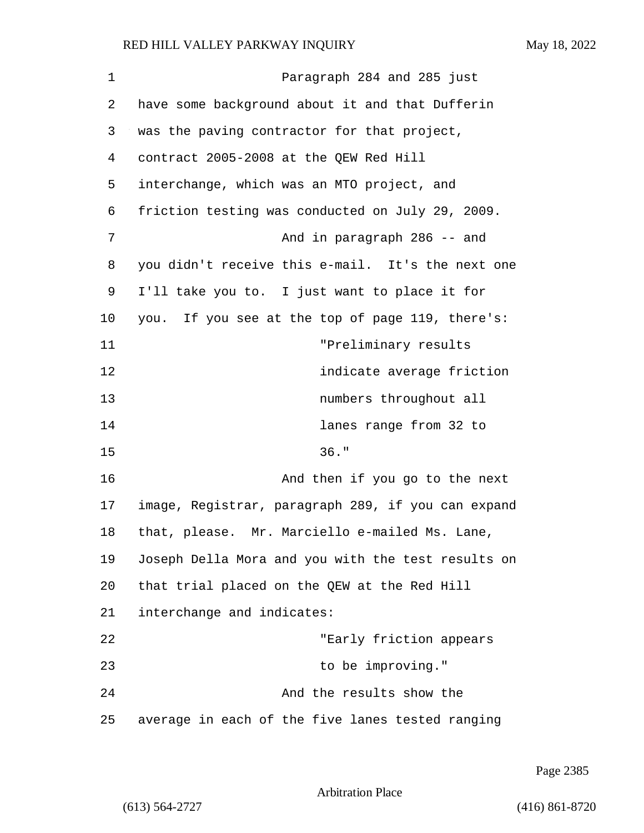| 1  | Paragraph 284 and 285 just                         |
|----|----------------------------------------------------|
| 2  | have some background about it and that Dufferin    |
| 3  | was the paving contractor for that project,        |
| 4  | contract 2005-2008 at the QEW Red Hill             |
| 5  | interchange, which was an MTO project, and         |
| 6  | friction testing was conducted on July 29, 2009.   |
| 7  | And in paragraph 286 -- and                        |
| 8  | you didn't receive this e-mail. It's the next one  |
| 9  | I'll take you to. I just want to place it for      |
| 10 | you. If you see at the top of page 119, there's:   |
| 11 | "Preliminary results                               |
| 12 | indicate average friction                          |
| 13 | numbers throughout all                             |
| 14 | lanes range from 32 to                             |
| 15 | $36.$ "                                            |
| 16 | And then if you go to the next                     |
| 17 | image, Registrar, paragraph 289, if you can expand |
| 18 | that, please. Mr. Marciello e-mailed Ms. Lane,     |
| 19 | Joseph Della Mora and you with the test results on |
| 20 | that trial placed on the QEW at the Red Hill       |
| 21 | interchange and indicates:                         |
| 22 | "Early friction appears                            |
| 23 | to be improving."                                  |
| 24 | And the results show the                           |
| 25 | average in each of the five lanes tested ranging   |

Page 2385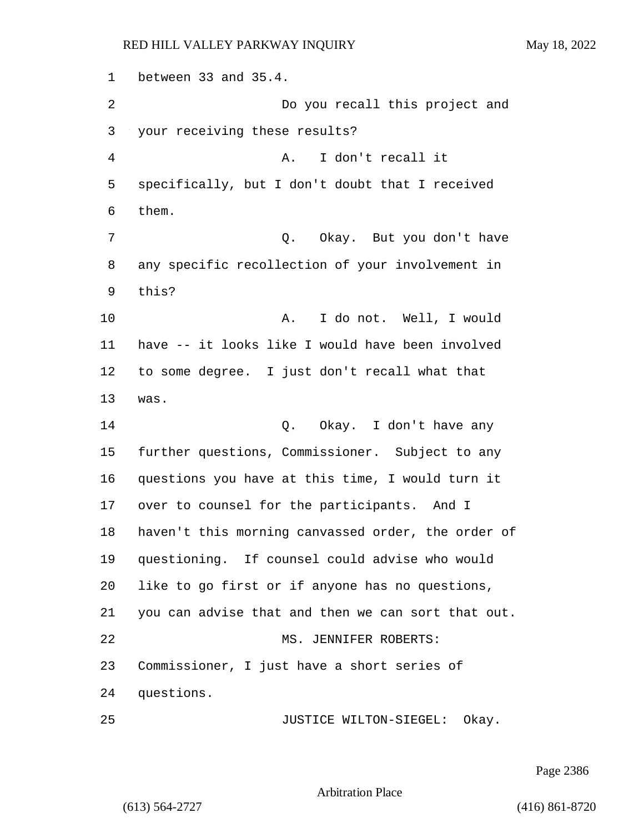between 33 and 35.4. 2 Do you recall this project and your receiving these results? 4 A. I don't recall it specifically, but I don't doubt that I received them. 7 Q. Okay. But you don't have any specific recollection of your involvement in this? 10 A. I do not. Well, I would have -- it looks like I would have been involved to some degree. I just don't recall what that was. 14 Q. Okay. I don't have any further questions, Commissioner. Subject to any questions you have at this time, I would turn it over to counsel for the participants. And I haven't this morning canvassed order, the order of questioning. If counsel could advise who would like to go first or if anyone has no questions, you can advise that and then we can sort that out. 22 MS. JENNIFER ROBERTS: Commissioner, I just have a short series of questions. 25 JUSTICE WILTON-SIEGEL: Okay.

Page 2386

Arbitration Place

(613) 564-2727 (416) 861-8720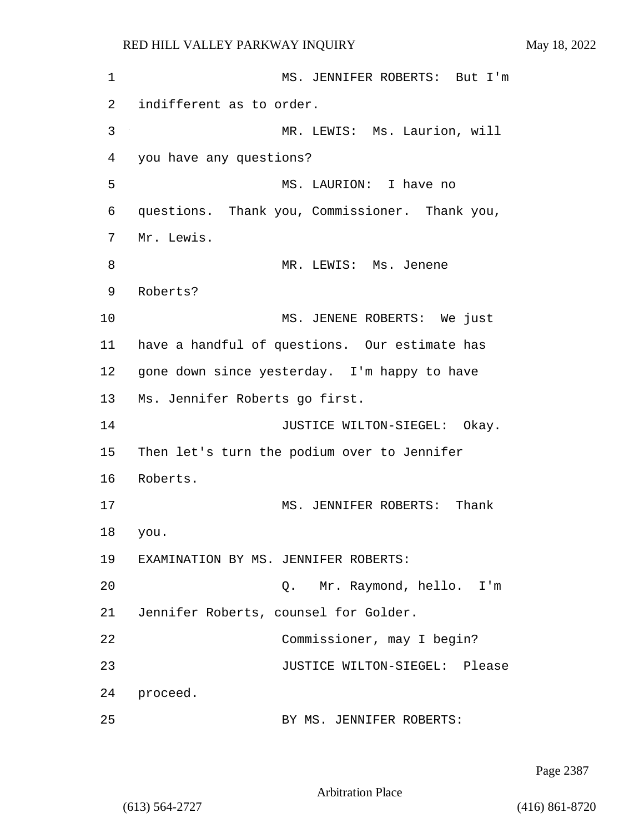1 MS. JENNIFER ROBERTS: But I'm 2 indifferent as to order. 3 MR. LEWIS: Ms. Laurion, will 4 you have any questions? 5 MS. LAURION: I have no 6 questions. Thank you, Commissioner. Thank you, 7 Mr. Lewis. 8 MR. LEWIS: Ms. Jenene 9 Roberts? 10 MS. JENENE ROBERTS: We just 11 have a handful of questions. Our estimate has 12 gone down since yesterday. I'm happy to have 13 Ms. Jennifer Roberts go first. 14 **JUSTICE WILTON-SIEGEL:** Okay. 15 Then let's turn the podium over to Jennifer 16 Roberts. 17 MS. JENNIFER ROBERTS: Thank 18 you. 19 EXAMINATION BY MS. JENNIFER ROBERTS: 20 Q. Mr. Raymond, hello. I'm 21 Jennifer Roberts, counsel for Golder. 22 Commissioner, may I begin? 23 JUSTICE WILTON-SIEGEL: Please 24 proceed. 25 BY MS. JENNIFER ROBERTS:

Page 2387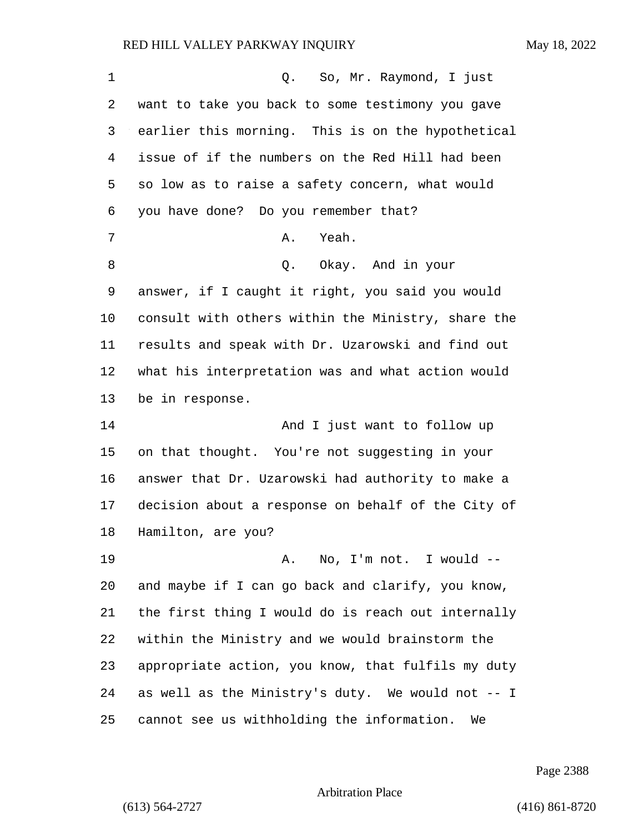| 1       | Q. So, Mr. Raymond, I just                         |
|---------|----------------------------------------------------|
| 2       | want to take you back to some testimony you gave   |
| 3       | earlier this morning. This is on the hypothetical  |
| 4       | issue of if the numbers on the Red Hill had been   |
| 5       | so low as to raise a safety concern, what would    |
| 6       | you have done? Do you remember that?               |
| 7       | Yeah.<br>Α.                                        |
| 8       | Q. Okay. And in your                               |
| 9       | answer, if I caught it right, you said you would   |
| $10 \,$ | consult with others within the Ministry, share the |
| 11      | results and speak with Dr. Uzarowski and find out  |
| 12      | what his interpretation was and what action would  |
| 13      | be in response.                                    |
| 14      | And I just want to follow up                       |
| 15      | on that thought. You're not suggesting in your     |
| 16      | answer that Dr. Uzarowski had authority to make a  |
| 17      | decision about a response on behalf of the City of |
| 18      | Hamilton, are you?                                 |
| 19      | No, I'm not. I would --<br>Α.                      |
| 20      | and maybe if I can go back and clarify, you know,  |
| 21      | the first thing I would do is reach out internally |
| 22      | within the Ministry and we would brainstorm the    |
| 23      | appropriate action, you know, that fulfils my duty |
| 24      | as well as the Ministry's duty. We would not -- I  |
| 25      | cannot see us withholding the information.<br>We   |

Page 2388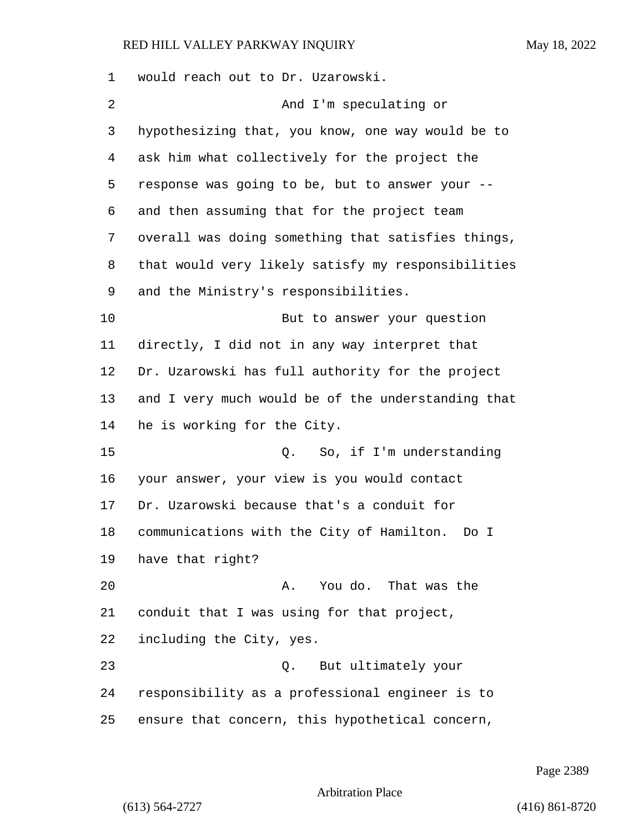would reach out to Dr. Uzarowski. 2 And I'm speculating or hypothesizing that, you know, one way would be to ask him what collectively for the project the response was going to be, but to answer your -- and then assuming that for the project team overall was doing something that satisfies things, that would very likely satisfy my responsibilities and the Ministry's responsibilities. 10 But to answer your question directly, I did not in any way interpret that Dr. Uzarowski has full authority for the project and I very much would be of the understanding that he is working for the City. 15 Q. So, if I'm understanding your answer, your view is you would contact Dr. Uzarowski because that's a conduit for communications with the City of Hamilton. Do I have that right? 20 A. You do. That was the conduit that I was using for that project, including the City, yes. 23 Q. But ultimately your responsibility as a professional engineer is to ensure that concern, this hypothetical concern,

Page 2389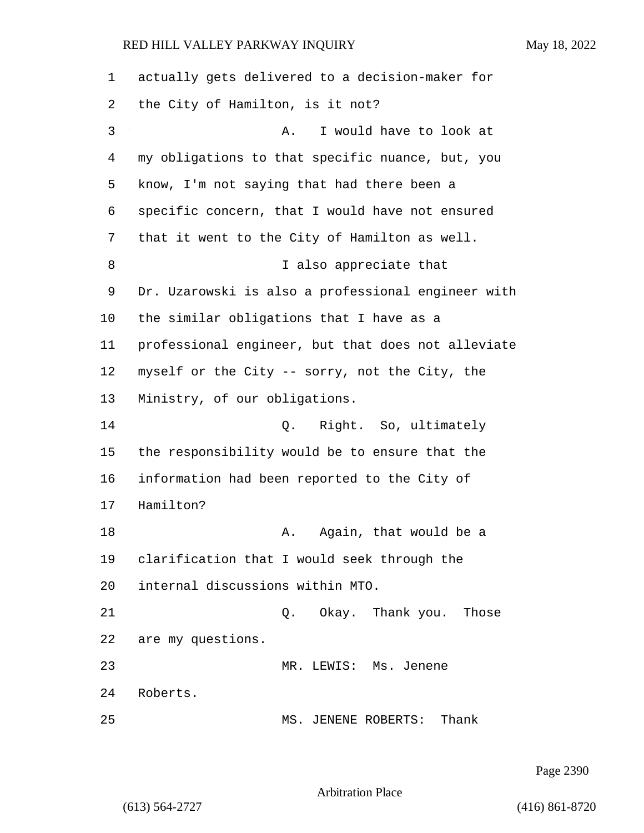actually gets delivered to a decision-maker for the City of Hamilton, is it not? 3 A. I would have to look at my obligations to that specific nuance, but, you know, I'm not saying that had there been a specific concern, that I would have not ensured that it went to the City of Hamilton as well. 8 I also appreciate that Dr. Uzarowski is also a professional engineer with the similar obligations that I have as a professional engineer, but that does not alleviate myself or the City -- sorry, not the City, the Ministry, of our obligations. 14 Q. Right. So, ultimately the responsibility would be to ensure that the information had been reported to the City of Hamilton? 18 A. Again, that would be a clarification that I would seek through the internal discussions within MTO. 21 Q. Okay. Thank you. Those are my questions. 23 MR. LEWIS: Ms. Jenene Roberts. 25 MS. JENENE ROBERTS: Thank

Page 2390

Arbitration Place

(613) 564-2727 (416) 861-8720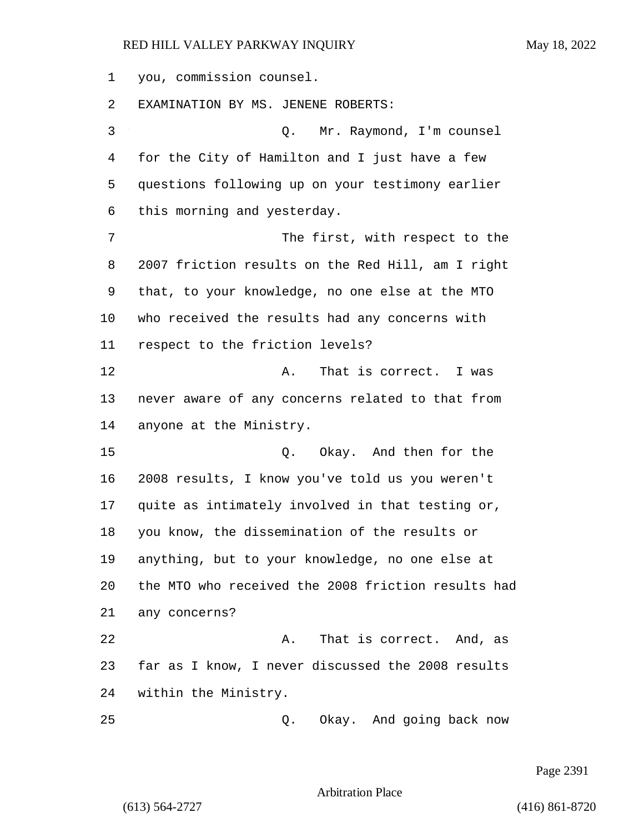you, commission counsel. EXAMINATION BY MS. JENENE ROBERTS: 3 Q. Mr. Raymond, I'm counsel

 for the City of Hamilton and I just have a few questions following up on your testimony earlier this morning and yesterday.

7 The first, with respect to the 2007 friction results on the Red Hill, am I right that, to your knowledge, no one else at the MTO who received the results had any concerns with respect to the friction levels?

12 A. That is correct. I was never aware of any concerns related to that from anyone at the Ministry.

15 Q. Okay. And then for the 2008 results, I know you've told us you weren't quite as intimately involved in that testing or, you know, the dissemination of the results or anything, but to your knowledge, no one else at the MTO who received the 2008 friction results had any concerns? 22 A. That is correct. And, as

 far as I know, I never discussed the 2008 results within the Ministry.

25 Q. Okay. And going back now

Page 2391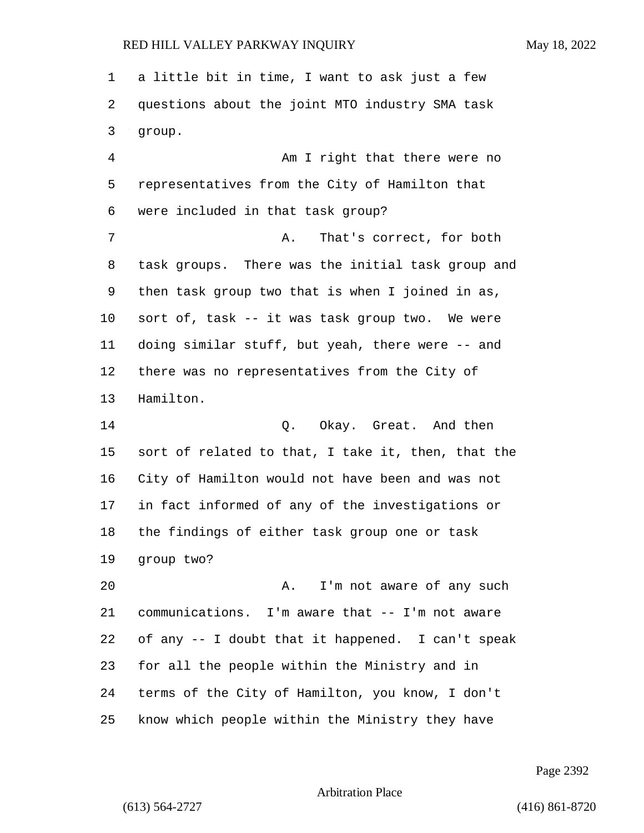a little bit in time, I want to ask just a few questions about the joint MTO industry SMA task group.

4 Am I right that there were no representatives from the City of Hamilton that were included in that task group? 7 A. That's correct, for both task groups. There was the initial task group and then task group two that is when I joined in as, sort of, task -- it was task group two. We were doing similar stuff, but yeah, there were -- and there was no representatives from the City of Hamilton.

14 Q. Okay. Great. And then sort of related to that, I take it, then, that the City of Hamilton would not have been and was not in fact informed of any of the investigations or the findings of either task group one or task group two?

20 A. I'm not aware of any such communications. I'm aware that -- I'm not aware of any -- I doubt that it happened. I can't speak for all the people within the Ministry and in terms of the City of Hamilton, you know, I don't know which people within the Ministry they have

Page 2392

Arbitration Place

(613) 564-2727 (416) 861-8720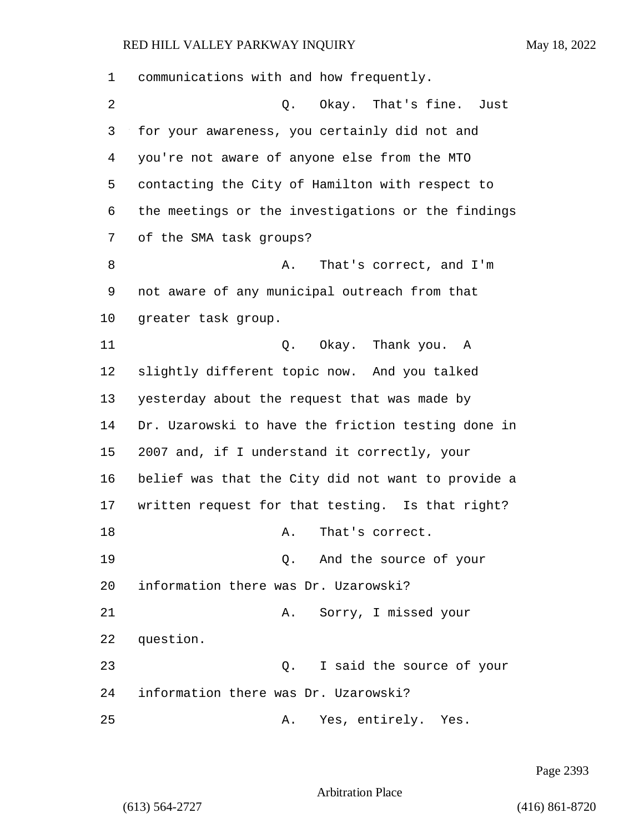| 1  | communications with and how frequently.            |
|----|----------------------------------------------------|
| 2  | Q. Okay. That's fine.<br>Just                      |
| 3  | for your awareness, you certainly did not and      |
| 4  | you're not aware of anyone else from the MTO       |
| 5  | contacting the City of Hamilton with respect to    |
| 6  | the meetings or the investigations or the findings |
| 7  | of the SMA task groups?                            |
| 8  | That's correct, and I'm<br>Α.                      |
| 9  | not aware of any municipal outreach from that      |
| 10 | greater task group.                                |
| 11 | Q. Okay. Thank you. A                              |
| 12 | slightly different topic now. And you talked       |
| 13 | yesterday about the request that was made by       |
| 14 | Dr. Uzarowski to have the friction testing done in |
| 15 | 2007 and, if I understand it correctly, your       |
| 16 | belief was that the City did not want to provide a |
| 17 | written request for that testing. Is that right?   |
| 18 | That's correct.<br>Α.                              |
| 19 | Q. And the source of your                          |
| 20 | information there was Dr. Uzarowski?               |
| 21 | Sorry, I missed your<br>Α.                         |
| 22 | question.                                          |
| 23 | I said the source of your<br>О.                    |
| 24 | information there was Dr. Uzarowski?               |
| 25 | Yes, entirely. Yes.<br>Α.                          |

Page 2393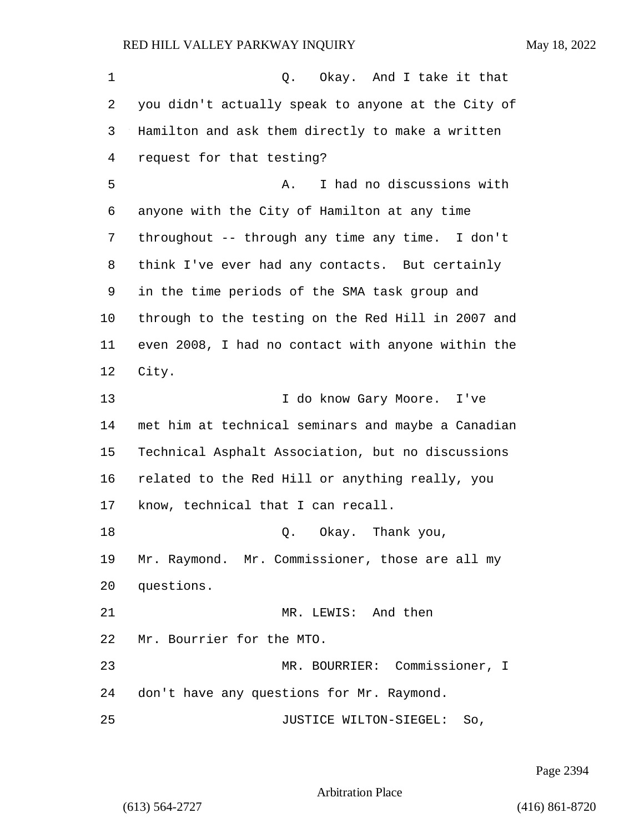1 C. Okay. And I take it that you didn't actually speak to anyone at the City of Hamilton and ask them directly to make a written request for that testing? 5 A. I had no discussions with anyone with the City of Hamilton at any time throughout -- through any time any time. I don't think I've ever had any contacts. But certainly in the time periods of the SMA task group and through to the testing on the Red Hill in 2007 and even 2008, I had no contact with anyone within the City. 13 13 I do know Gary Moore. I've met him at technical seminars and maybe a Canadian Technical Asphalt Association, but no discussions related to the Red Hill or anything really, you know, technical that I can recall. 18 Q. Okay. Thank you, Mr. Raymond. Mr. Commissioner, those are all my questions. 21 MR. LEWIS: And then Mr. Bourrier for the MTO. 23 MR. BOURRIER: Commissioner, I don't have any questions for Mr. Raymond. 25 JUSTICE WILTON-SIEGEL: So,

Page 2394

Arbitration Place

(613) 564-2727 (416) 861-8720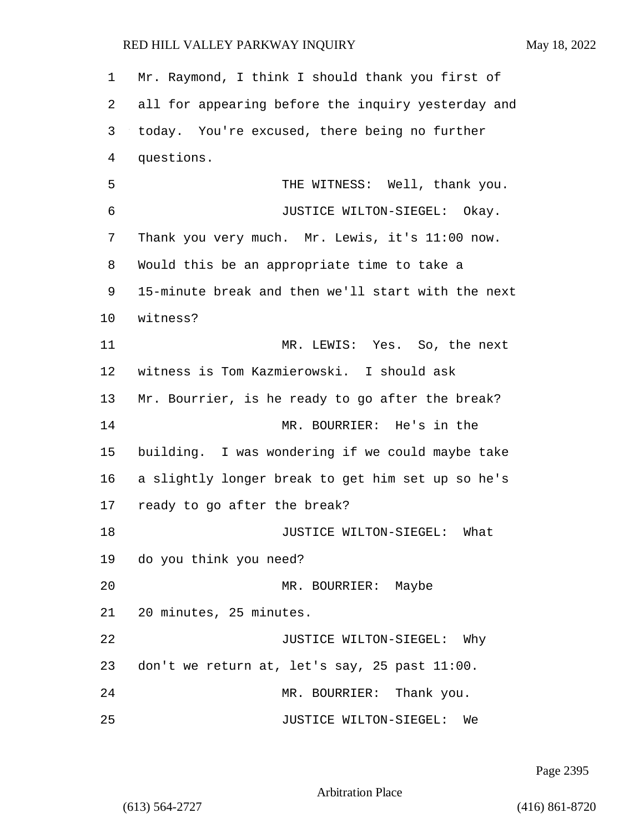1 Mr. Raymond, I think I should thank you first of 2 all for appearing before the inquiry yesterday and 3 today. You're excused, there being no further 4 questions. 5 THE WITNESS: Well, thank you. 6 JUSTICE WILTON-SIEGEL: Okay. 7 Thank you very much. Mr. Lewis, it's 11:00 now. 8 Would this be an appropriate time to take a 9 15-minute break and then we'll start with the next 10 witness? 11 MR. LEWIS: Yes. So, the next 12 witness is Tom Kazmierowski. I should ask 13 Mr. Bourrier, is he ready to go after the break? 14 MR. BOURRIER: He's in the 15 building. I was wondering if we could maybe take 16 a slightly longer break to get him set up so he's 17 ready to go after the break? 18 JUSTICE WILTON-SIEGEL: What 19 do you think you need? 20 MR. BOURRIER: Maybe 21 20 minutes, 25 minutes. 22 JUSTICE WILTON-SIEGEL: Why 23 don't we return at, let's say, 25 past 11:00. 24 MR. BOURRIER: Thank you. 25 JUSTICE WILTON-SIEGEL: We

Page 2395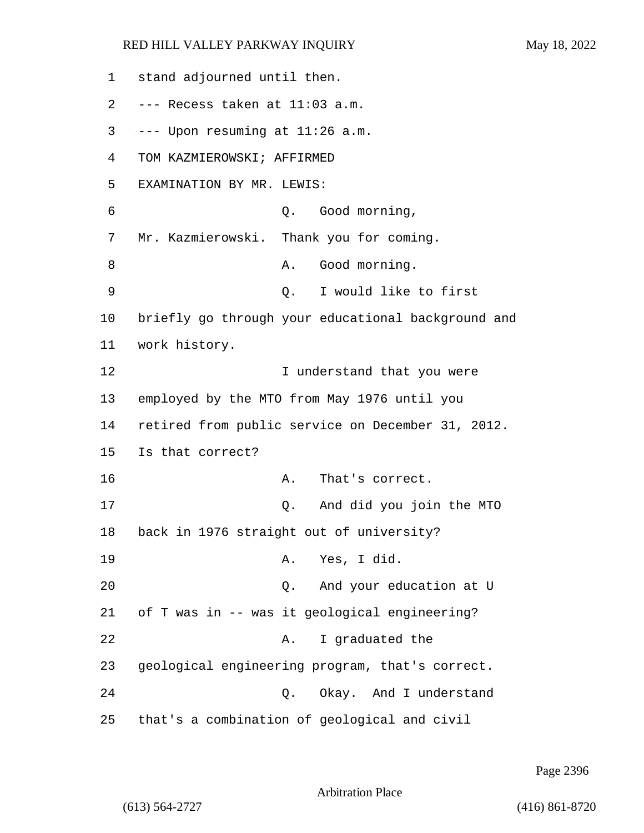stand adjourned until then. --- Recess taken at 11:03 a.m. --- Upon resuming at  $11:26$  a.m. TOM KAZMIEROWSKI; AFFIRMED EXAMINATION BY MR. LEWIS: 6 Q. Good morning, Mr. Kazmierowski. Thank you for coming. 8 A. Good morning. 9 Q. I would like to first briefly go through your educational background and work history. **I** understand that you were employed by the MTO from May 1976 until you retired from public service on December 31, 2012. Is that correct? 16 A. That's correct. 17 Q. And did you join the MTO back in 1976 straight out of university? 19 A. Yes, I did. 20 Q. And your education at U of T was in -- was it geological engineering? 22 A. I graduated the geological engineering program, that's correct. 24 Q. Okay. And I understand that's a combination of geological and civil

Page 2396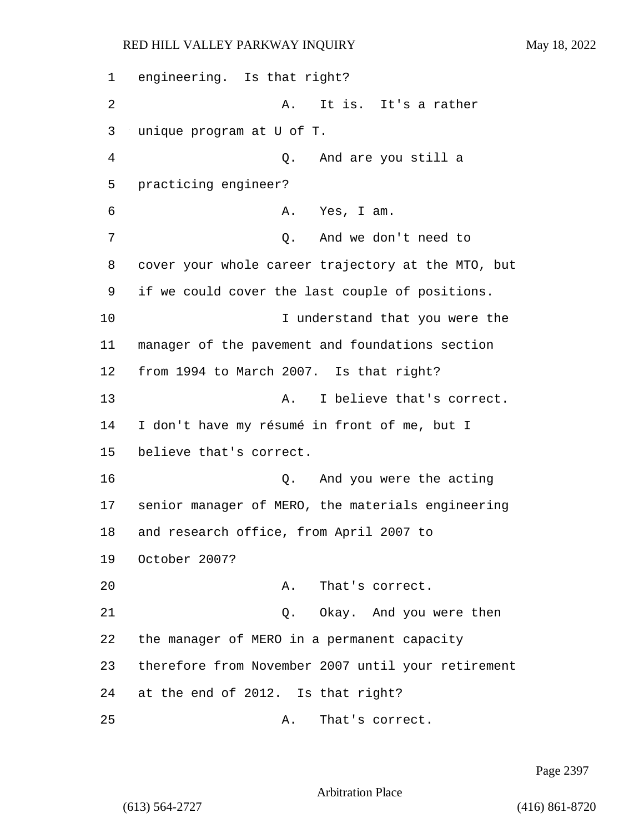1 engineering. Is that right? 2 A. It is. It's a rather 3 unique program at U of T. 4 Q. And are you still a 5 practicing engineer? 6 A. Yes, I am. 7 Q. And we don't need to 8 cover your whole career trajectory at the MTO, but 9 if we could cover the last couple of positions. 10 10 I understand that you were the 11 manager of the pavement and foundations section 12 from 1994 to March 2007. Is that right? 13 A. I believe that's correct. 14 I don't have my résumé in front of me, but I 15 believe that's correct. 16 Q. And you were the acting 17 senior manager of MERO, the materials engineering 18 and research office, from April 2007 to 19 October 2007? 20 A. That's correct. 21 Q. Okay. And you were then 22 the manager of MERO in a permanent capacity 23 therefore from November 2007 until your retirement 24 at the end of 2012. Is that right? 25 A. That's correct.

Page 2397

Arbitration Place

(613) 564-2727 (416) 861-8720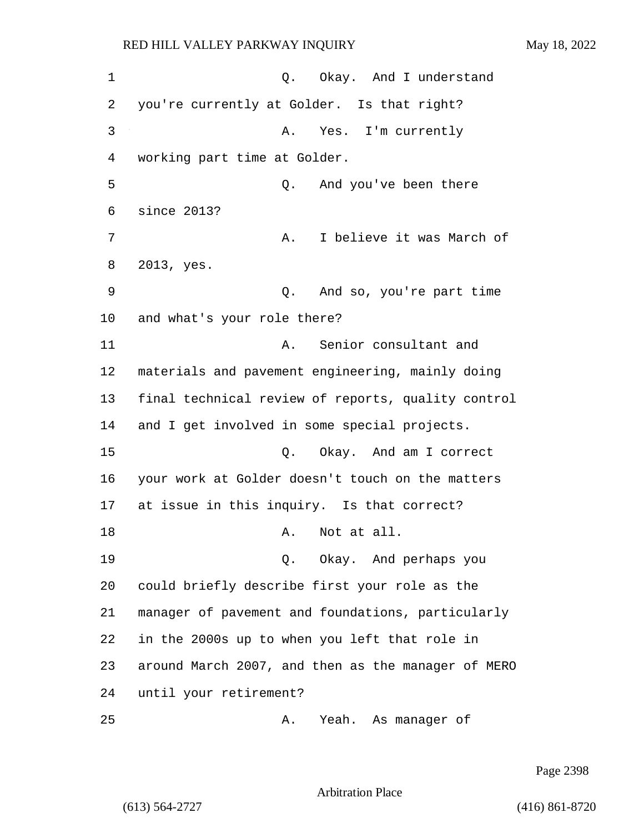1 0. Okay. And I understand you're currently at Golder. Is that right? 3 A. Yes. I'm currently working part time at Golder. 5 Q. And you've been there since 2013? **A.** I believe it was March of 2013, yes. 9 Q. And so, you're part time and what's your role there? 11 A. Senior consultant and materials and pavement engineering, mainly doing final technical review of reports, quality control and I get involved in some special projects. 15 Q. Okay. And am I correct your work at Golder doesn't touch on the matters at issue in this inquiry. Is that correct? 18 A. Not at all. 19 Q. Okay. And perhaps you could briefly describe first your role as the manager of pavement and foundations, particularly in the 2000s up to when you left that role in around March 2007, and then as the manager of MERO until your retirement? 25 A. Yeah. As manager of

Page 2398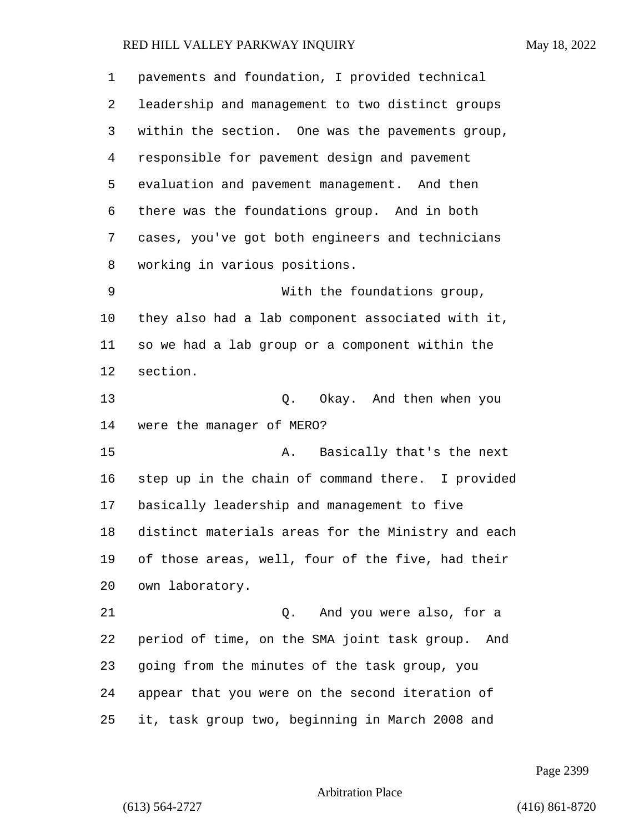| $\mathbf 1$ | pavements and foundation, I provided technical      |
|-------------|-----------------------------------------------------|
| 2           | leadership and management to two distinct groups    |
| 3           | within the section. One was the pavements group,    |
| 4           | responsible for pavement design and pavement        |
| 5           | evaluation and pavement management. And then        |
| 6           | there was the foundations group. And in both        |
| 7           | cases, you've got both engineers and technicians    |
| 8           | working in various positions.                       |
| 9           | With the foundations group,                         |
| 10          | they also had a lab component associated with it,   |
| 11          | so we had a lab group or a component within the     |
| 12          | section.                                            |
| 13          | Q. Okay. And then when you                          |
| 14          | were the manager of MERO?                           |
| 15          | Basically that's the next<br>Α.                     |
| 16          | step up in the chain of command there. I provided   |
| 17          | basically leadership and management to five         |
| 18          | distinct materials areas for the Ministry and each  |
| 19          | of those areas, well, four of the five, had their   |
| 20          | own laboratory.                                     |
| 21          | Q. And you were also, for a                         |
| 22          | period of time, on the SMA joint task group.<br>And |
| 23          | going from the minutes of the task group, you       |
| 24          | appear that you were on the second iteration of     |
| 25          | it, task group two, beginning in March 2008 and     |

Page 2399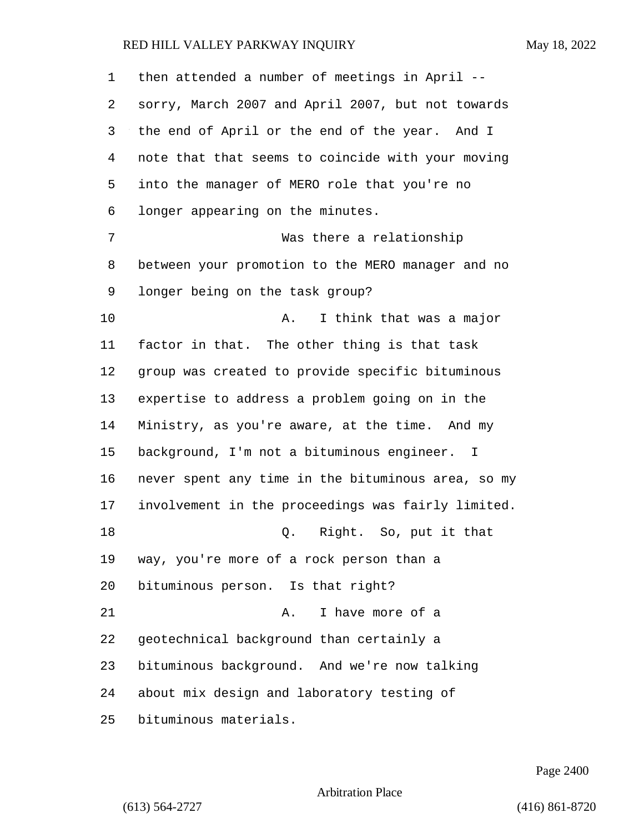| 1  | then attended a number of meetings in April --     |
|----|----------------------------------------------------|
| 2  | sorry, March 2007 and April 2007, but not towards  |
| 3  | the end of April or the end of the year. And I     |
| 4  | note that that seems to coincide with your moving  |
| 5  | into the manager of MERO role that you're no       |
| 6  | longer appearing on the minutes.                   |
| 7  | Was there a relationship                           |
| 8  | between your promotion to the MERO manager and no  |
| 9  | longer being on the task group?                    |
| 10 | I think that was a major<br>Α.                     |
| 11 | factor in that. The other thing is that task       |
| 12 | group was created to provide specific bituminous   |
| 13 | expertise to address a problem going on in the     |
| 14 | Ministry, as you're aware, at the time. And my     |
| 15 | background, I'm not a bituminous engineer. I       |
| 16 | never spent any time in the bituminous area, so my |
| 17 | involvement in the proceedings was fairly limited. |
| 18 | Right. So, put it that<br>Q.                       |
| 19 | way, you're more of a rock person than a           |
| 20 | bituminous person. Is that right?                  |
| 21 | I have more of a<br>Α.                             |
| 22 | geotechnical background than certainly a           |
| 23 | bituminous background. And we're now talking       |
| 24 | about mix design and laboratory testing of         |
| 25 | bituminous materials.                              |

Page 2400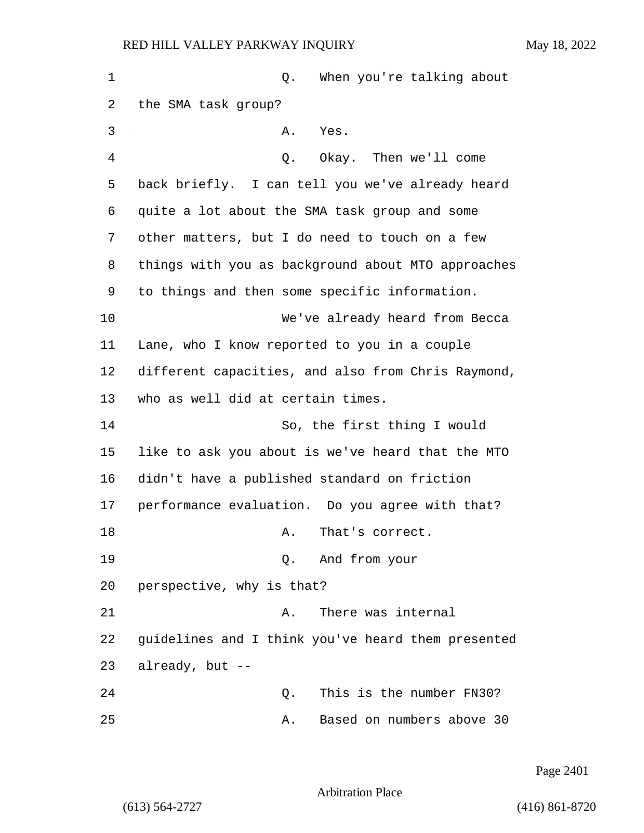| 1  | When you're talking about<br>Q.                    |
|----|----------------------------------------------------|
| 2  | the SMA task group?                                |
| 3  | A.<br>Yes.                                         |
| 4  | Q. Okay. Then we'll come                           |
| 5  | back briefly. I can tell you we've already heard   |
| 6  | quite a lot about the SMA task group and some      |
| 7  | other matters, but I do need to touch on a few     |
| 8  | things with you as background about MTO approaches |
| 9  | to things and then some specific information.      |
| 10 | We've already heard from Becca                     |
| 11 | Lane, who I know reported to you in a couple       |
| 12 | different capacities, and also from Chris Raymond, |
| 13 | who as well did at certain times.                  |
| 14 | So, the first thing I would                        |
| 15 | like to ask you about is we've heard that the MTO  |
| 16 | didn't have a published standard on friction       |
| 17 | performance evaluation. Do you agree with that?    |
| 18 | That's correct.<br>Α.                              |
| 19 | Q. And from your                                   |
| 20 | perspective, why is that?                          |
| 21 | There was internal<br>Α.                           |
| 22 | guidelines and I think you've heard them presented |
| 23 | already, but --                                    |
| 24 | This is the number FN30?<br>Q.                     |
| 25 | Based on numbers above 30<br>Α.                    |

Page 2401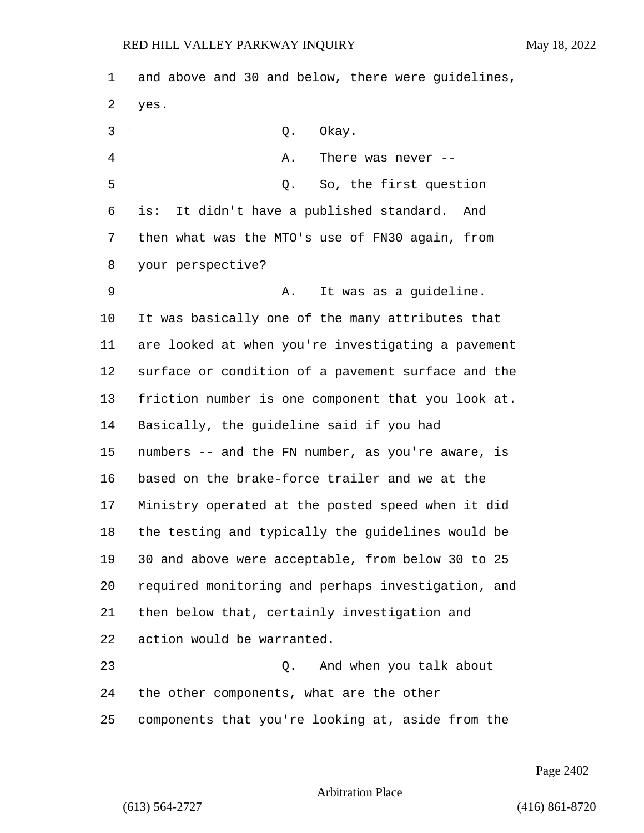and above and 30 and below, there were guidelines, yes. 3 Q. Okay. 4 A. There was never -- 5 Q. So, the first question is: It didn't have a published standard. And then what was the MTO's use of FN30 again, from your perspective? 9 A. It was as a guideline. It was basically one of the many attributes that are looked at when you're investigating a pavement surface or condition of a pavement surface and the friction number is one component that you look at. Basically, the guideline said if you had numbers -- and the FN number, as you're aware, is based on the brake-force trailer and we at the Ministry operated at the posted speed when it did the testing and typically the guidelines would be 30 and above were acceptable, from below 30 to 25 required monitoring and perhaps investigation, and then below that, certainly investigation and action would be warranted. 23 Q. And when you talk about the other components, what are the other components that you're looking at, aside from the

Page 2402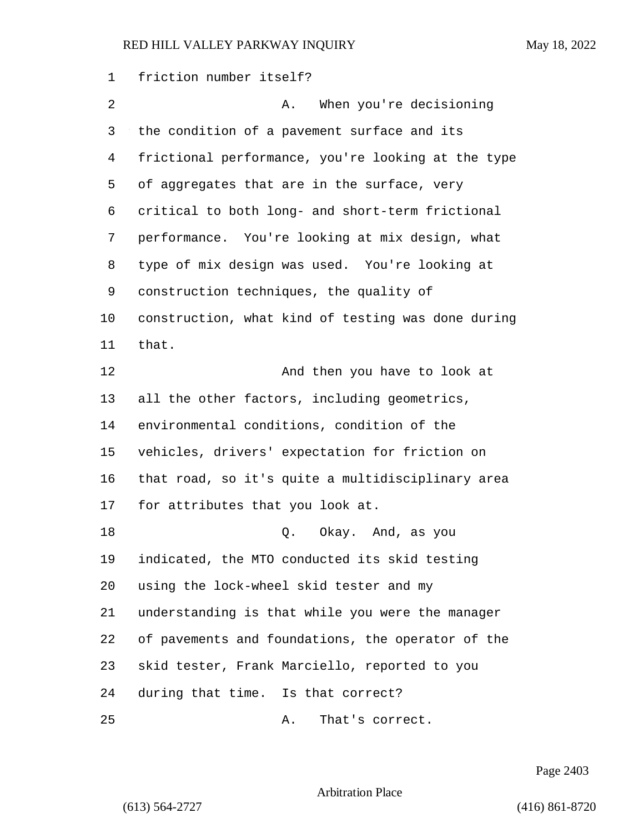friction number itself? 2 A. When you're decisioning the condition of a pavement surface and its frictional performance, you're looking at the type of aggregates that are in the surface, very critical to both long- and short-term frictional performance. You're looking at mix design, what type of mix design was used. You're looking at construction techniques, the quality of construction, what kind of testing was done during that. 12 And then you have to look at all the other factors, including geometrics, environmental conditions, condition of the vehicles, drivers' expectation for friction on that road, so it's quite a multidisciplinary area for attributes that you look at. 18 Q. Okay. And, as you indicated, the MTO conducted its skid testing using the lock-wheel skid tester and my understanding is that while you were the manager of pavements and foundations, the operator of the skid tester, Frank Marciello, reported to you during that time. Is that correct? 25 A. That's correct.

Page 2403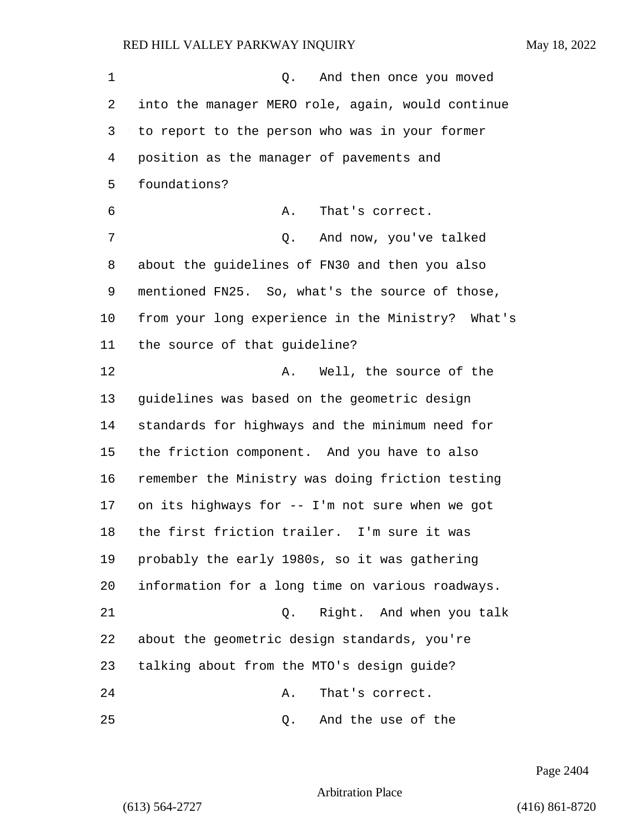| 1  | And then once you moved<br>Q.                     |
|----|---------------------------------------------------|
| 2  | into the manager MERO role, again, would continue |
| 3  | to report to the person who was in your former    |
| 4  | position as the manager of pavements and          |
| 5  | foundations?                                      |
| 6  | That's correct.<br>Α.                             |
| 7  | And now, you've talked<br>Q.                      |
| 8  | about the guidelines of FN30 and then you also    |
| 9  | mentioned FN25. So, what's the source of those,   |
| 10 | from your long experience in the Ministry? What's |
| 11 | the source of that guideline?                     |
| 12 | Well, the source of the<br>Α.                     |
| 13 | guidelines was based on the geometric design      |
| 14 | standards for highways and the minimum need for   |
| 15 | the friction component. And you have to also      |
| 16 | remember the Ministry was doing friction testing  |
| 17 | on its highways for -- I'm not sure when we got   |
| 18 | the first friction trailer. I'm sure it was       |
| 19 | probably the early 1980s, so it was gathering     |
| 20 | information for a long time on various roadways.  |
| 21 | Right. And when you talk<br>Q.                    |
| 22 | about the geometric design standards, you're      |
| 23 | talking about from the MTO's design guide?        |
| 24 | That's correct.<br>Α.                             |
| 25 | And the use of the<br>Q.                          |

Page 2404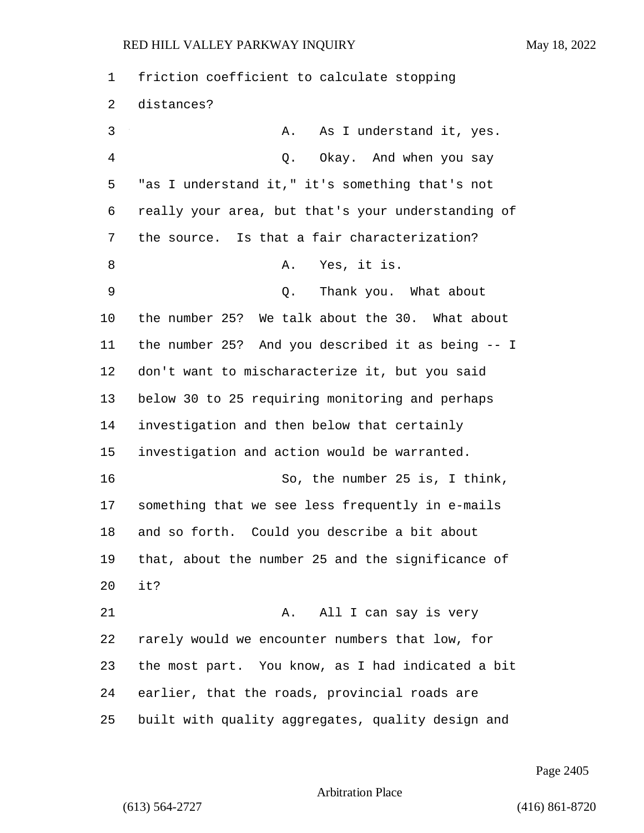| 1  | friction coefficient to calculate stopping         |
|----|----------------------------------------------------|
| 2  | distances?                                         |
| 3  | As I understand it, yes.<br>Α.                     |
| 4  | Okay. And when you say<br>Q.                       |
| 5  | "as I understand it," it's something that's not    |
| 6  | really your area, but that's your understanding of |
| 7  | the source. Is that a fair characterization?       |
| 8  | Yes, it is.<br>Α.                                  |
| 9  | Thank you. What about<br>Q.                        |
| 10 | the number 25? We talk about the 30. What about    |
| 11 | the number 25? And you described it as being -- I  |
| 12 | don't want to mischaracterize it, but you said     |
| 13 | below 30 to 25 requiring monitoring and perhaps    |
| 14 | investigation and then below that certainly        |
| 15 | investigation and action would be warranted.       |
| 16 | So, the number 25 is, I think,                     |
| 17 | something that we see less frequently in e-mails   |
| 18 | and so forth. Could you describe a bit about       |
| 19 | that, about the number 25 and the significance of  |
| 20 | it?                                                |
| 21 | All I can say is very<br>Α.                        |
| 22 | rarely would we encounter numbers that low, for    |
| 23 | the most part. You know, as I had indicated a bit  |
| 24 | earlier, that the roads, provincial roads are      |
| 25 | built with quality aggregates, quality design and  |

Page 2405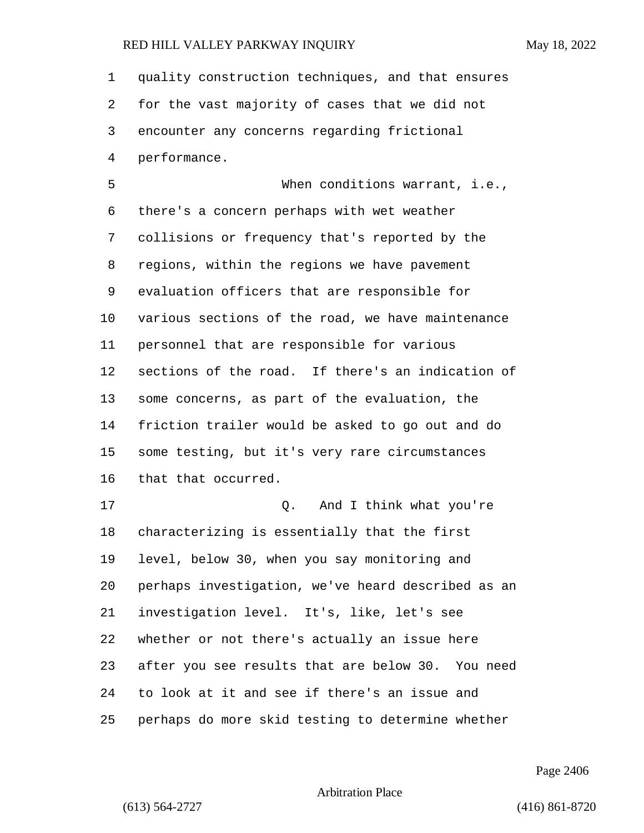quality construction techniques, and that ensures for the vast majority of cases that we did not encounter any concerns regarding frictional performance. 5 When conditions warrant, i.e., there's a concern perhaps with wet weather collisions or frequency that's reported by the regions, within the regions we have pavement evaluation officers that are responsible for various sections of the road, we have maintenance personnel that are responsible for various sections of the road. If there's an indication of some concerns, as part of the evaluation, the friction trailer would be asked to go out and do some testing, but it's very rare circumstances that that occurred. 17 and I think what you're characterizing is essentially that the first level, below 30, when you say monitoring and perhaps investigation, we've heard described as an investigation level. It's, like, let's see whether or not there's actually an issue here after you see results that are below 30. You need to look at it and see if there's an issue and perhaps do more skid testing to determine whether

Page 2406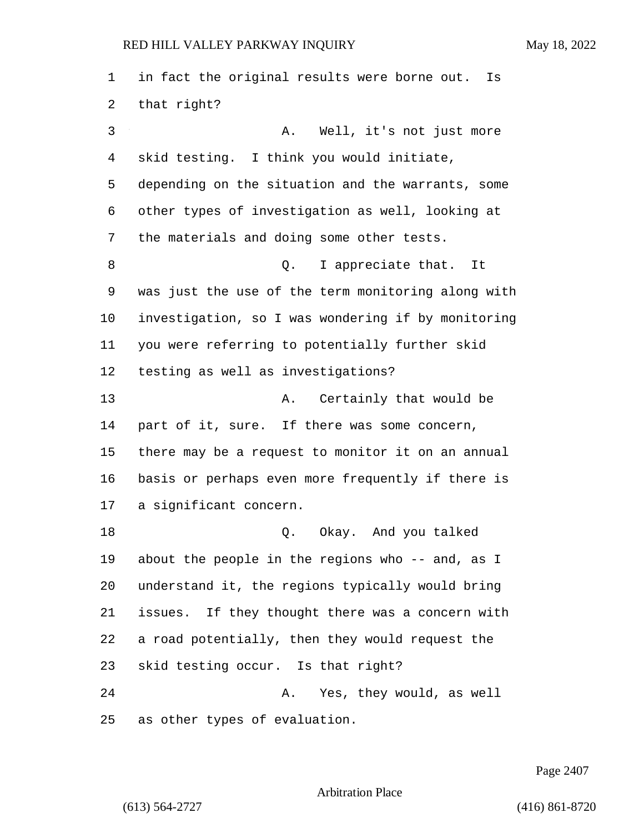in fact the original results were borne out. Is that right? 3 A. Well, it's not just more skid testing. I think you would initiate, depending on the situation and the warrants, some other types of investigation as well, looking at the materials and doing some other tests. 8 appreciate that. It was just the use of the term monitoring along with investigation, so I was wondering if by monitoring you were referring to potentially further skid testing as well as investigations? 13 A. Certainly that would be part of it, sure. If there was some concern, there may be a request to monitor it on an annual basis or perhaps even more frequently if there is a significant concern. 18 Q. Okay. And you talked about the people in the regions who -- and, as I understand it, the regions typically would bring issues. If they thought there was a concern with a road potentially, then they would request the skid testing occur. Is that right? 24 A. Yes, they would, as well as other types of evaluation.

Page 2407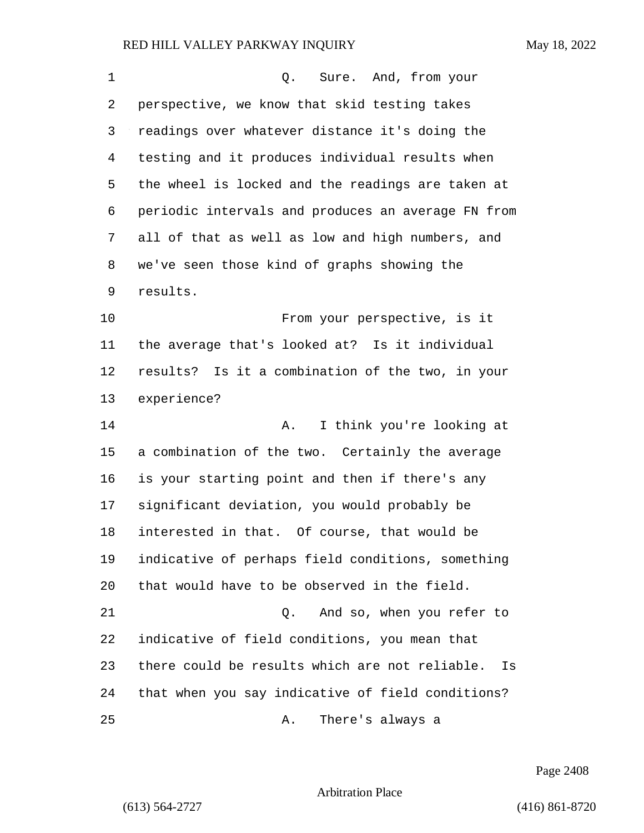| 1  | Sure. And, from your<br>Q.                           |
|----|------------------------------------------------------|
| 2  | perspective, we know that skid testing takes         |
| 3  | readings over whatever distance it's doing the       |
| 4  | testing and it produces individual results when      |
| 5  | the wheel is locked and the readings are taken at    |
| 6  | periodic intervals and produces an average FN from   |
| 7  | all of that as well as low and high numbers, and     |
| 8  | we've seen those kind of graphs showing the          |
| 9  | results.                                             |
| 10 | From your perspective, is it                         |
| 11 | the average that's looked at? Is it individual       |
| 12 | results? Is it a combination of the two, in your     |
| 13 | experience?                                          |
| 14 | I think you're looking at<br>Α.                      |
| 15 | a combination of the two. Certainly the average      |
| 16 | is your starting point and then if there's any       |
| 17 | significant deviation, you would probably be         |
| 18 | interested in that. Of course, that would be         |
| 19 | indicative of perhaps field conditions, something    |
| 20 | that would have to be observed in the field.         |
| 21 | And so, when you refer to<br>Q.                      |
| 22 | indicative of field conditions, you mean that        |
| 23 | there could be results which are not reliable.<br>Is |
| 24 | that when you say indicative of field conditions?    |
| 25 | There's always a<br>Α.                               |

Page 2408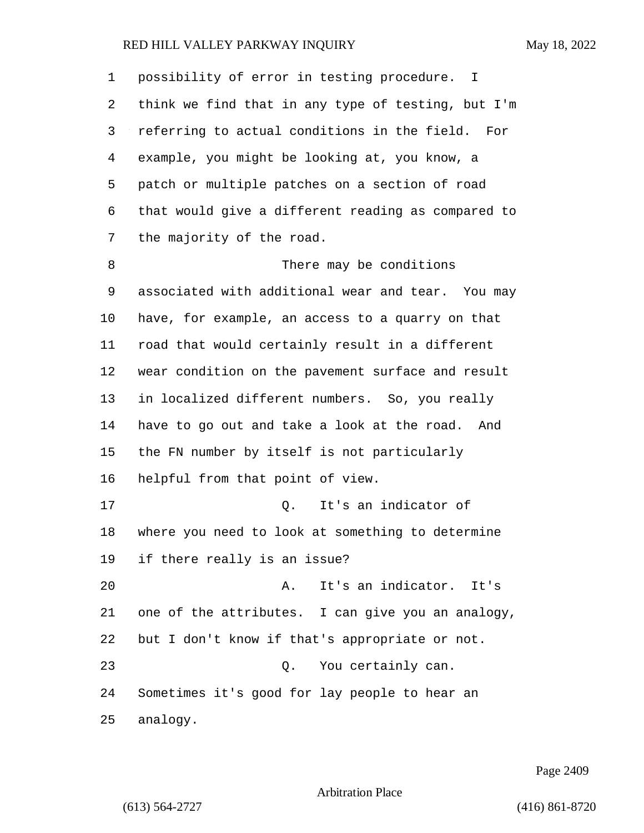| 1  | possibility of error in testing procedure. I       |
|----|----------------------------------------------------|
| 2  | think we find that in any type of testing, but I'm |
| 3  | referring to actual conditions in the field. For   |
| 4  | example, you might be looking at, you know, a      |
| 5  | patch or multiple patches on a section of road     |
| 6  | that would give a different reading as compared to |
| 7  | the majority of the road.                          |
| 8  | There may be conditions                            |
| 9  | associated with additional wear and tear. You may  |
| 10 | have, for example, an access to a quarry on that   |
| 11 | road that would certainly result in a different    |
| 12 | wear condition on the pavement surface and result  |
| 13 | in localized different numbers. So, you really     |
| 14 | have to go out and take a look at the road.<br>And |
| 15 | the FN number by itself is not particularly        |
| 16 | helpful from that point of view.                   |
| 17 | It's an indicator of<br>Q.                         |
| 18 | where you need to look at something to determine   |
| 19 | if there really is an issue?                       |
| 20 | It's an indicator. It's<br>Α.                      |
| 21 | one of the attributes. I can give you an analogy,  |
| 22 | but I don't know if that's appropriate or not.     |
| 23 | Q. You certainly can.                              |
| 24 | Sometimes it's good for lay people to hear an      |
| 25 | analogy.                                           |

Page 2409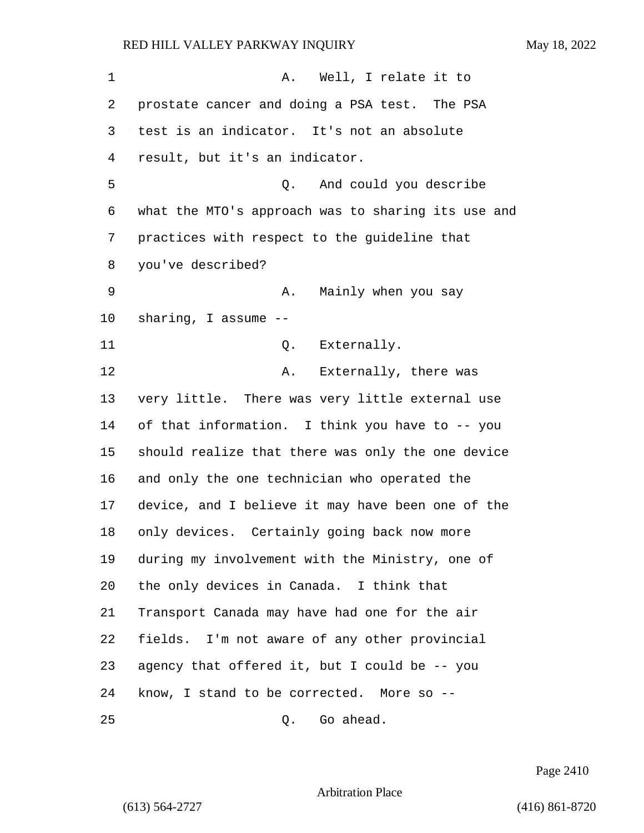1 A. Well, I relate it to prostate cancer and doing a PSA test. The PSA test is an indicator. It's not an absolute result, but it's an indicator. 5 Q. And could you describe what the MTO's approach was to sharing its use and practices with respect to the guideline that you've described? 9 A. Mainly when you say sharing, I assume -- 11 Q. Externally. 12 A. Externally, there was very little. There was very little external use of that information. I think you have to -- you should realize that there was only the one device and only the one technician who operated the device, and I believe it may have been one of the only devices. Certainly going back now more during my involvement with the Ministry, one of the only devices in Canada. I think that Transport Canada may have had one for the air fields. I'm not aware of any other provincial agency that offered it, but I could be -- you know, I stand to be corrected. More so -- 25 Q. Go ahead.

Page 2410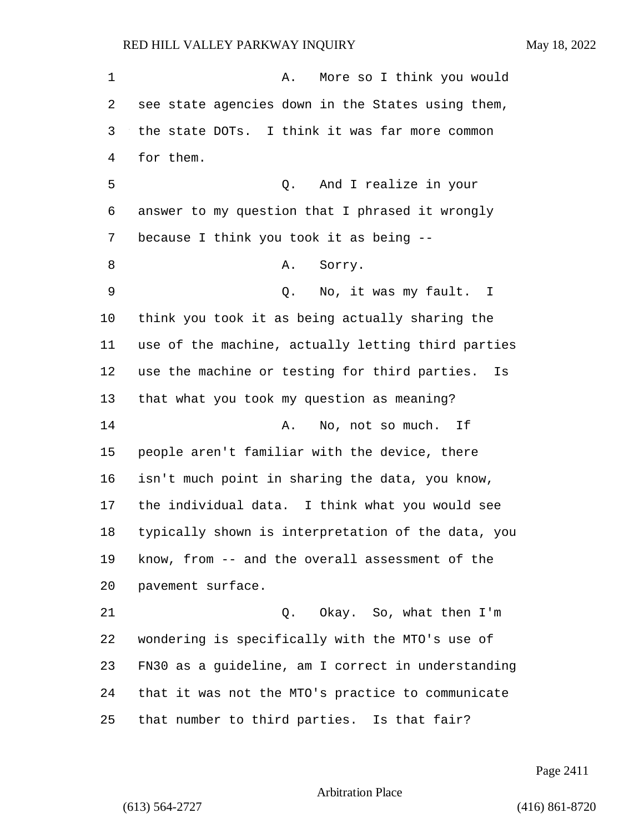for them.

1 A. More so I think you would see state agencies down in the States using them, the state DOTs. I think it was far more common 5 Q. And I realize in your answer to my question that I phrased it wrongly because I think you took it as being -- 8 A. Sorry. 9 Q. No, it was my fault. I think you took it as being actually sharing the use of the machine, actually letting third parties use the machine or testing for third parties. Is that what you took my question as meaning?

14 A. No, not so much. If people aren't familiar with the device, there isn't much point in sharing the data, you know, the individual data. I think what you would see typically shown is interpretation of the data, you know, from -- and the overall assessment of the pavement surface.

21 Q. Okay. So, what then I'm wondering is specifically with the MTO's use of FN30 as a guideline, am I correct in understanding that it was not the MTO's practice to communicate that number to third parties. Is that fair?

Page 2411

Arbitration Place

(613) 564-2727 (416) 861-8720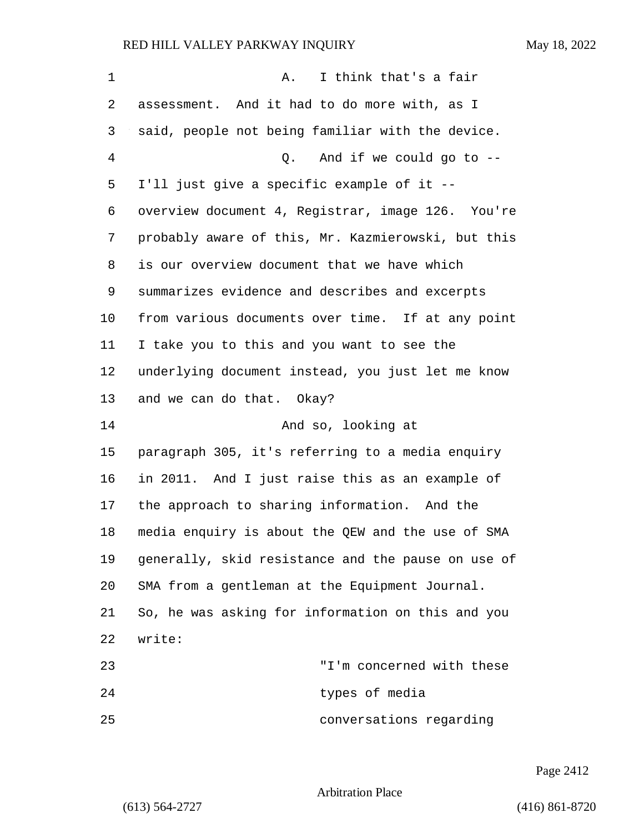| 1  | I think that's a fair<br>Α.                        |
|----|----------------------------------------------------|
| 2  | assessment. And it had to do more with, as I       |
| 3  | said, people not being familiar with the device.   |
| 4  | And if we could go to $-$ -<br>Q.                  |
| 5  | I'll just give a specific example of it --         |
| 6  | overview document 4, Registrar, image 126. You're  |
| 7  | probably aware of this, Mr. Kazmierowski, but this |
| 8  | is our overview document that we have which        |
| 9  | summarizes evidence and describes and excerpts     |
| 10 | from various documents over time. If at any point  |
| 11 | I take you to this and you want to see the         |
| 12 | underlying document instead, you just let me know  |
| 13 | and we can do that. Okay?                          |
| 14 | And so, looking at                                 |
| 15 | paragraph 305, it's referring to a media enquiry   |
| 16 | in 2011. And I just raise this as an example of    |
| 17 | the approach to sharing information. And the       |
| 18 | media enquiry is about the QEW and the use of SMA  |
| 19 | generally, skid resistance and the pause on use of |
| 20 | SMA from a gentleman at the Equipment Journal.     |
| 21 | So, he was asking for information on this and you  |
| 22 | write:                                             |
| 23 | "I'm concerned with these                          |
| 24 | types of media                                     |
| 25 | conversations regarding                            |

Page 2412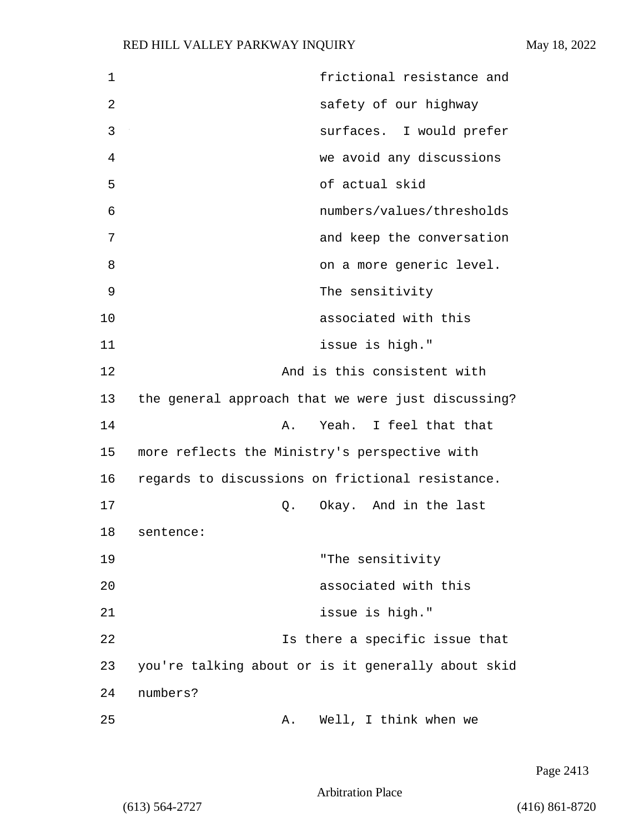| frictional resistance and                          |
|----------------------------------------------------|
|                                                    |
| safety of our highway                              |
| surfaces. I would prefer                           |
| we avoid any discussions                           |
| of actual skid                                     |
| numbers/values/thresholds                          |
| and keep the conversation                          |
| on a more generic level.                           |
| The sensitivity                                    |
| associated with this                               |
| issue is high."                                    |
| And is this consistent with                        |
| the general approach that we were just discussing? |
| Yeah. I feel that that<br>Α.                       |
| more reflects the Ministry's perspective with      |
| regards to discussions on frictional resistance.   |
| Okay. And in the last<br>Q.                        |
| sentence:                                          |
| "The sensitivity                                   |
| associated with this                               |
| issue is high."                                    |
| Is there a specific issue that                     |
| you're talking about or is it generally about skid |
| numbers?                                           |
| Well, I think when we<br>Α.                        |
|                                                    |

Page 2413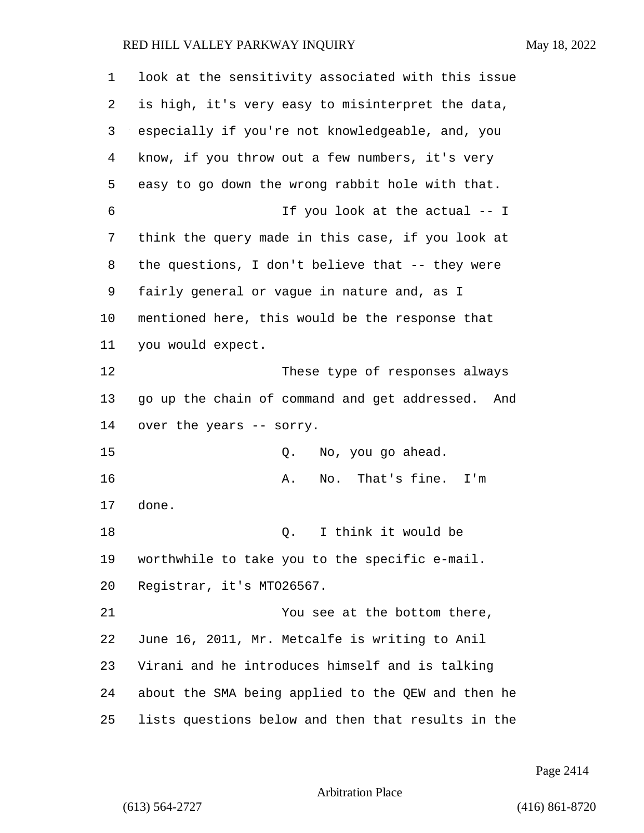| $\mathbf 1$    | look at the sensitivity associated with this issue |
|----------------|----------------------------------------------------|
| 2              | is high, it's very easy to misinterpret the data,  |
| 3              | especially if you're not knowledgeable, and, you   |
| $\overline{4}$ | know, if you throw out a few numbers, it's very    |
| 5              | easy to go down the wrong rabbit hole with that.   |
| 6              | If you look at the actual -- I                     |
| 7              | think the query made in this case, if you look at  |
| 8              | the questions, I don't believe that -- they were   |
| 9              | fairly general or vague in nature and, as I        |
| 10             | mentioned here, this would be the response that    |
| 11             | you would expect.                                  |
| 12             | These type of responses always                     |
| 13             | go up the chain of command and get addressed. And  |
| 14             | over the years -- sorry.                           |
| 15             | No, you go ahead.<br>Q.                            |
| 16             | No. That's fine.<br>Α.<br>I'm                      |
| 17             | done.                                              |
| 18             | I think it would be<br>Q.                          |
| 19             | worthwhile to take you to the specific e-mail.     |
| 20             | Registrar, it's MT026567.                          |
| 21             | You see at the bottom there,                       |
| 22             | June 16, 2011, Mr. Metcalfe is writing to Anil     |
| 23             | Virani and he introduces himself and is talking    |
| 24             | about the SMA being applied to the QEW and then he |
| 25             | lists questions below and then that results in the |

Page 2414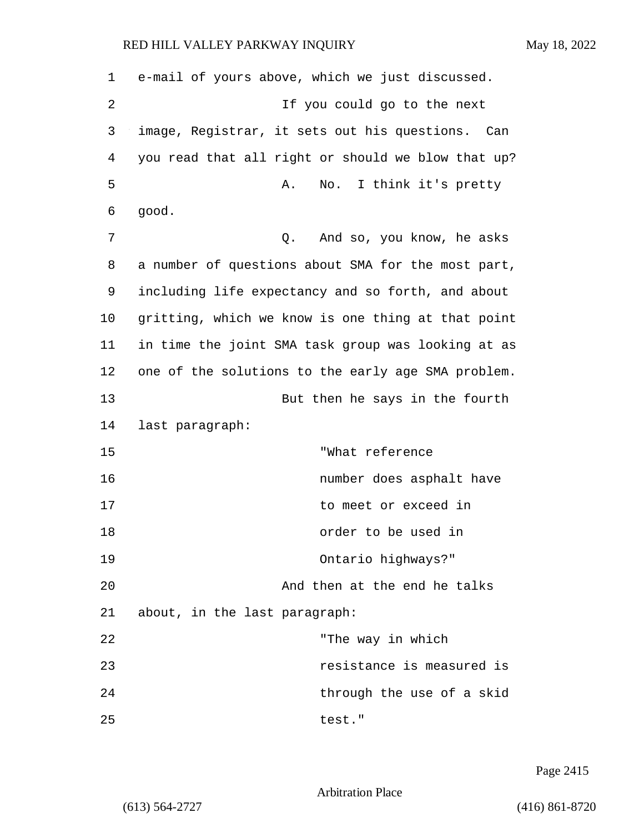| 1  | e-mail of yours above, which we just discussed.     |
|----|-----------------------------------------------------|
| 2  | If you could go to the next                         |
| 3  | image, Registrar, it sets out his questions.<br>Can |
| 4  | you read that all right or should we blow that up?  |
| 5  | I think it's pretty<br>Α.<br>No.                    |
| 6  | good.                                               |
| 7  | And so, you know, he asks<br>Q.                     |
| 8  | a number of questions about SMA for the most part,  |
| 9  | including life expectancy and so forth, and about   |
| 10 | gritting, which we know is one thing at that point  |
| 11 | in time the joint SMA task group was looking at as  |
| 12 | one of the solutions to the early age SMA problem.  |
| 13 | But then he says in the fourth                      |
| 14 | last paragraph:                                     |
| 15 | "What reference                                     |
| 16 | number does asphalt have                            |
| 17 | to meet or exceed in                                |
| 18 | order to be used in                                 |
| 19 | Ontario highways?"                                  |
| 20 | And then at the end he talks                        |
| 21 | about, in the last paragraph:                       |
| 22 | "The way in which                                   |
| 23 | resistance is measured is                           |
| 24 | through the use of a skid                           |
| 25 | test."                                              |

Page 2415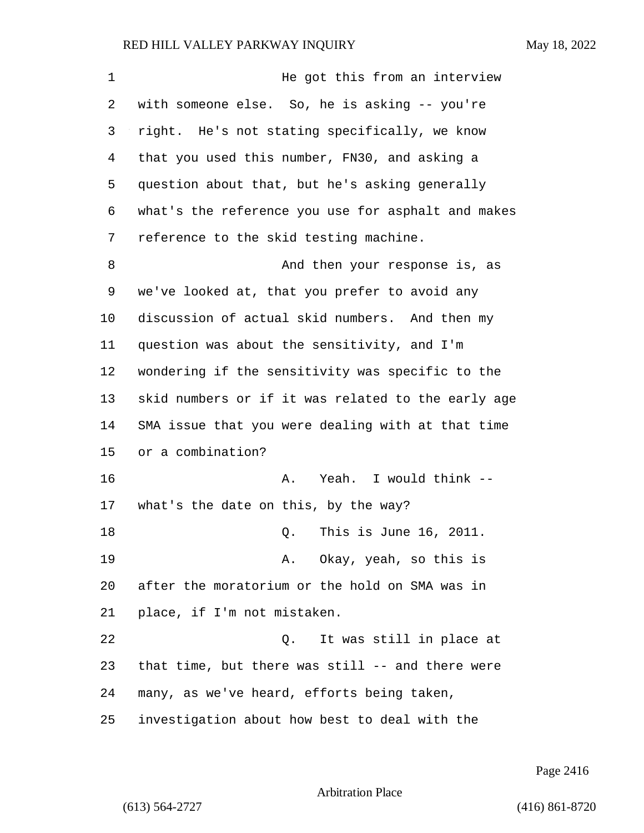| $\mathbf 1$ | He got this from an interview                      |
|-------------|----------------------------------------------------|
| 2           | with someone else. So, he is asking -- you're      |
| 3           | right. He's not stating specifically, we know      |
| 4           | that you used this number, FN30, and asking a      |
| 5           | question about that, but he's asking generally     |
| 6           | what's the reference you use for asphalt and makes |
| 7           | reference to the skid testing machine.             |
| 8           | And then your response is, as                      |
| 9           | we've looked at, that you prefer to avoid any      |
| 10          | discussion of actual skid numbers. And then my     |
| 11          | question was about the sensitivity, and I'm        |
| 12          | wondering if the sensitivity was specific to the   |
| 13          | skid numbers or if it was related to the early age |
| 14          | SMA issue that you were dealing with at that time  |
| 15          | or a combination?                                  |
| 16          | Yeah. I would think --<br>Α.                       |
| 17          | what's the date on this, by the way?               |
| 18          | This is June 16, 2011.<br>Q.                       |
| 19          | Okay, yeah, so this is<br>Α.                       |
| 20          | after the moratorium or the hold on SMA was in     |
| 21          | place, if I'm not mistaken.                        |
| 22          | It was still in place at<br>Q.                     |
| 23          | that time, but there was still -- and there were   |
| 24          | many, as we've heard, efforts being taken,         |
| 25          | investigation about how best to deal with the      |

Page 2416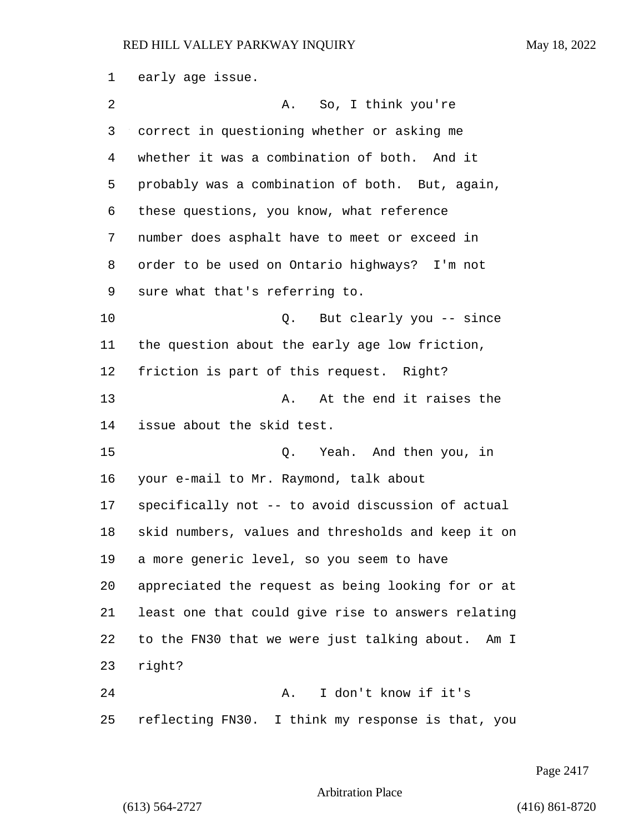early age issue. 2 A. So, I think you're correct in questioning whether or asking me whether it was a combination of both. And it probably was a combination of both. But, again, these questions, you know, what reference number does asphalt have to meet or exceed in order to be used on Ontario highways? I'm not sure what that's referring to. 10 Q. But clearly you -- since the question about the early age low friction, friction is part of this request. Right? 13 A. At the end it raises the issue about the skid test. 15 Q. Yeah. And then you, in your e-mail to Mr. Raymond, talk about specifically not -- to avoid discussion of actual skid numbers, values and thresholds and keep it on a more generic level, so you seem to have appreciated the request as being looking for or at least one that could give rise to answers relating to the FN30 that we were just talking about. Am I right? 24 A. I don't know if it's reflecting FN30. I think my response is that, you

Page 2417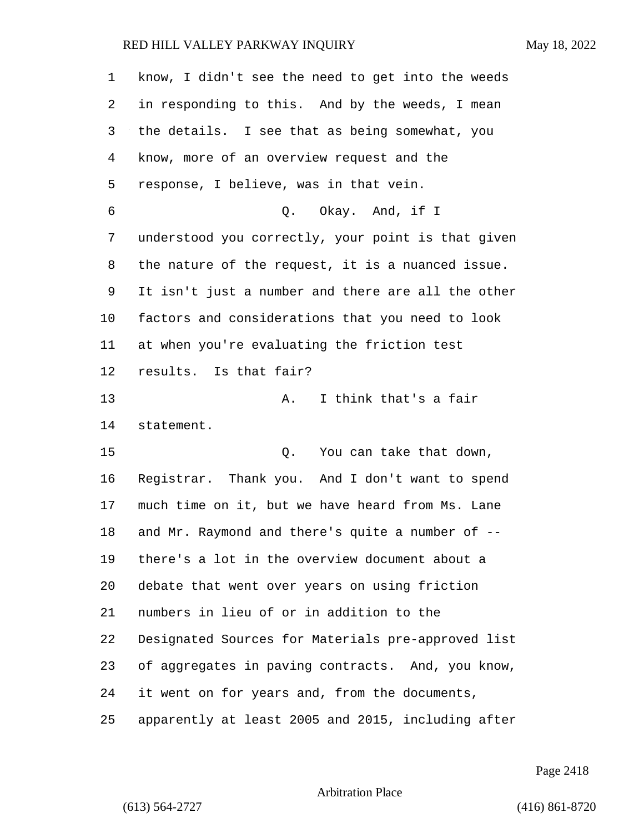| 1  | know, I didn't see the need to get into the weeds  |
|----|----------------------------------------------------|
| 2  | in responding to this. And by the weeds, I mean    |
| 3  | the details. I see that as being somewhat, you     |
| 4  | know, more of an overview request and the          |
| 5  | response, I believe, was in that vein.             |
| 6  | Q. Okay. And, if I                                 |
| 7  | understood you correctly, your point is that given |
| 8  | the nature of the request, it is a nuanced issue.  |
| 9  | It isn't just a number and there are all the other |
| 10 | factors and considerations that you need to look   |
| 11 | at when you're evaluating the friction test        |
| 12 | results. Is that fair?                             |
| 13 | I think that's a fair<br>Α.                        |
| 14 | statement.                                         |
| 15 | You can take that down,<br>Q.                      |
| 16 | Registrar. Thank you. And I don't want to spend    |
| 17 | much time on it, but we have heard from Ms. Lane   |
| 18 | and Mr. Raymond and there's quite a number of --   |
| 19 | there's a lot in the overview document about a     |
| 20 | debate that went over years on using friction      |
| 21 | numbers in lieu of or in addition to the           |
| 22 | Designated Sources for Materials pre-approved list |
| 23 | of aggregates in paving contracts. And, you know,  |
| 24 | it went on for years and, from the documents,      |
| 25 | apparently at least 2005 and 2015, including after |

Page 2418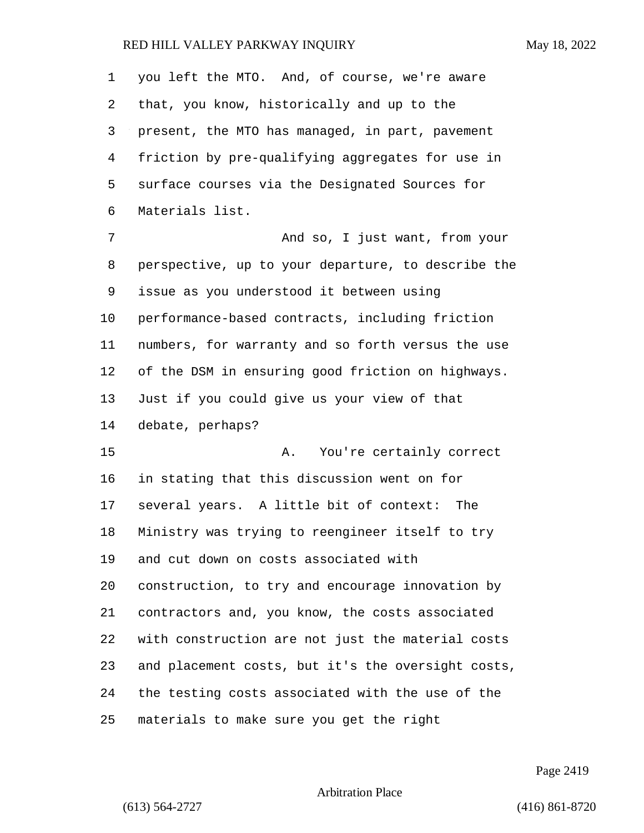you left the MTO. And, of course, we're aware that, you know, historically and up to the present, the MTO has managed, in part, pavement friction by pre-qualifying aggregates for use in surface courses via the Designated Sources for Materials list.

7 And so, I just want, from your perspective, up to your departure, to describe the issue as you understood it between using performance-based contracts, including friction numbers, for warranty and so forth versus the use of the DSM in ensuring good friction on highways. Just if you could give us your view of that debate, perhaps?

15 A. You're certainly correct in stating that this discussion went on for several years. A little bit of context: The Ministry was trying to reengineer itself to try and cut down on costs associated with construction, to try and encourage innovation by contractors and, you know, the costs associated with construction are not just the material costs and placement costs, but it's the oversight costs, the testing costs associated with the use of the materials to make sure you get the right

Page 2419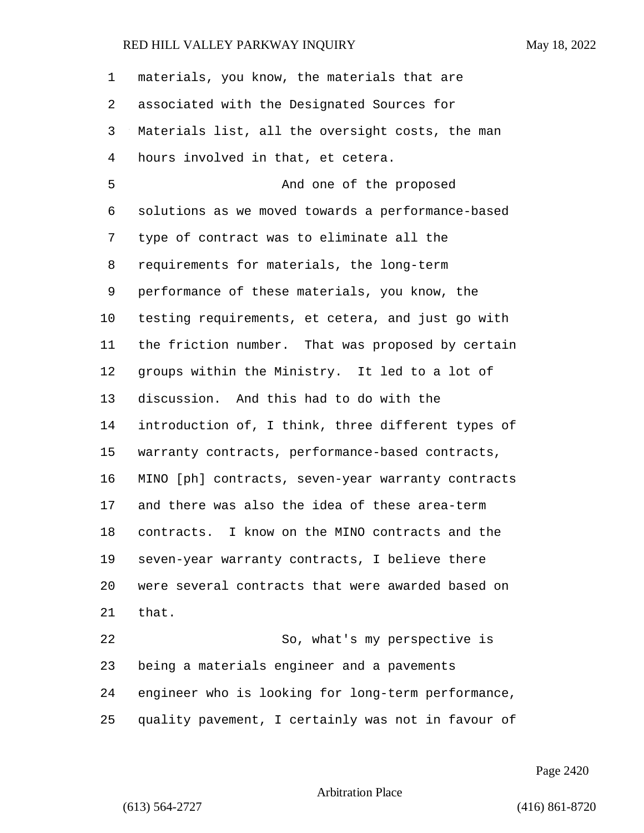| 1  | materials, you know, the materials that are        |
|----|----------------------------------------------------|
| 2  | associated with the Designated Sources for         |
| 3  | Materials list, all the oversight costs, the man   |
| 4  | hours involved in that, et cetera.                 |
| 5  | And one of the proposed                            |
| 6  | solutions as we moved towards a performance-based  |
| 7  | type of contract was to eliminate all the          |
| 8  | requirements for materials, the long-term          |
| 9  | performance of these materials, you know, the      |
| 10 | testing requirements, et cetera, and just go with  |
| 11 | the friction number. That was proposed by certain  |
| 12 | groups within the Ministry. It led to a lot of     |
| 13 | discussion. And this had to do with the            |
| 14 | introduction of, I think, three different types of |
| 15 | warranty contracts, performance-based contracts,   |
| 16 | MINO [ph] contracts, seven-year warranty contracts |
| 17 | and there was also the idea of these area-term     |
| 18 | contracts. I know on the MINO contracts and the    |
| 19 | seven-year warranty contracts, I believe there     |
| 20 | were several contracts that were awarded based on  |
| 21 | that.                                              |
| 22 | So, what's my perspective is                       |
| 23 | being a materials engineer and a pavements         |
| 24 | engineer who is looking for long-term performance, |
| 25 | quality pavement, I certainly was not in favour of |

Page 2420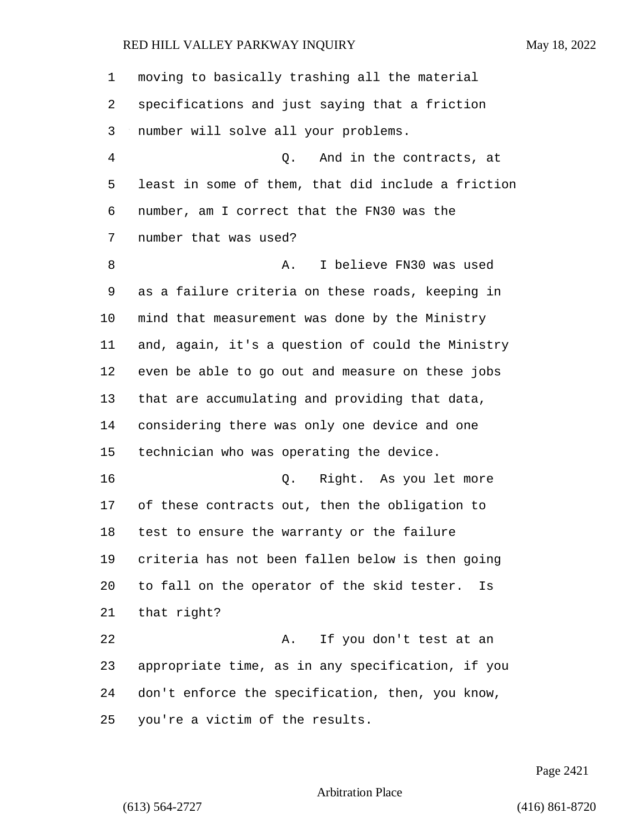| 1  | moving to basically trashing all the material      |
|----|----------------------------------------------------|
| 2  | specifications and just saying that a friction     |
| 3  | number will solve all your problems.               |
| 4  | And in the contracts, at<br>Q.                     |
| 5  | least in some of them, that did include a friction |
| 6  | number, am I correct that the FN30 was the         |
| 7  | number that was used?                              |
| 8  | I believe FN30 was used<br>Α.                      |
| 9  | as a failure criteria on these roads, keeping in   |
| 10 | mind that measurement was done by the Ministry     |
| 11 | and, again, it's a question of could the Ministry  |
| 12 | even be able to go out and measure on these jobs   |
| 13 | that are accumulating and providing that data,     |
| 14 | considering there was only one device and one      |
| 15 | technician who was operating the device.           |
| 16 | Right. As you let more<br>Q.                       |
| 17 | of these contracts out, then the obligation to     |
| 18 | test to ensure the warranty or the failure         |
| 19 | criteria has not been fallen below is then going   |
| 20 | to fall on the operator of the skid tester.<br>Is  |
| 21 | that right?                                        |
| 22 | If you don't test at an<br>Α.                      |
| 23 | appropriate time, as in any specification, if you  |
| 24 | don't enforce the specification, then, you know,   |
| 25 | you're a victim of the results.                    |

Page 2421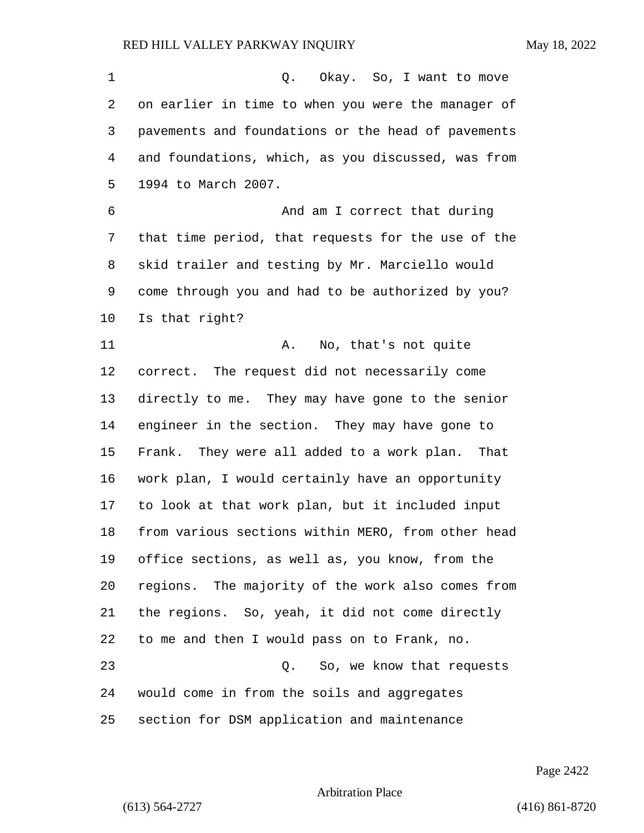| 1  | Okay. So, I want to move<br>Q.                     |
|----|----------------------------------------------------|
| 2  | on earlier in time to when you were the manager of |
| 3  | pavements and foundations or the head of pavements |
| 4  | and foundations, which, as you discussed, was from |
| 5  | 1994 to March 2007.                                |
| 6  | And am I correct that during                       |
| 7  | that time period, that requests for the use of the |
| 8  | skid trailer and testing by Mr. Marciello would    |
| 9  | come through you and had to be authorized by you?  |
| 10 | Is that right?                                     |
| 11 | Α.<br>No, that's not quite                         |
| 12 | correct. The request did not necessarily come      |
| 13 | directly to me. They may have gone to the senior   |
| 14 | engineer in the section. They may have gone to     |
| 15 | Frank. They were all added to a work plan.<br>That |
| 16 | work plan, I would certainly have an opportunity   |
| 17 | to look at that work plan, but it included input   |
| 18 | from various sections within MERO, from other head |
| 19 | office sections, as well as, you know, from the    |
| 20 | regions. The majority of the work also comes from  |
| 21 | the regions. So, yeah, it did not come directly    |
| 22 | to me and then I would pass on to Frank, no.       |
| 23 | So, we know that requests<br>Q.                    |
| 24 | would come in from the soils and aggregates        |
| 25 | section for DSM application and maintenance        |

Page 2422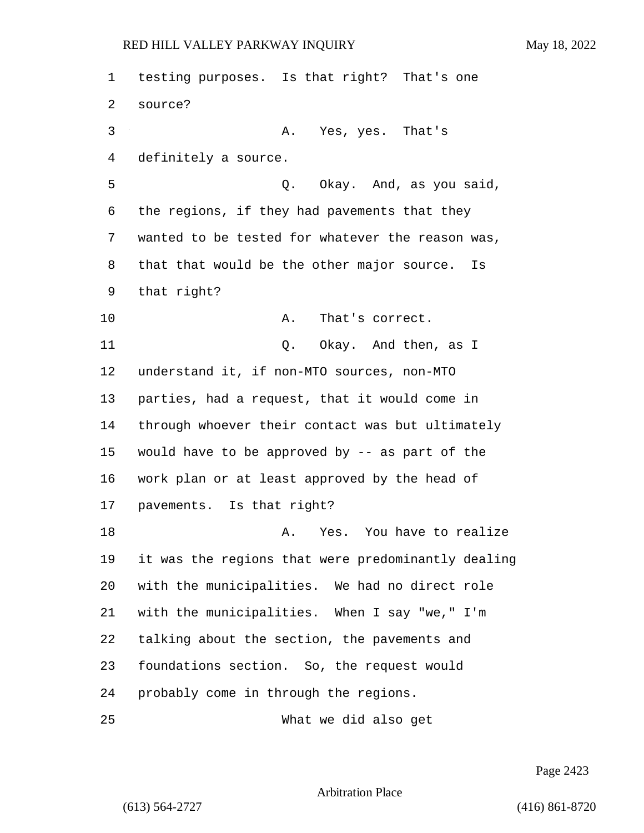testing purposes. Is that right? That's one source? 3 A. Yes, yes. That's definitely a source. 5 C. Okay. And, as you said, the regions, if they had pavements that they wanted to be tested for whatever the reason was, that that would be the other major source. Is that right? 10 A. That's correct. 11 Q. Okay. And then, as I understand it, if non-MTO sources, non-MTO parties, had a request, that it would come in through whoever their contact was but ultimately would have to be approved by -- as part of the work plan or at least approved by the head of pavements. Is that right? 18 A. Yes. You have to realize it was the regions that were predominantly dealing with the municipalities. We had no direct role with the municipalities. When I say "we," I'm talking about the section, the pavements and foundations section. So, the request would probably come in through the regions. 25 What we did also get

Page 2423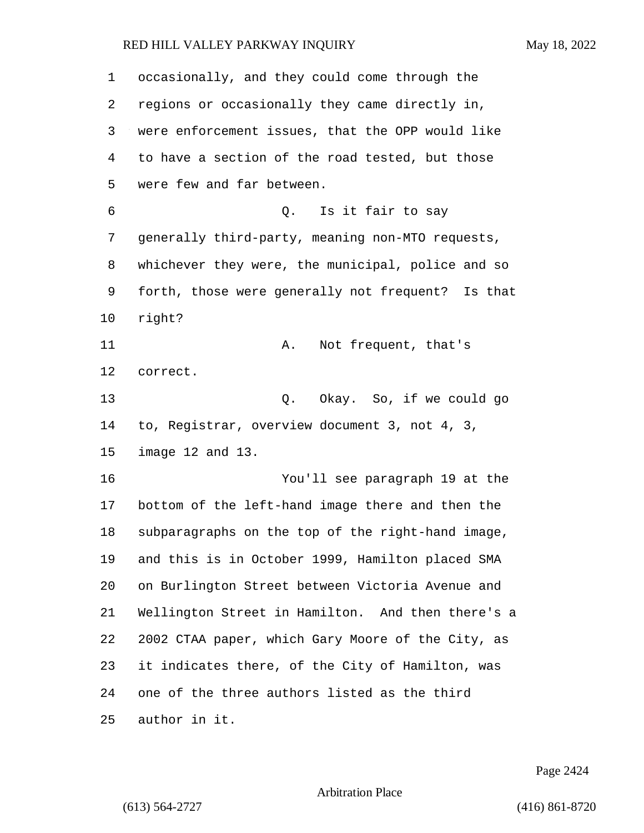| 1  | occasionally, and they could come through the     |
|----|---------------------------------------------------|
| 2  | regions or occasionally they came directly in,    |
| 3  | were enforcement issues, that the OPP would like  |
| 4  | to have a section of the road tested, but those   |
| 5  | were few and far between.                         |
| 6  | Q. Is it fair to say                              |
| 7  | generally third-party, meaning non-MTO requests,  |
| 8  | whichever they were, the municipal, police and so |
| 9  | forth, those were generally not frequent? Is that |
| 10 | right?                                            |
| 11 | Not frequent, that's<br>Α.                        |
| 12 | correct.                                          |
| 13 | Okay. So, if we could go<br>Q.                    |
| 14 | to, Registrar, overview document 3, not 4, 3,     |
| 15 | image 12 and 13.                                  |
| 16 | You'll see paragraph 19 at the                    |
| 17 | bottom of the left-hand image there and then the  |
| 18 | subparagraphs on the top of the right-hand image, |
| 19 | and this is in October 1999, Hamilton placed SMA  |
| 20 | on Burlington Street between Victoria Avenue and  |
| 21 | Wellington Street in Hamilton. And then there's a |
| 22 | 2002 CTAA paper, which Gary Moore of the City, as |
| 23 | it indicates there, of the City of Hamilton, was  |
| 24 | one of the three authors listed as the third      |
| 25 | author in it.                                     |

Page 2424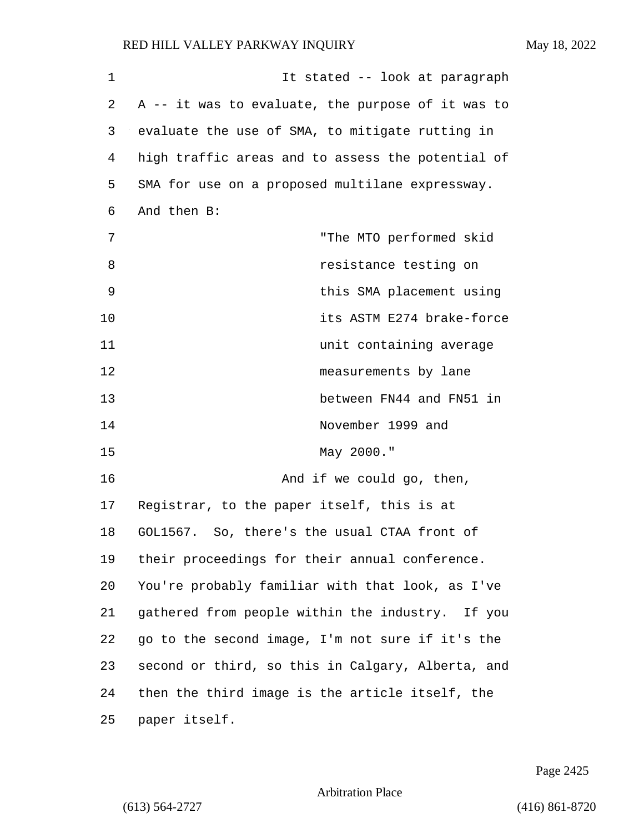1 1 It stated -- look at paragraph 2 A -- it was to evaluate, the purpose of it was to 3 evaluate the use of SMA, to mitigate rutting in 4 high traffic areas and to assess the potential of 5 SMA for use on a proposed multilane expressway. 6 And then B: 7 "The MTO performed skid 8 **8** *resistance testing on* 9 this SMA placement using 10 its ASTM E274 brake-force 11 unit containing average 12 measurements by lane 13 between FN44 and FN51 in 14 November 1999 and 15 May 2000." 16 And if we could go, then, 17 Registrar, to the paper itself, this is at 18 GOL1567. So, there's the usual CTAA front of 19 their proceedings for their annual conference. 20 You're probably familiar with that look, as I've 21 gathered from people within the industry. If you 22 go to the second image, I'm not sure if it's the 23 second or third, so this in Calgary, Alberta, and 24 then the third image is the article itself, the 25 paper itself.

Page 2425

#### Arbitration Place

(613) 564-2727 (416) 861-8720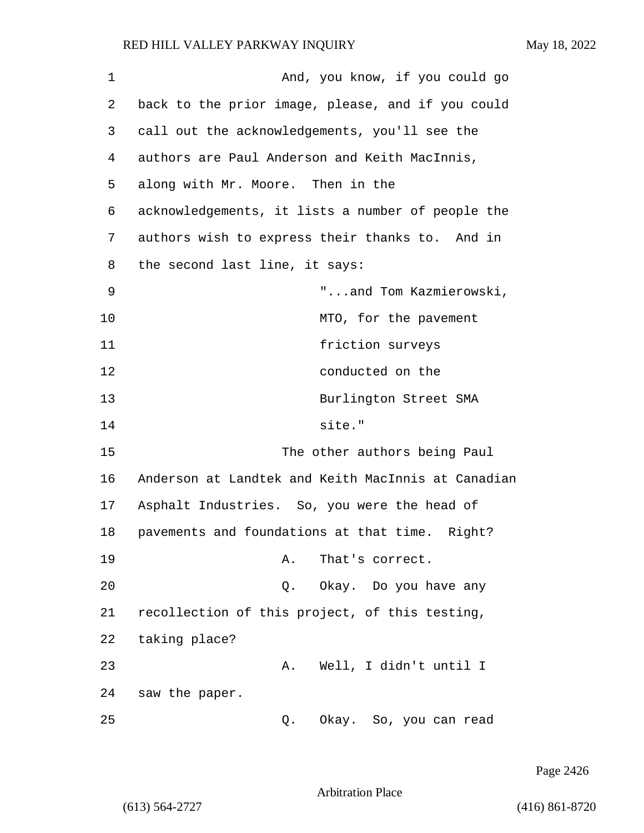| 1  | And, you know, if you could go                     |
|----|----------------------------------------------------|
| 2  | back to the prior image, please, and if you could  |
| 3  | call out the acknowledgements, you'll see the      |
| 4  | authors are Paul Anderson and Keith MacInnis,      |
| 5  | along with Mr. Moore. Then in the                  |
| 6  | acknowledgements, it lists a number of people the  |
| 7  | authors wish to express their thanks to. And in    |
| 8  | the second last line, it says:                     |
| 9  | "and Tom Kazmierowski,                             |
| 10 | MTO, for the pavement                              |
| 11 | friction surveys                                   |
| 12 | conducted on the                                   |
| 13 | Burlington Street SMA                              |
| 14 | site."                                             |
| 15 | The other authors being Paul                       |
| 16 | Anderson at Landtek and Keith MacInnis at Canadian |
| 17 | Asphalt Industries. So, you were the head of       |
| 18 | pavements and foundations at that time. Right?     |
| 19 | That's correct.<br>Α.                              |
| 20 | Okay.  Do you have any<br>Q.                       |
| 21 | recollection of this project, of this testing,     |
| 22 | taking place?                                      |
| 23 | Well, I didn't until I<br>Α.                       |
| 24 | saw the paper.                                     |
| 25 | Okay. So, you can read<br>Q.                       |

Page 2426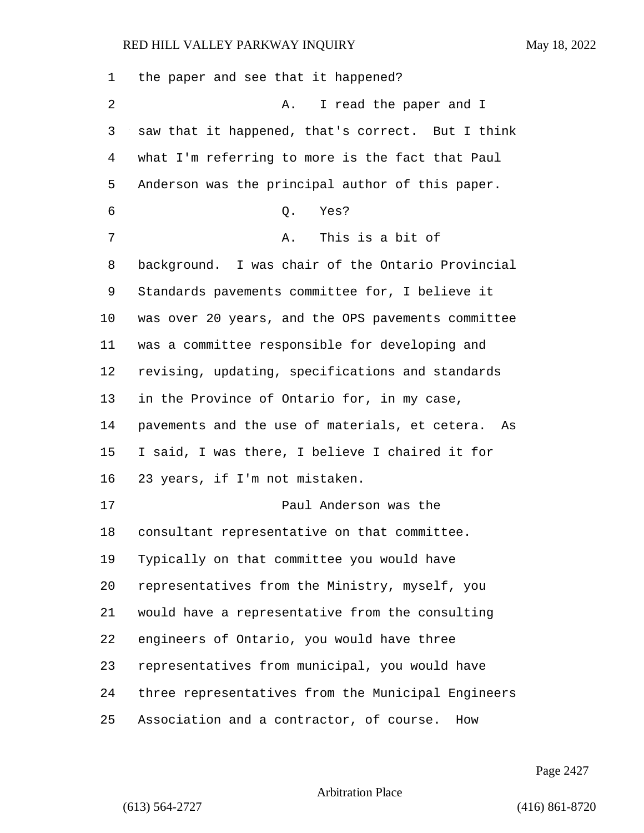| $\mathbf 1$ | the paper and see that it happened?                |
|-------------|----------------------------------------------------|
| 2           | I read the paper and I<br>Α.                       |
| 3           | saw that it happened, that's correct. But I think  |
| 4           | what I'm referring to more is the fact that Paul   |
| 5           | Anderson was the principal author of this paper.   |
| 6           | Q.<br>Yes?                                         |
| 7           | This is a bit of<br>Α.                             |
| 8           | background. I was chair of the Ontario Provincial  |
| 9           | Standards pavements committee for, I believe it    |
| $10 \,$     | was over 20 years, and the OPS pavements committee |
| 11          | was a committee responsible for developing and     |
| 12          | revising, updating, specifications and standards   |
| 13          | in the Province of Ontario for, in my case,        |
| 14          | pavements and the use of materials, et cetera. As  |
| 15          | I said, I was there, I believe I chaired it for    |
| 16          | 23 years, if I'm not mistaken.                     |
| 17          | Paul Anderson was the                              |
| 18          | consultant representative on that committee.       |
| 19          | Typically on that committee you would have         |
| 20          | representatives from the Ministry, myself, you     |
| 21          | would have a representative from the consulting    |
| 22          | engineers of Ontario, you would have three         |
| 23          | representatives from municipal, you would have     |
| 24          | three representatives from the Municipal Engineers |
| 25          | Association and a contractor, of course.<br>How    |

Page 2427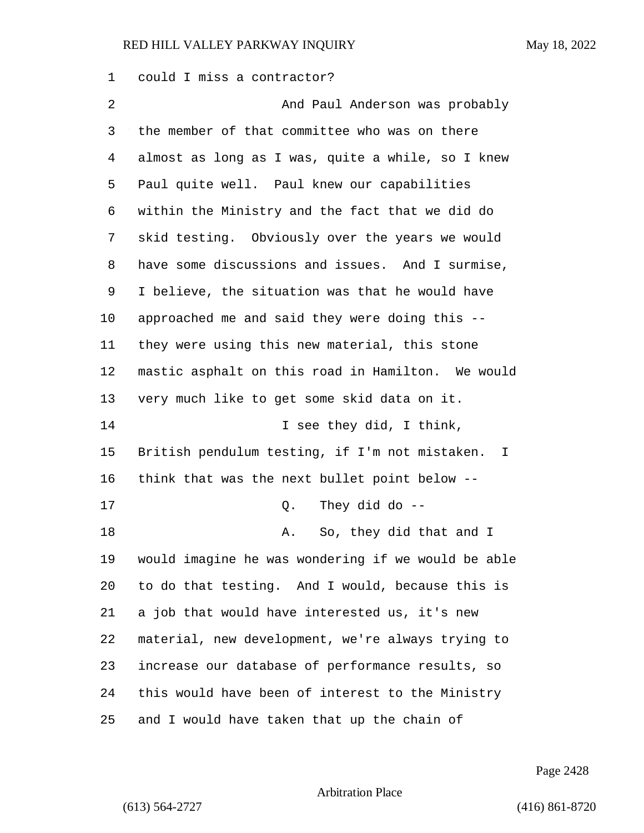could I miss a contractor?

2 And Paul Anderson was probably the member of that committee who was on there almost as long as I was, quite a while, so I knew Paul quite well. Paul knew our capabilities within the Ministry and the fact that we did do skid testing. Obviously over the years we would have some discussions and issues. And I surmise, I believe, the situation was that he would have approached me and said they were doing this -- they were using this new material, this stone mastic asphalt on this road in Hamilton. We would very much like to get some skid data on it. 14 I see they did, I think, British pendulum testing, if I'm not mistaken. I think that was the next bullet point below -- 17 Q. They did do -- 18 A. So, they did that and I would imagine he was wondering if we would be able to do that testing. And I would, because this is a job that would have interested us, it's new material, new development, we're always trying to increase our database of performance results, so this would have been of interest to the Ministry and I would have taken that up the chain of

Page 2428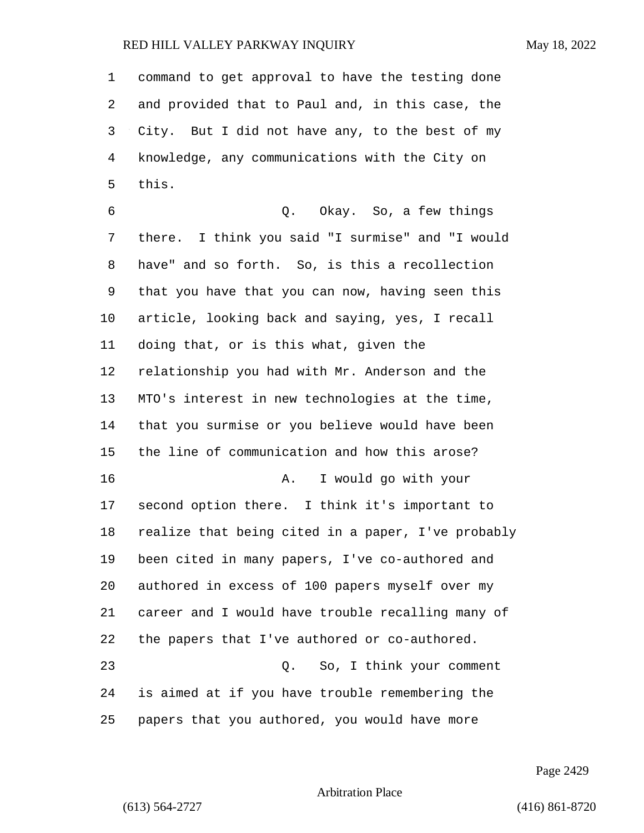command to get approval to have the testing done and provided that to Paul and, in this case, the City. But I did not have any, to the best of my knowledge, any communications with the City on this. 6 Q. Okay. So, a few things there. I think you said "I surmise" and "I would have" and so forth. So, is this a recollection that you have that you can now, having seen this article, looking back and saying, yes, I recall doing that, or is this what, given the relationship you had with Mr. Anderson and the MTO's interest in new technologies at the time, that you surmise or you believe would have been the line of communication and how this arose? 16 A. I would go with your second option there. I think it's important to realize that being cited in a paper, I've probably been cited in many papers, I've co-authored and authored in excess of 100 papers myself over my career and I would have trouble recalling many of the papers that I've authored or co-authored. 23 Q. So, I think your comment is aimed at if you have trouble remembering the papers that you authored, you would have more

Page 2429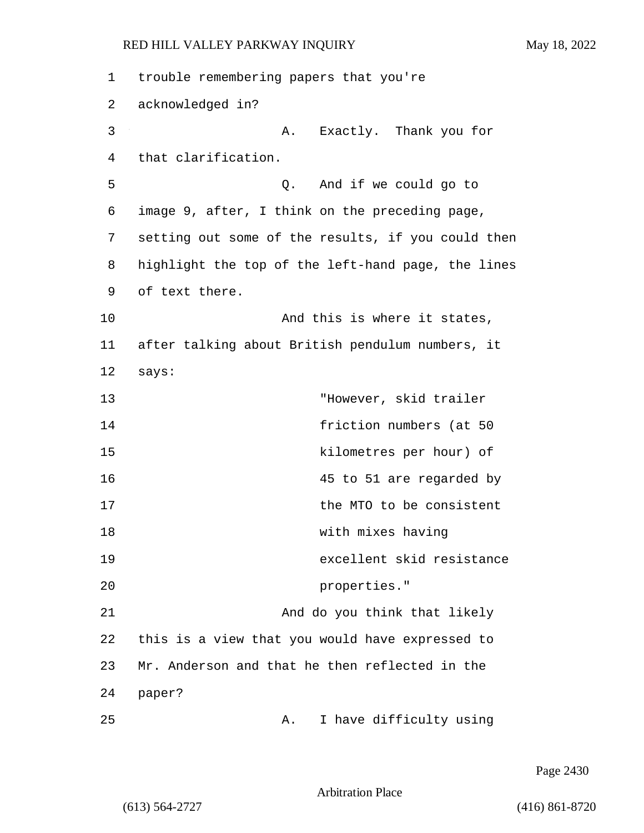| 1  | trouble remembering papers that you're             |
|----|----------------------------------------------------|
| 2  | acknowledged in?                                   |
| 3  | Exactly. Thank you for<br>Α.                       |
| 4  | that clarification.                                |
| 5  | Q. And if we could go to                           |
| 6  | image 9, after, I think on the preceding page,     |
| 7  | setting out some of the results, if you could then |
| 8  | highlight the top of the left-hand page, the lines |
| 9  | of text there.                                     |
| 10 | And this is where it states,                       |
| 11 | after talking about British pendulum numbers, it   |
| 12 | says:                                              |
| 13 | "However, skid trailer                             |
| 14 | friction numbers (at 50                            |
| 15 | kilometres per hour) of                            |
| 16 | 45 to 51 are regarded by                           |
| 17 | the MTO to be consistent                           |
| 18 | with mixes having                                  |
| 19 | excellent skid resistance                          |
| 20 | properties."                                       |
| 21 | And do you think that likely                       |
| 22 | this is a view that you would have expressed to    |
| 23 | Mr. Anderson and that he then reflected in the     |
| 24 | paper?                                             |
| 25 | I have difficulty using<br>Α.                      |

Page 2430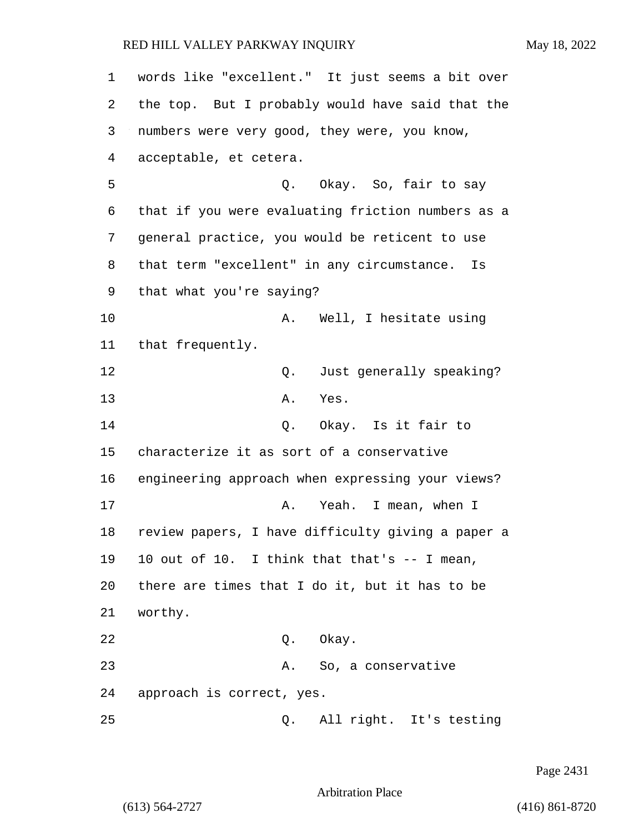1 words like "excellent." It just seems a bit over 2 the top. But I probably would have said that the 3 numbers were very good, they were, you know, 4 acceptable, et cetera. 5 Q. Okay. So, fair to say 6 that if you were evaluating friction numbers as a 7 general practice, you would be reticent to use 8 that term "excellent" in any circumstance. Is 9 that what you're saying? 10 A. Well, I hesitate using 11 that frequently. 12 C. Just generally speaking? 13 A. Yes. 14 Q. Okay. Is it fair to 15 characterize it as sort of a conservative 16 engineering approach when expressing your views? 17 A. Yeah. I mean, when I 18 review papers, I have difficulty giving a paper a 19 10 out of 10. I think that that's -- I mean, 20 there are times that I do it, but it has to be 21 worthy. 22 Q. Okay. 23 A. So, a conservative 24 approach is correct, yes. 25 Q. All right. It's testing

Page 2431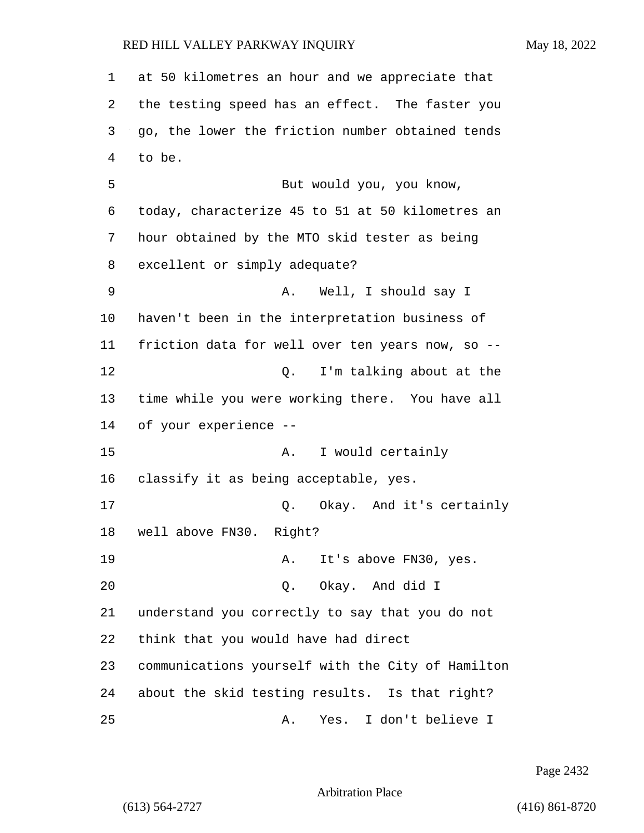at 50 kilometres an hour and we appreciate that the testing speed has an effect. The faster you go, the lower the friction number obtained tends to be. 5 But would you, you know, today, characterize 45 to 51 at 50 kilometres an hour obtained by the MTO skid tester as being excellent or simply adequate? 9 A. Well, I should say I haven't been in the interpretation business of friction data for well over ten years now, so -- **12** O. I'm talking about at the time while you were working there. You have all of your experience -- 15 A. I would certainly classify it as being acceptable, yes. 17 Q. Okay. And it's certainly well above FN30. Right? 19 A. It's above FN30, yes. 20 Q. Okay. And did I understand you correctly to say that you do not think that you would have had direct communications yourself with the City of Hamilton about the skid testing results. Is that right? 25 A. Yes. I don't believe I

Page 2432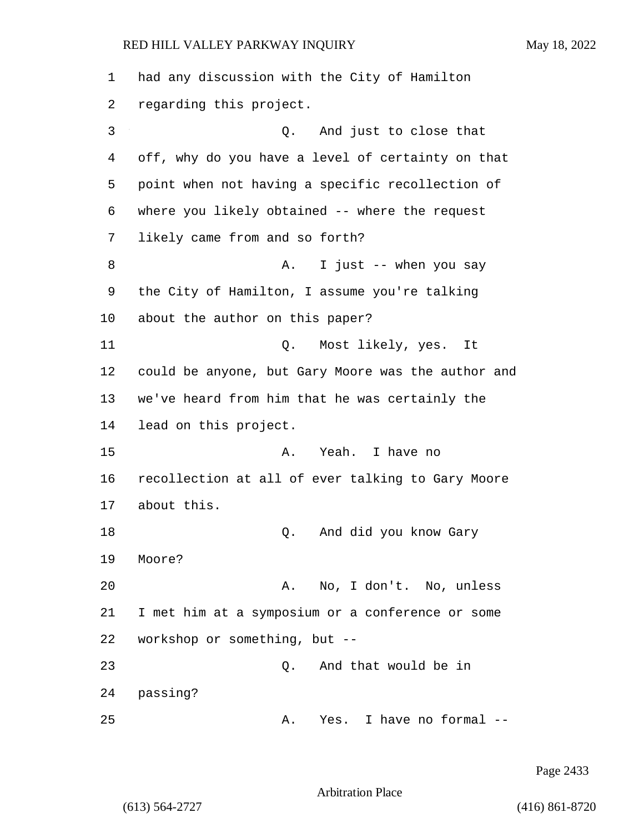| 1  | had any discussion with the City of Hamilton       |
|----|----------------------------------------------------|
| 2  | regarding this project.                            |
| 3  | And just to close that<br>Q.                       |
| 4  | off, why do you have a level of certainty on that  |
| 5  | point when not having a specific recollection of   |
| 6  | where you likely obtained -- where the request     |
| 7  | likely came from and so forth?                     |
| 8  | I just -- when you say<br>Α.                       |
| 9  | the City of Hamilton, I assume you're talking      |
| 10 | about the author on this paper?                    |
| 11 | Most likely, yes.<br>Q.<br>It                      |
| 12 | could be anyone, but Gary Moore was the author and |
| 13 | we've heard from him that he was certainly the     |
| 14 | lead on this project.                              |
| 15 | Yeah. I have no<br>Α.                              |
| 16 | recollection at all of ever talking to Gary Moore  |
| 17 | about this.                                        |
| 18 | And did you know Gary<br>Q.                        |
| 19 | Moore?                                             |
| 20 | No, I don't. No, unless<br>Α.                      |
| 21 | I met him at a symposium or a conference or some   |
| 22 | workshop or something, but --                      |
| 23 | And that would be in<br>Q.                         |
| 24 | passing?                                           |
| 25 | I have no formal<br>Yes.<br>Α.                     |

Page 2433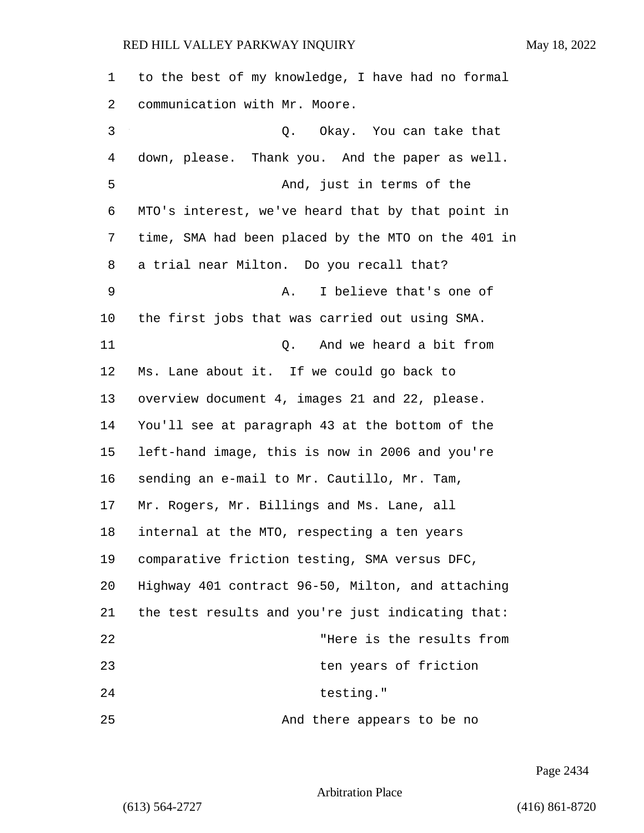to the best of my knowledge, I have had no formal communication with Mr. Moore. 3 Q. Okay. You can take that down, please. Thank you. And the paper as well. 5 And, just in terms of the MTO's interest, we've heard that by that point in time, SMA had been placed by the MTO on the 401 in a trial near Milton. Do you recall that? 9 A. I believe that's one of the first jobs that was carried out using SMA. 11 Q. And we heard a bit from Ms. Lane about it. If we could go back to overview document 4, images 21 and 22, please. You'll see at paragraph 43 at the bottom of the left-hand image, this is now in 2006 and you're sending an e-mail to Mr. Cautillo, Mr. Tam, Mr. Rogers, Mr. Billings and Ms. Lane, all internal at the MTO, respecting a ten years comparative friction testing, SMA versus DFC, Highway 401 contract 96-50, Milton, and attaching the test results and you're just indicating that: 22 "Here is the results from 23 ten years of friction 24 testing." 25 And there appears to be no

Page 2434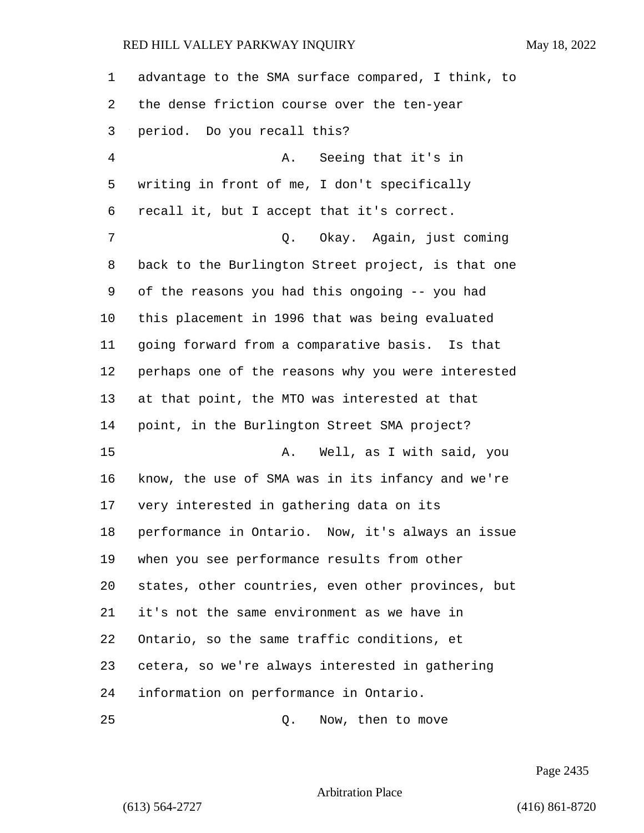advantage to the SMA surface compared, I think, to the dense friction course over the ten-year period. Do you recall this? 4 A. Seeing that it's in writing in front of me, I don't specifically recall it, but I accept that it's correct. 7 Q. Okay. Again, just coming back to the Burlington Street project, is that one of the reasons you had this ongoing -- you had this placement in 1996 that was being evaluated going forward from a comparative basis. Is that perhaps one of the reasons why you were interested at that point, the MTO was interested at that point, in the Burlington Street SMA project? 15 A. Well, as I with said, you know, the use of SMA was in its infancy and we're very interested in gathering data on its performance in Ontario. Now, it's always an issue when you see performance results from other states, other countries, even other provinces, but it's not the same environment as we have in Ontario, so the same traffic conditions, et cetera, so we're always interested in gathering information on performance in Ontario. 25 Q. Now, then to move

Page 2435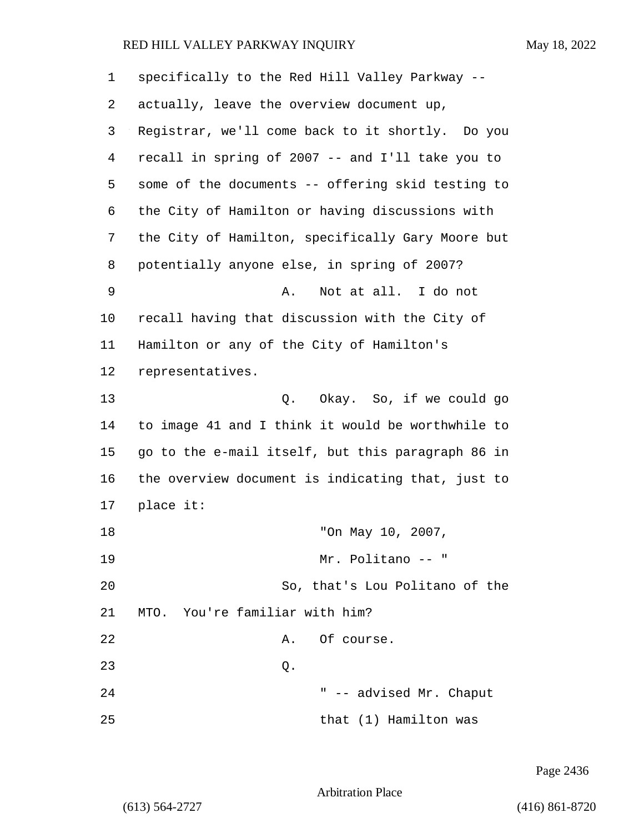| 1  | specifically to the Red Hill Valley Parkway --    |
|----|---------------------------------------------------|
| 2  | actually, leave the overview document up,         |
| 3  | Registrar, we'll come back to it shortly. Do you  |
| 4  | recall in spring of 2007 -- and I'll take you to  |
| 5  | some of the documents -- offering skid testing to |
| 6  | the City of Hamilton or having discussions with   |
| 7  | the City of Hamilton, specifically Gary Moore but |
| 8  | potentially anyone else, in spring of 2007?       |
| 9  | Not at all. I do not<br>Α.                        |
| 10 | recall having that discussion with the City of    |
| 11 | Hamilton or any of the City of Hamilton's         |
| 12 | representatives.                                  |
| 13 | Q. Okay. So, if we could go                       |
| 14 | to image 41 and I think it would be worthwhile to |
| 15 | go to the e-mail itself, but this paragraph 86 in |
| 16 | the overview document is indicating that, just to |
| 17 | place it:                                         |
| 18 | "On May 10, 2007,                                 |
| 19 | Mr. Politano -- "                                 |
| 20 | So, that's Lou Politano of the                    |
| 21 | MTO. You're familiar with him?                    |
| 22 | Of course.<br>Α.                                  |
| 23 | Q.                                                |
| 24 | " -- advised Mr. Chaput                           |
| 25 | that (1) Hamilton was                             |

Page 2436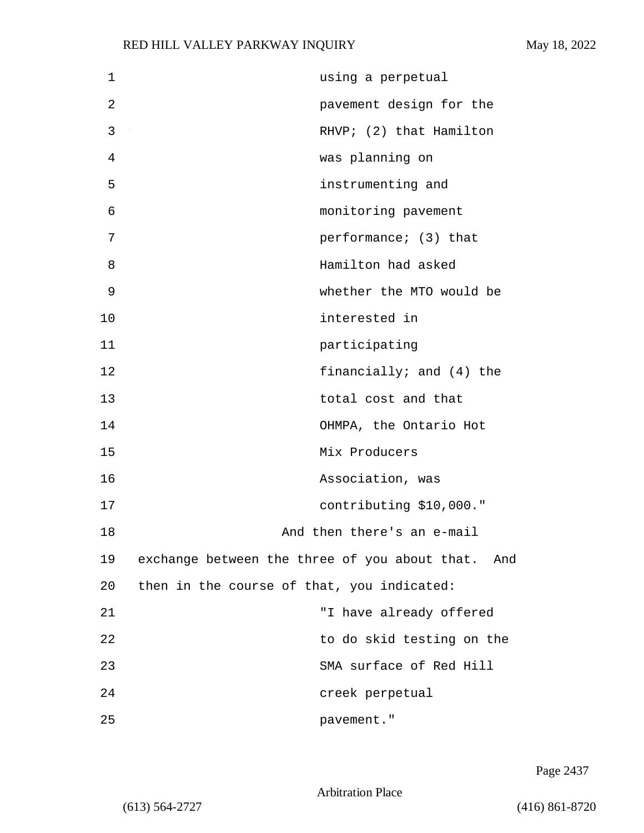| 1  | using a perpetual                                 |
|----|---------------------------------------------------|
| 2  | pavement design for the                           |
| 3  | RHVP; (2) that Hamilton                           |
| 4  | was planning on                                   |
| 5  | instrumenting and                                 |
| 6  | monitoring pavement                               |
| 7  | performance; (3) that                             |
| 8  | Hamilton had asked                                |
| 9  | whether the MTO would be                          |
| 10 | interested in                                     |
| 11 | participating                                     |
| 12 | financially; and (4) the                          |
| 13 | total cost and that                               |
| 14 | OHMPA, the Ontario Hot                            |
| 15 | Mix Producers                                     |
| 16 | Association, was                                  |
| 17 | contributing \$10,000."                           |
| 18 | And then there's an e-mail                        |
| 19 | exchange between the three of you about that. And |
| 20 | then in the course of that, you indicated:        |
| 21 | "I have already offered                           |
| 22 | to do skid testing on the                         |
| 23 | SMA surface of Red Hill                           |
| 24 | creek perpetual                                   |
| 25 | pavement."                                        |

Page 2437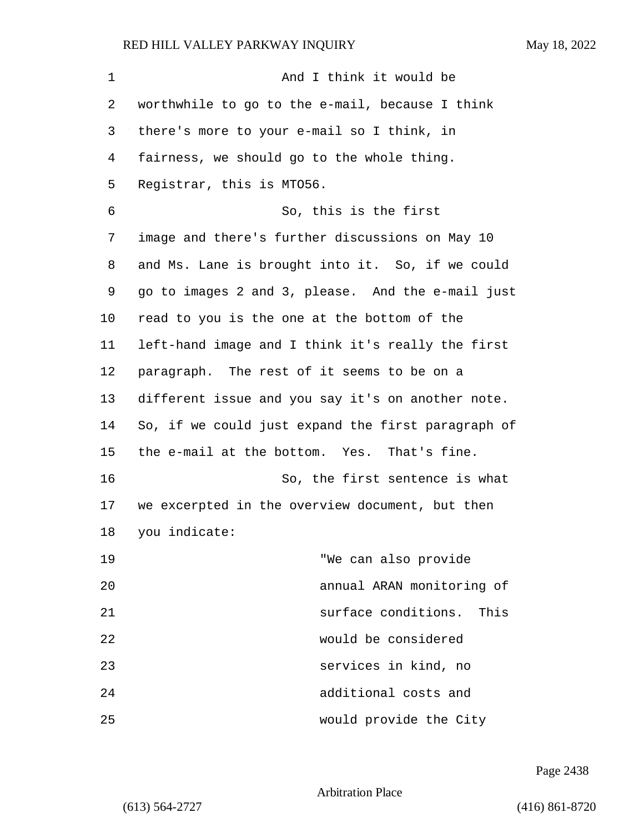| 1       | And I think it would be                            |
|---------|----------------------------------------------------|
| 2       | worthwhile to go to the e-mail, because I think    |
| 3       | there's more to your e-mail so I think, in         |
| 4       | fairness, we should go to the whole thing.         |
| 5       | Registrar, this is MT056.                          |
| 6       | So, this is the first                              |
| 7       | image and there's further discussions on May 10    |
| 8       | and Ms. Lane is brought into it. So, if we could   |
| 9       | go to images 2 and 3, please. And the e-mail just  |
| $10 \,$ | read to you is the one at the bottom of the        |
| 11      | left-hand image and I think it's really the first  |
| 12      | paragraph. The rest of it seems to be on a         |
| 13      | different issue and you say it's on another note.  |
| 14      | So, if we could just expand the first paragraph of |
| 15      | the e-mail at the bottom. Yes. That's fine.        |
| 16      | So, the first sentence is what                     |
| 17      | we excerpted in the overview document, but then    |
| 18      | you indicate:                                      |
| 19      | "We can also provide                               |
| 20      | annual ARAN monitoring of                          |
| 21      | surface conditions.<br>This                        |
| 22      | would be considered                                |
| 23      | services in kind, no                               |
| 24      | additional costs and                               |
| 25      | would provide the City                             |

Page 2438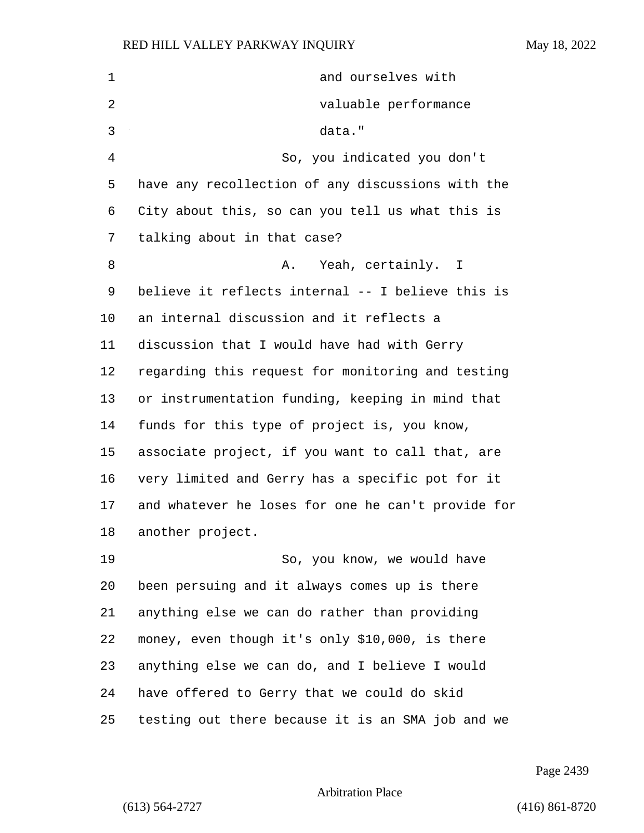| 1  | and ourselves with                                 |
|----|----------------------------------------------------|
| 2  | valuable performance                               |
| 3  | data."                                             |
| 4  | So, you indicated you don't                        |
| 5  | have any recollection of any discussions with the  |
| 6  | City about this, so can you tell us what this is   |
| 7  | talking about in that case?                        |
| 8  | Yeah, certainly. I<br>Α.                           |
| 9  | believe it reflects internal -- I believe this is  |
| 10 | an internal discussion and it reflects a           |
| 11 | discussion that I would have had with Gerry        |
| 12 | regarding this request for monitoring and testing  |
| 13 | or instrumentation funding, keeping in mind that   |
| 14 | funds for this type of project is, you know,       |
| 15 | associate project, if you want to call that, are   |
| 16 | very limited and Gerry has a specific pot for it   |
| 17 | and whatever he loses for one he can't provide for |
| 18 | another project.                                   |
| 19 | So, you know, we would have                        |
| 20 | been persuing and it always comes up is there      |
| 21 | anything else we can do rather than providing      |
| 22 | money, even though it's only \$10,000, is there    |
| 23 | anything else we can do, and I believe I would     |
| 24 | have offered to Gerry that we could do skid        |
| 25 | testing out there because it is an SMA job and we  |

Page 2439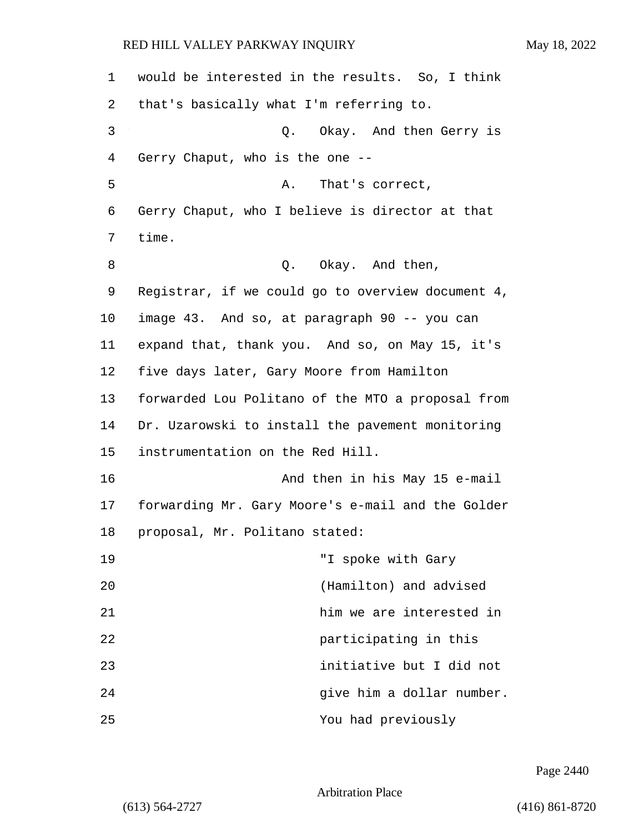| 1  | would be interested in the results. So, I think   |
|----|---------------------------------------------------|
| 2  | that's basically what I'm referring to.           |
| 3  | Q. Okay. And then Gerry is                        |
| 4  | Gerry Chaput, who is the one --                   |
| 5  | That's correct,<br>А.                             |
| 6  | Gerry Chaput, who I believe is director at that   |
| 7  | time.                                             |
| 8  | Q. Okay. And then,                                |
| 9  | Registrar, if we could go to overview document 4, |
| 10 | image 43. And so, at paragraph 90 -- you can      |
| 11 | expand that, thank you. And so, on May 15, it's   |
| 12 | five days later, Gary Moore from Hamilton         |
| 13 | forwarded Lou Politano of the MTO a proposal from |
| 14 | Dr. Uzarowski to install the pavement monitoring  |
| 15 | instrumentation on the Red Hill.                  |
| 16 | And then in his May 15 e-mail                     |
| 17 | forwarding Mr. Gary Moore's e-mail and the Golder |
| 18 | proposal, Mr. Politano stated:                    |
| 19 | "I spoke with Gary                                |
| 20 | (Hamilton) and advised                            |
| 21 | him we are interested in                          |
| 22 | participating in this                             |
| 23 | initiative but I did not                          |
| 24 | give him a dollar number.                         |
| 25 | You had previously                                |

Page 2440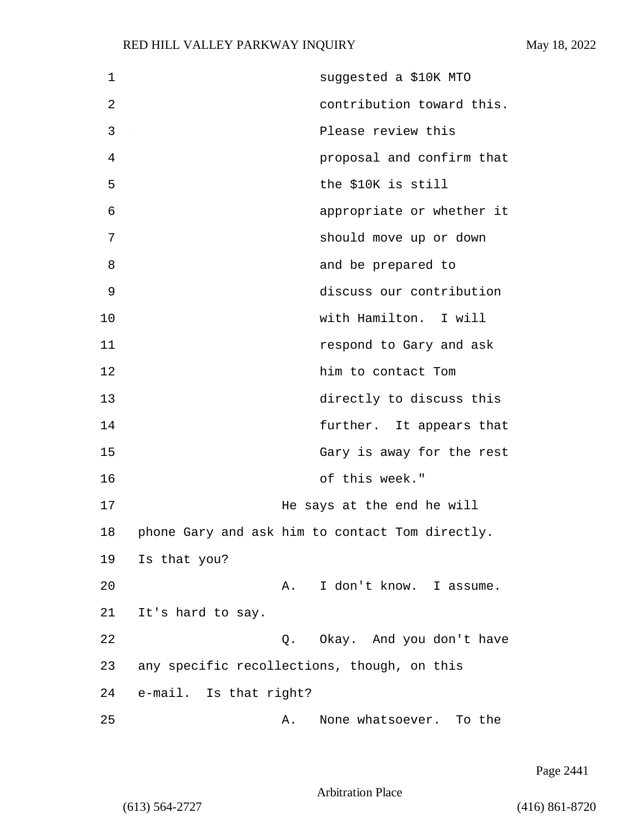| $\mathbf 1$ | suggested a \$10K MTO                           |
|-------------|-------------------------------------------------|
| 2           | contribution toward this.                       |
| 3           | Please review this                              |
| 4           | proposal and confirm that                       |
| 5           | the \$10K is still                              |
| 6           | appropriate or whether it                       |
| 7           | should move up or down                          |
| 8           | and be prepared to                              |
| 9           | discuss our contribution                        |
| 10          | with Hamilton. I will                           |
| 11          | respond to Gary and ask                         |
| 12          | him to contact Tom                              |
| 13          | directly to discuss this                        |
| 14          | further. It appears that                        |
| 15          | Gary is away for the rest                       |
| 16          | of this week."                                  |
| 17          | He says at the end he will                      |
| 18          | phone Gary and ask him to contact Tom directly. |
| 19          | Is that you?                                    |
| 20          | I don't know. I assume.<br>A.                   |
| 21          | It's hard to say.                               |
| 22          | Q. Okay. And you don't have                     |
| 23          | any specific recollections, though, on this     |
| 24          | e-mail. Is that right?                          |
| 25          | None whatsoever. To the<br>Α.                   |

Page 2441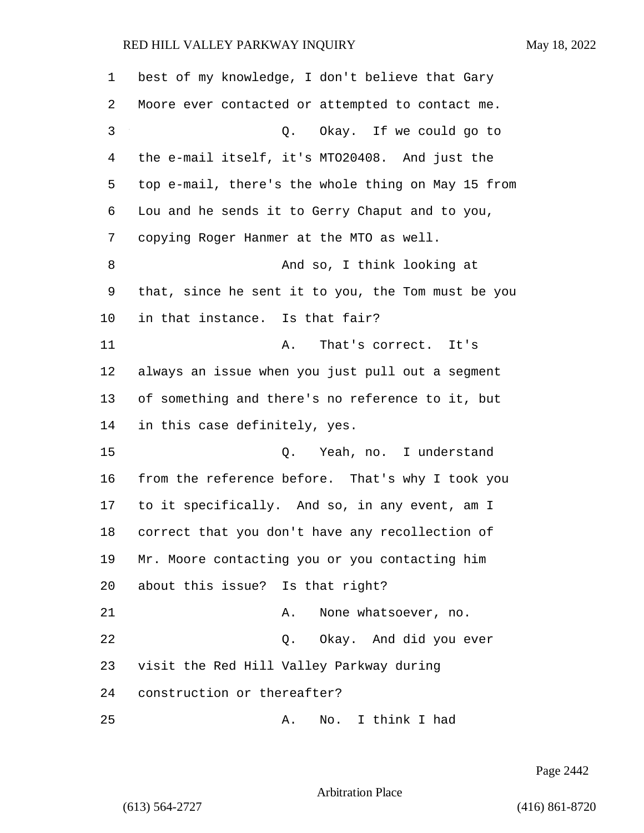| $\mathbf 1$ | best of my knowledge, I don't believe that Gary    |
|-------------|----------------------------------------------------|
| 2           | Moore ever contacted or attempted to contact me.   |
| 3           | Q. Okay. If we could go to                         |
| 4           | the e-mail itself, it's MT020408. And just the     |
| 5           | top e-mail, there's the whole thing on May 15 from |
| 6           | Lou and he sends it to Gerry Chaput and to you,    |
| 7           | copying Roger Hanmer at the MTO as well.           |
| 8           | And so, I think looking at                         |
| 9           | that, since he sent it to you, the Tom must be you |
| 10          | in that instance. Is that fair?                    |
| 11          | That's correct. It's<br>Α.                         |
| 12          | always an issue when you just pull out a segment   |
| 13          | of something and there's no reference to it, but   |
| 14          | in this case definitely, yes.                      |
| 15          | Q. Yeah, no. I understand                          |
| 16          | from the reference before. That's why I took you   |
| 17          | to it specifically. And so, in any event, am I     |
| 18          | correct that you don't have any recollection of    |
| 19          | Mr. Moore contacting you or you contacting him     |
| 20          | about this issue? Is that right?                   |
| 21          | None whatsoever, no.<br>Α.                         |
| 22          | Q. Okay. And did you ever                          |
| 23          | visit the Red Hill Valley Parkway during           |
| 24          | construction or thereafter?                        |
| 25          | No. I think I had<br>Α.                            |

Page 2442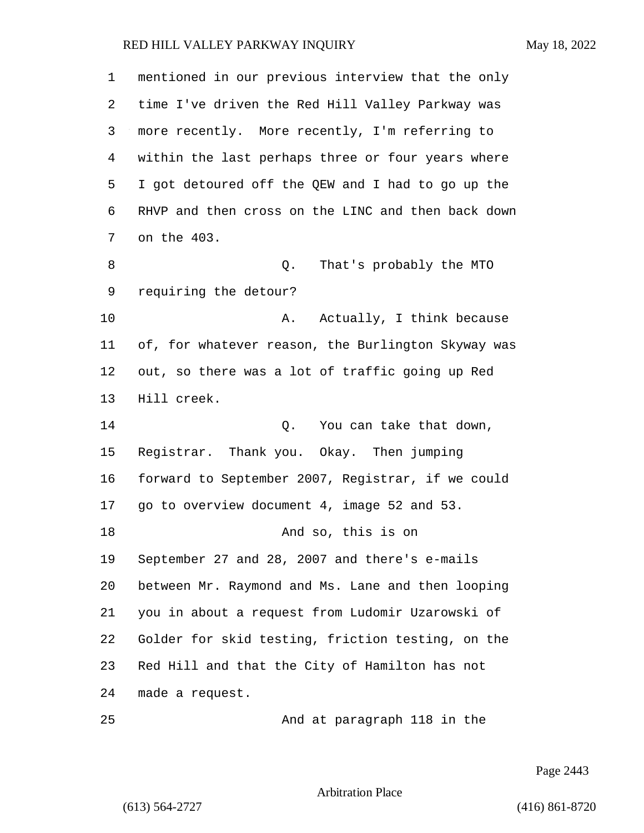| 1  | mentioned in our previous interview that the only  |
|----|----------------------------------------------------|
| 2  | time I've driven the Red Hill Valley Parkway was   |
| 3  | more recently. More recently, I'm referring to     |
| 4  | within the last perhaps three or four years where  |
| 5  | I got detoured off the QEW and I had to go up the  |
| 6  | RHVP and then cross on the LINC and then back down |
| 7  | on the 403.                                        |
| 8  | That's probably the MTO<br>Q.                      |
| 9  | requiring the detour?                              |
| 10 | Actually, I think because<br>Α.                    |
| 11 | of, for whatever reason, the Burlington Skyway was |
| 12 | out, so there was a lot of traffic going up Red    |
| 13 | Hill creek.                                        |
| 14 | Q. You can take that down,                         |
| 15 | Registrar. Thank you. Okay. Then jumping           |
| 16 | forward to September 2007, Registrar, if we could  |
| 17 | go to overview document 4, image 52 and 53.        |
| 18 | And so, this is on                                 |
| 19 | September 27 and 28, 2007 and there's e-mails      |
| 20 | between Mr. Raymond and Ms. Lane and then looping  |
| 21 | you in about a request from Ludomir Uzarowski of   |
| 22 | Golder for skid testing, friction testing, on the  |
| 23 | Red Hill and that the City of Hamilton has not     |
| 24 | made a request.                                    |
| 25 | And at paragraph 118 in the                        |

Page 2443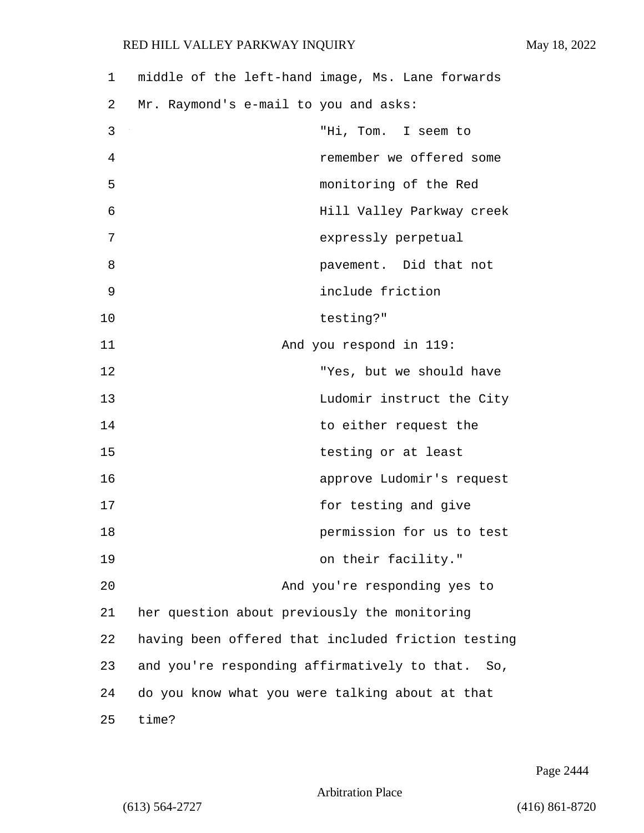| 1  | middle of the left-hand image, Ms. Lane forwards   |
|----|----------------------------------------------------|
| 2  | Mr. Raymond's e-mail to you and asks:              |
| 3  | "Hi, Tom. I seem to                                |
| 4  | remember we offered some                           |
| 5  | monitoring of the Red                              |
| 6  | Hill Valley Parkway creek                          |
| 7  | expressly perpetual                                |
| 8  | pavement. Did that not                             |
| 9  | include friction                                   |
| 10 | testing?"                                          |
| 11 | And you respond in 119:                            |
| 12 | "Yes, but we should have                           |
| 13 | Ludomir instruct the City                          |
| 14 | to either request the                              |
| 15 | testing or at least                                |
| 16 | approve Ludomir's request                          |
| 17 | for testing and give                               |
| 18 | permission for us to test                          |
| 19 | on their facility."                                |
| 20 | And you're responding yes to                       |
| 21 | her question about previously the monitoring       |
| 22 | having been offered that included friction testing |
| 23 | and you're responding affirmatively to that. So,   |
| 24 | do you know what you were talking about at that    |
| 25 | time?                                              |

Page 2444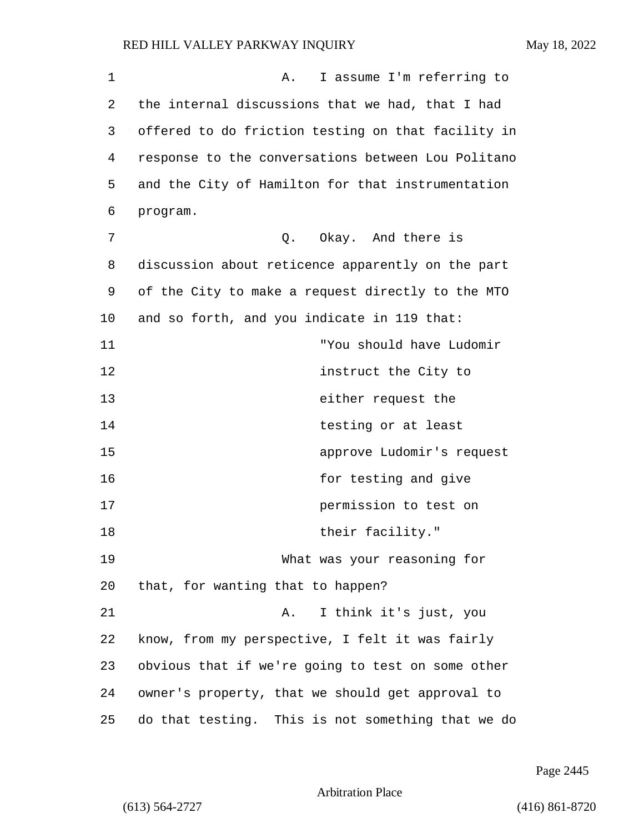| 1  | I assume I'm referring to<br>Α.                    |
|----|----------------------------------------------------|
| 2  | the internal discussions that we had, that I had   |
| 3  | offered to do friction testing on that facility in |
| 4  | response to the conversations between Lou Politano |
| 5  | and the City of Hamilton for that instrumentation  |
| 6  | program.                                           |
| 7  | Q. Okay. And there is                              |
| 8  | discussion about reticence apparently on the part  |
| 9  | of the City to make a request directly to the MTO  |
| 10 | and so forth, and you indicate in 119 that:        |
| 11 | "You should have Ludomir                           |
| 12 | instruct the City to                               |
| 13 | either request the                                 |
| 14 | testing or at least                                |
| 15 | approve Ludomir's request                          |
| 16 | for testing and give                               |
| 17 | permission to test on                              |
| 18 | their facility."                                   |
| 19 | What was your reasoning for                        |
| 20 | that, for wanting that to happen?                  |
| 21 | I think it's just, you<br>Α.                       |
| 22 | know, from my perspective, I felt it was fairly    |
| 23 | obvious that if we're going to test on some other  |
| 24 | owner's property, that we should get approval to   |
| 25 | do that testing. This is not something that we do  |

Page 2445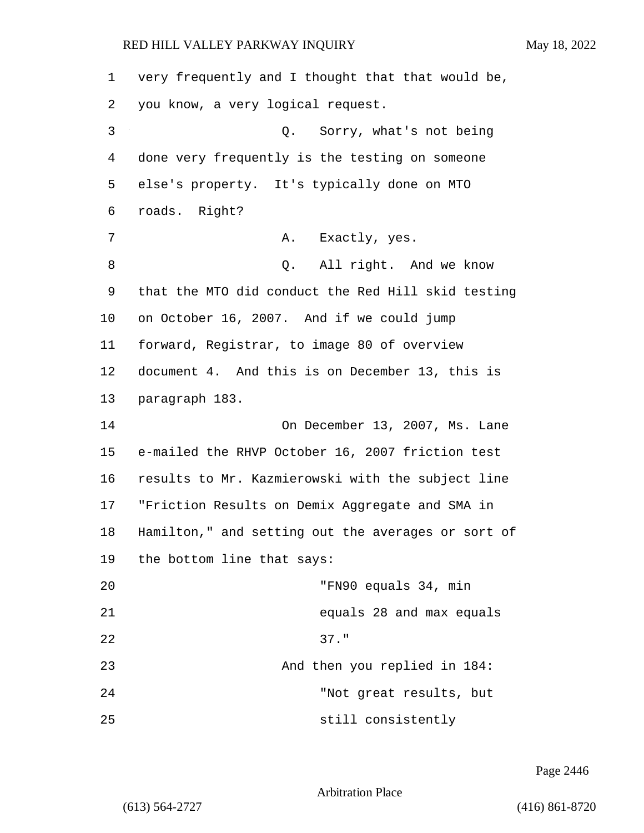| 1  | very frequently and I thought that that would be,  |
|----|----------------------------------------------------|
| 2  | you know, a very logical request.                  |
| 3  | Sorry, what's not being<br>Q.                      |
| 4  | done very frequently is the testing on someone     |
| 5  | else's property. It's typically done on MTO        |
| 6  | roads. Right?                                      |
| 7  | Exactly, yes.<br>Α.                                |
| 8  | Q. All right. And we know                          |
| 9  | that the MTO did conduct the Red Hill skid testing |
| 10 | on October 16, 2007. And if we could jump          |
| 11 | forward, Registrar, to image 80 of overview        |
| 12 | document 4. And this is on December 13, this is    |
| 13 | paragraph 183.                                     |
| 14 | On December 13, 2007, Ms. Lane                     |
| 15 | e-mailed the RHVP October 16, 2007 friction test   |
| 16 | results to Mr. Kazmierowski with the subject line  |
| 17 | "Friction Results on Demix Aggregate and SMA in    |
| 18 | Hamilton," and setting out the averages or sort of |
| 19 | the bottom line that says:                         |
| 20 | "FN90 equals 34, min                               |
| 21 | equals 28 and max equals                           |
| 22 | $37.$ "                                            |
| 23 | And then you replied in 184:                       |
| 24 | "Not great results, but                            |
| 25 | still consistently                                 |

Page 2446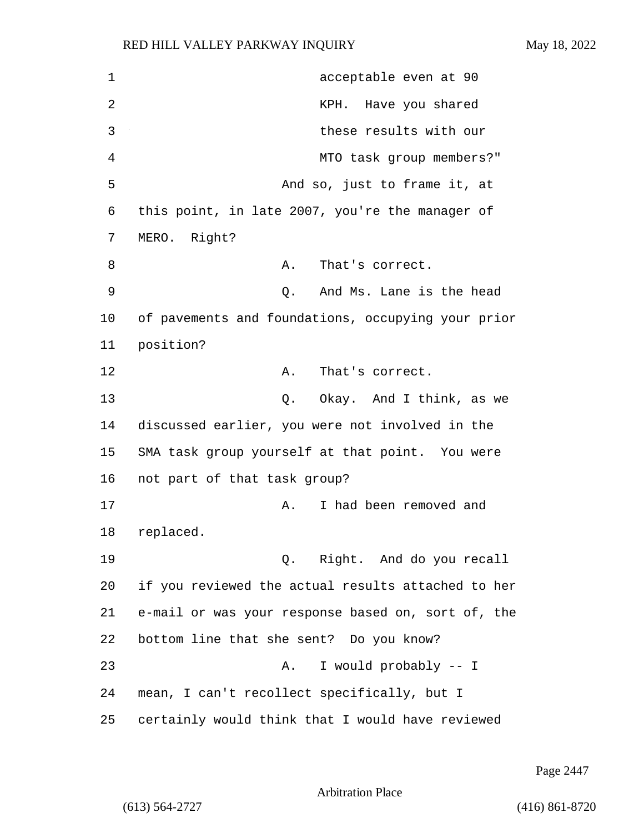1 acceptable even at 90 2 KPH. Have you shared 3 these results with our 4 MTO task group members?" 5 And so, just to frame it, at 6 this point, in late 2007, you're the manager of 7 MERO. Right? 8 A. That's correct. 9 Q. And Ms. Lane is the head 10 of pavements and foundations, occupying your prior 11 position? 12 A. That's correct. 13 Q. Okay. And I think, as we 14 discussed earlier, you were not involved in the 15 SMA task group yourself at that point. You were 16 not part of that task group? 17 A. I had been removed and 18 replaced. 19 Q. Right. And do you recall 20 if you reviewed the actual results attached to her 21 e-mail or was your response based on, sort of, the 22 bottom line that she sent? Do you know? 23 A. I would probably -- I 24 mean, I can't recollect specifically, but I 25 certainly would think that I would have reviewed

Page 2447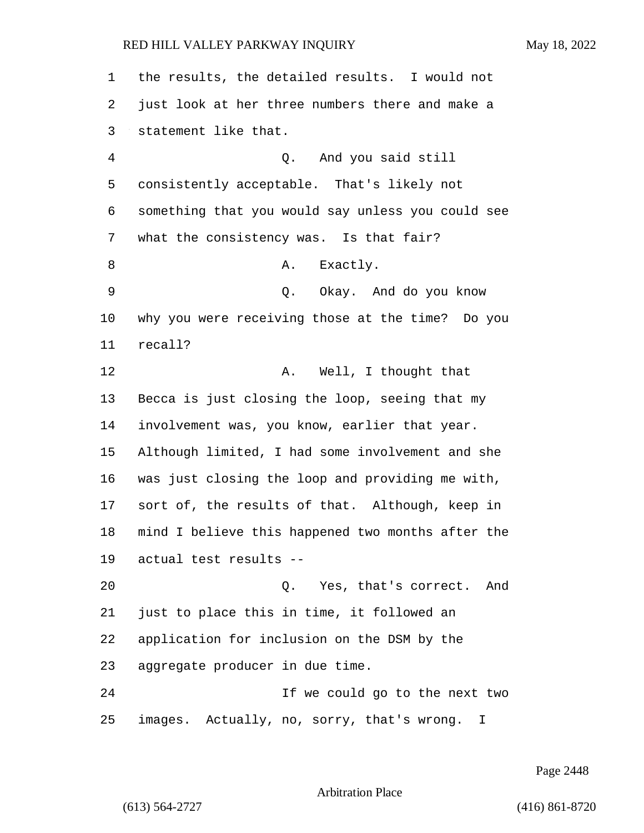| 1  | the results, the detailed results. I would not    |
|----|---------------------------------------------------|
| 2  | just look at her three numbers there and make a   |
| 3  | statement like that.                              |
| 4  | Q. And you said still                             |
| 5  | consistently acceptable. That's likely not        |
| 6  | something that you would say unless you could see |
| 7  | what the consistency was. Is that fair?           |
| 8  | Exactly.<br>Α.                                    |
| 9  | Q. Okay. And do you know                          |
| 10 | why you were receiving those at the time? Do you  |
| 11 | recall?                                           |
| 12 | Well, I thought that<br>Α.                        |
| 13 | Becca is just closing the loop, seeing that my    |
| 14 | involvement was, you know, earlier that year.     |
| 15 | Although limited, I had some involvement and she  |
| 16 | was just closing the loop and providing me with,  |
| 17 | sort of, the results of that. Although, keep in   |
| 18 | mind I believe this happened two months after the |
| 19 | actual test results --                            |
| 20 | Q. Yes, that's correct.<br>And                    |
| 21 | just to place this in time, it followed an        |
| 22 | application for inclusion on the DSM by the       |
| 23 | aggregate producer in due time.                   |
| 24 | If we could go to the next two                    |
| 25 | images. Actually, no, sorry, that's wrong. I      |

Page 2448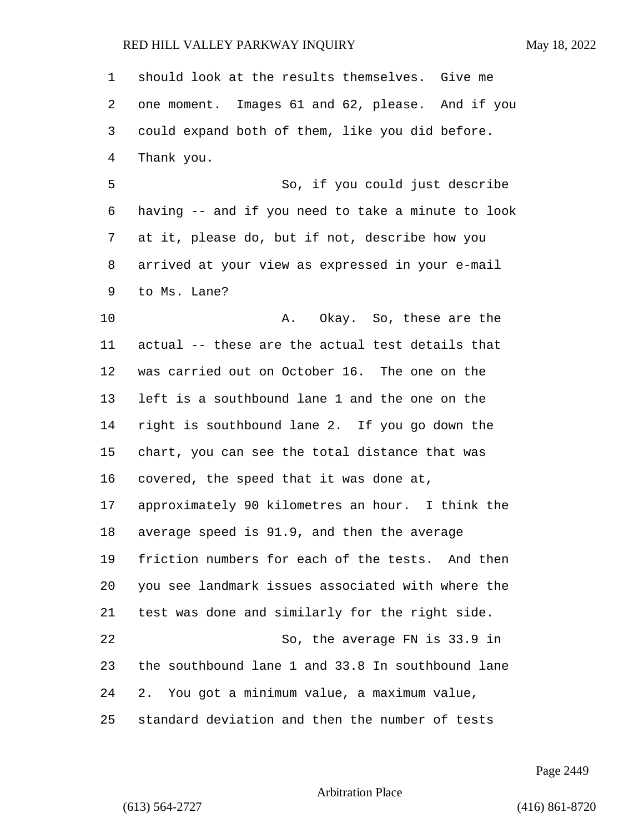| 1  | should look at the results themselves. Give me     |
|----|----------------------------------------------------|
| 2  | one moment. Images 61 and 62, please. And if you   |
| 3  | could expand both of them, like you did before.    |
| 4  | Thank you.                                         |
| 5  | So, if you could just describe                     |
| 6  | having -- and if you need to take a minute to look |
| 7  | at it, please do, but if not, describe how you     |
| 8  | arrived at your view as expressed in your e-mail   |
| 9  | to Ms. Lane?                                       |
| 10 | Okay. So, these are the<br>Α.                      |
| 11 | actual -- these are the actual test details that   |
| 12 | was carried out on October 16. The one on the      |
| 13 | left is a southbound lane 1 and the one on the     |
| 14 | right is southbound lane 2. If you go down the     |
| 15 | chart, you can see the total distance that was     |
| 16 | covered, the speed that it was done at,            |
| 17 | approximately 90 kilometres an hour. I think the   |
| 18 | average speed is 91.9, and then the average        |
| 19 | friction numbers for each of the tests. And then   |
| 20 | you see landmark issues associated with where the  |
| 21 | test was done and similarly for the right side.    |
| 22 | So, the average FN is 33.9 in                      |
| 23 | the southbound lane 1 and 33.8 In southbound lane  |
| 24 | 2. You got a minimum value, a maximum value,       |
| 25 | standard deviation and then the number of tests    |

Page 2449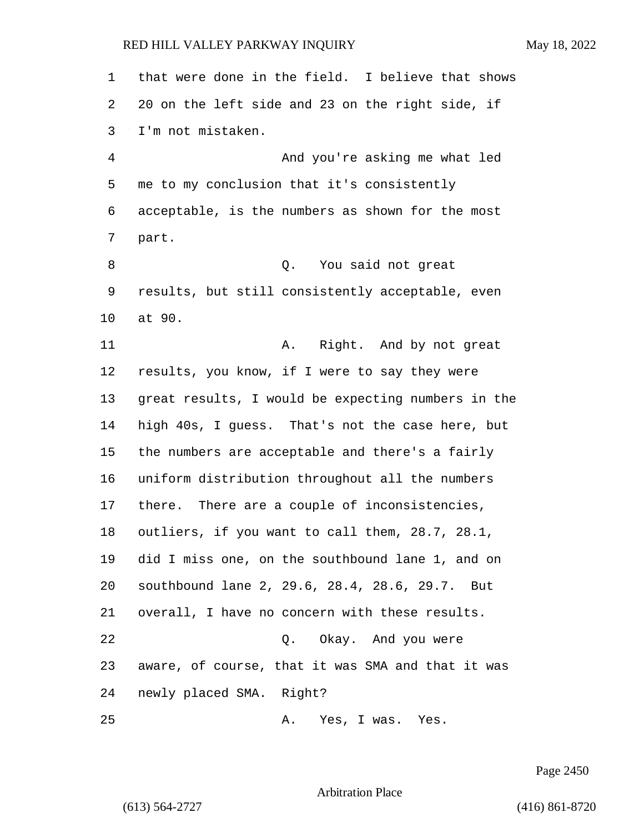| $\mathbf 1$ | that were done in the field. I believe that shows  |
|-------------|----------------------------------------------------|
| 2           | 20 on the left side and 23 on the right side, if   |
| 3           | I'm not mistaken.                                  |
| 4           | And you're asking me what led                      |
| 5           | me to my conclusion that it's consistently         |
| 6           | acceptable, is the numbers as shown for the most   |
| 7           | part.                                              |
| 8           | Q. You said not great                              |
| 9           | results, but still consistently acceptable, even   |
| 10          | at 90.                                             |
| 11          | Right. And by not great<br>Α.                      |
| 12          | results, you know, if I were to say they were      |
| 13          | great results, I would be expecting numbers in the |
| 14          | high 40s, I guess. That's not the case here, but   |
| 15          | the numbers are acceptable and there's a fairly    |
| 16          | uniform distribution throughout all the numbers    |
| 17          | there. There are a couple of inconsistencies,      |
| 18          | outliers, if you want to call them, 28.7, 28.1,    |
| 19          | did I miss one, on the southbound lane 1, and on   |
| 20          | southbound lane 2, 29.6, 28.4, 28.6, 29.7. But     |
| 21          | overall, I have no concern with these results.     |
| 22          | Okay. And you were<br>$\circ$ .                    |
| 23          | aware, of course, that it was SMA and that it was  |
| 24          | newly placed SMA. Right?                           |
| 25          | Α.<br>Yes, I was. Yes.                             |

Page 2450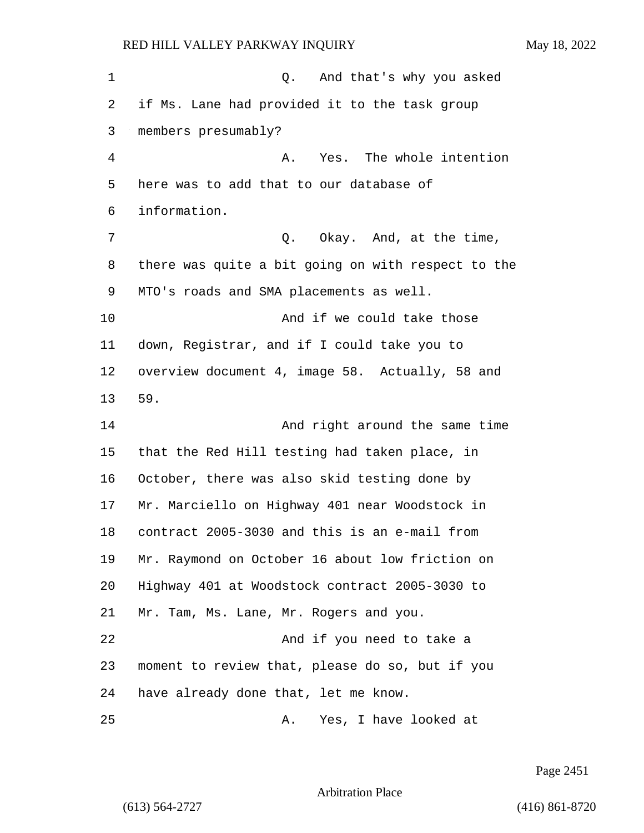1 Q. And that's why you asked if Ms. Lane had provided it to the task group members presumably? 4 A. Yes. The whole intention here was to add that to our database of information. 7 C. Okay. And, at the time, there was quite a bit going on with respect to the MTO's roads and SMA placements as well. 10 And if we could take those down, Registrar, and if I could take you to overview document 4, image 58. Actually, 58 and **And right around the same time**  that the Red Hill testing had taken place, in October, there was also skid testing done by Mr. Marciello on Highway 401 near Woodstock in contract 2005-3030 and this is an e-mail from Mr. Raymond on October 16 about low friction on

Highway 401 at Woodstock contract 2005-3030 to

Mr. Tam, Ms. Lane, Mr. Rogers and you.

**And if you need to take a**  moment to review that, please do so, but if you have already done that, let me know.

25 A. Yes, I have looked at

Page 2451

Arbitration Place

59.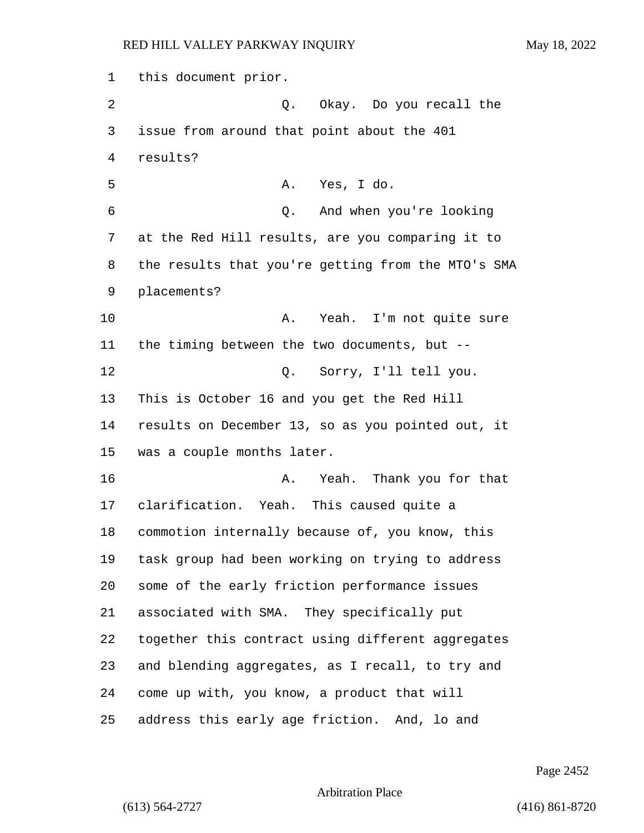this document prior. 2 Q. Okay. Do you recall the issue from around that point about the 401 results? 5 A. Yes, I do. 6 Q. And when you're looking at the Red Hill results, are you comparing it to the results that you're getting from the MTO's SMA placements? 10 A. Yeah. I'm not quite sure the timing between the two documents, but -- 12 Q. Sorry, I'll tell you. This is October 16 and you get the Red Hill results on December 13, so as you pointed out, it was a couple months later. 16 A. Yeah. Thank you for that clarification. Yeah. This caused quite a commotion internally because of, you know, this task group had been working on trying to address some of the early friction performance issues associated with SMA. They specifically put together this contract using different aggregates and blending aggregates, as I recall, to try and come up with, you know, a product that will address this early age friction. And, lo and

Page 2452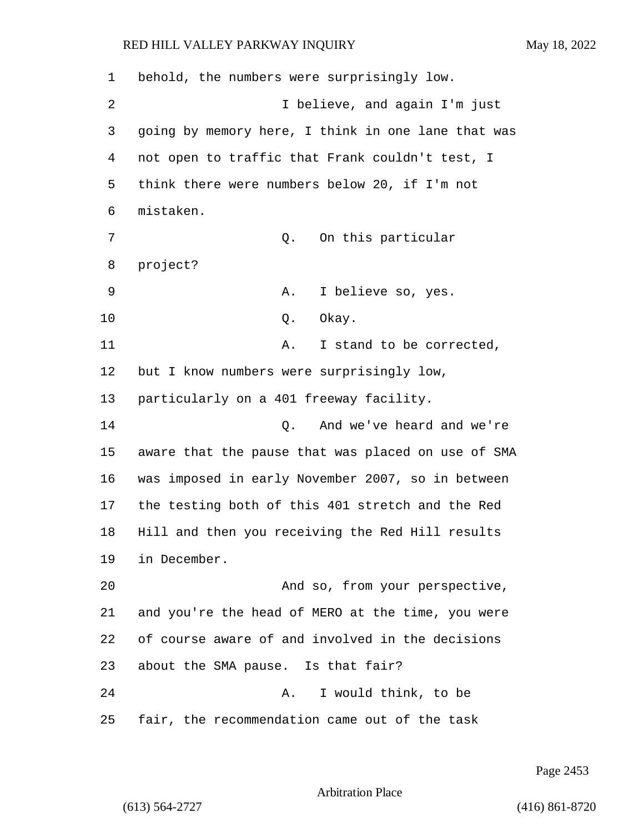| 1  | behold, the numbers were surprisingly low.         |
|----|----------------------------------------------------|
| 2  | I believe, and again I'm just                      |
| 3  | going by memory here, I think in one lane that was |
| 4  | not open to traffic that Frank couldn't test, I    |
| 5  | think there were numbers below 20, if I'm not      |
| 6  | mistaken.                                          |
| 7  | On this particular<br>Q.                           |
| 8  | project?                                           |
| 9  | I believe so, yes.<br>Α.                           |
| 10 | Okay.<br>Q.                                        |
| 11 | I stand to be corrected,<br>Α.                     |
| 12 | but I know numbers were surprisingly low,          |
| 13 | particularly on a 401 freeway facility.            |
| 14 | And we've heard and we're<br>Q.                    |
| 15 | aware that the pause that was placed on use of SMA |
| 16 | was imposed in early November 2007, so in between  |
| 17 | the testing both of this 401 stretch and the Red   |
| 18 | Hill and then you receiving the Red Hill results   |
| 19 | in December.                                       |
| 20 | And so, from your perspective,                     |
| 21 | and you're the head of MERO at the time, you were  |
| 22 | of course aware of and involved in the decisions   |
| 23 | about the SMA pause. Is that fair?                 |
| 24 | I would think, to be<br>Α.                         |
| 25 | fair, the recommendation came out of the task      |

Page 2453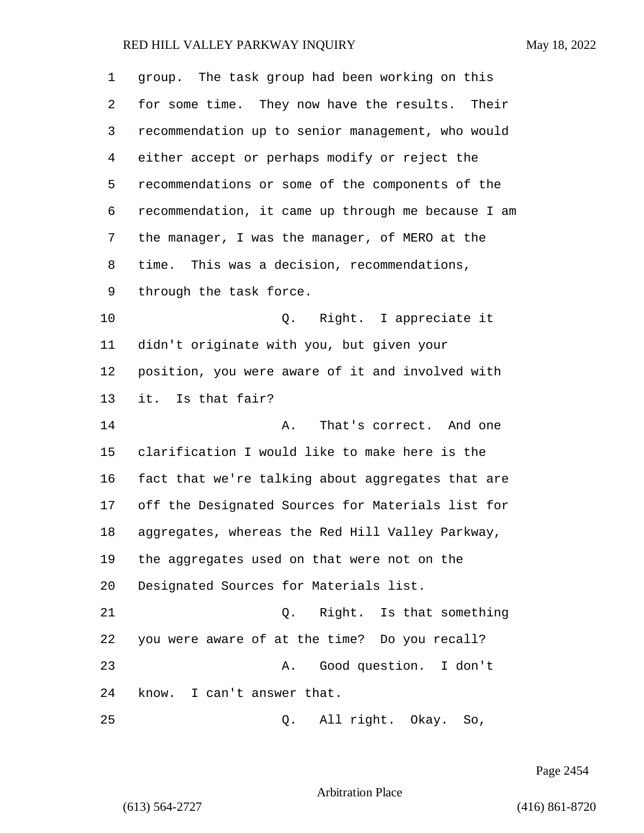| 1  | group. The task group had been working on this     |
|----|----------------------------------------------------|
| 2  | for some time. They now have the results. Their    |
| 3  | recommendation up to senior management, who would  |
| 4  | either accept or perhaps modify or reject the      |
| 5  | recommendations or some of the components of the   |
| 6  | recommendation, it came up through me because I am |
| 7  | the manager, I was the manager, of MERO at the     |
| 8  | time. This was a decision, recommendations,        |
| 9  | through the task force.                            |
| 10 | Right. I appreciate it<br>Q.                       |
| 11 | didn't originate with you, but given your          |
| 12 | position, you were aware of it and involved with   |
| 13 | it. Is that fair?                                  |
| 14 | That's correct. And one<br>Α.                      |
| 15 | clarification I would like to make here is the     |
| 16 | fact that we're talking about aggregates that are  |
| 17 | off the Designated Sources for Materials list for  |
| 18 | aggregates, whereas the Red Hill Valley Parkway,   |
| 19 | the aggregates used on that were not on the        |
| 20 | Designated Sources for Materials list.             |
| 21 | Right. Is that something<br>Q.                     |
| 22 | you were aware of at the time? Do you recall?      |
| 23 | Good question. I don't<br>Α.                       |
| 24 | know. I can't answer that.                         |
| 25 | All right. Okay. So,<br>Q.                         |

Page 2454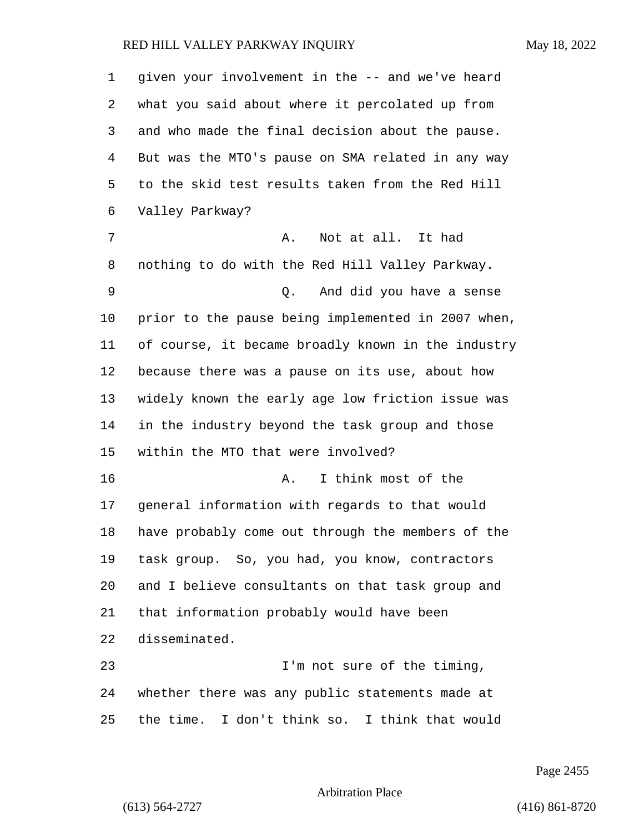| 1  | given your involvement in the -- and we've heard   |
|----|----------------------------------------------------|
| 2  | what you said about where it percolated up from    |
| 3  | and who made the final decision about the pause.   |
| 4  | But was the MTO's pause on SMA related in any way  |
| 5  | to the skid test results taken from the Red Hill   |
| 6  | Valley Parkway?                                    |
| 7  | Not at all. It had<br>Α.                           |
| 8  | nothing to do with the Red Hill Valley Parkway.    |
| 9  | And did you have a sense<br>Q.                     |
| 10 | prior to the pause being implemented in 2007 when, |
| 11 | of course, it became broadly known in the industry |
| 12 | because there was a pause on its use, about how    |
| 13 | widely known the early age low friction issue was  |
| 14 | in the industry beyond the task group and those    |
| 15 | within the MTO that were involved?                 |
| 16 | I think most of the<br>Α.                          |
| 17 | general information with regards to that would     |
| 18 | have probably come out through the members of the  |
| 19 | task group. So, you had, you know, contractors     |
| 20 | and I believe consultants on that task group and   |
| 21 | that information probably would have been          |
| 22 | disseminated.                                      |
| 23 | I'm not sure of the timing,                        |
| 24 | whether there was any public statements made at    |
| 25 | the time. I don't think so. I think that would     |

Page 2455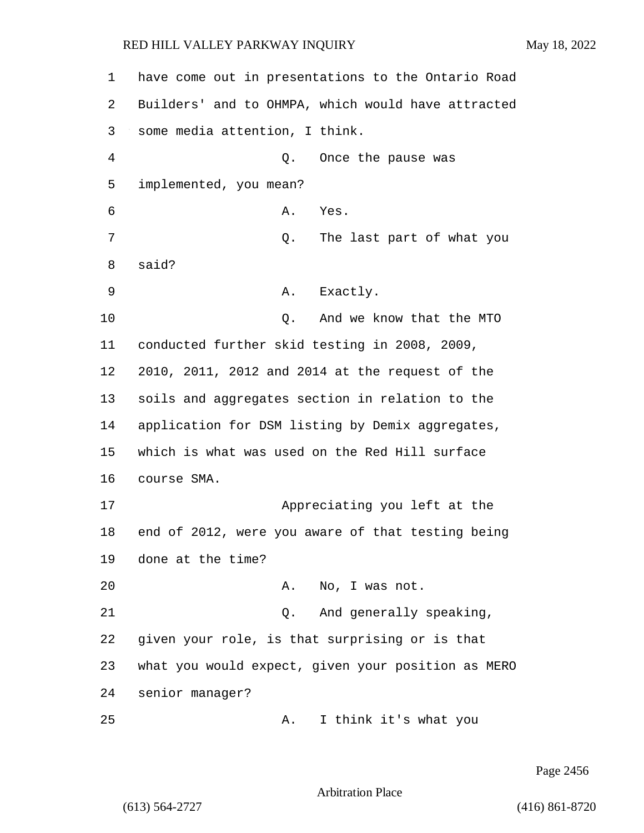have come out in presentations to the Ontario Road Builders' and to OHMPA, which would have attracted some media attention, I think. 4 Q. Once the pause was implemented, you mean? 6 A. Yes. 7 and 2. The last part of what you 8 said? 9 A. Exactly. **Q.** And we know that the MTO conducted further skid testing in 2008, 2009, 2010, 2011, 2012 and 2014 at the request of the soils and aggregates section in relation to the application for DSM listing by Demix aggregates, which is what was used on the Red Hill surface course SMA. 17 Appreciating you left at the end of 2012, were you aware of that testing being done at the time? 20 A. No, I was not. 21 Q. And generally speaking, given your role, is that surprising or is that what you would expect, given your position as MERO senior manager? 25 A. I think it's what you

Page 2456

Arbitration Place

(613) 564-2727 (416) 861-8720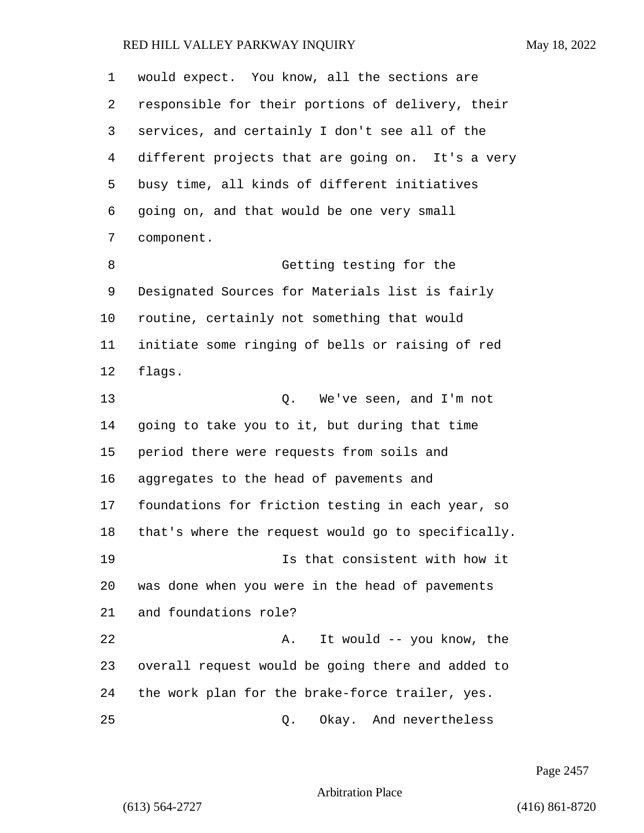would expect. You know, all the sections are responsible for their portions of delivery, their services, and certainly I don't see all of the

 different projects that are going on. It's a very busy time, all kinds of different initiatives going on, and that would be one very small component.

8 Getting testing for the Designated Sources for Materials list is fairly routine, certainly not something that would initiate some ringing of bells or raising of red flags.

13 Q. We've seen, and I'm not going to take you to it, but during that time period there were requests from soils and aggregates to the head of pavements and foundations for friction testing in each year, so that's where the request would go to specifically. 19 Is that consistent with how it was done when you were in the head of pavements and foundations role? 22 A. It would -- you know, the overall request would be going there and added to the work plan for the brake-force trailer, yes.

25 Q. Okay. And nevertheless

Page 2457

Arbitration Place

(613) 564-2727 (416) 861-8720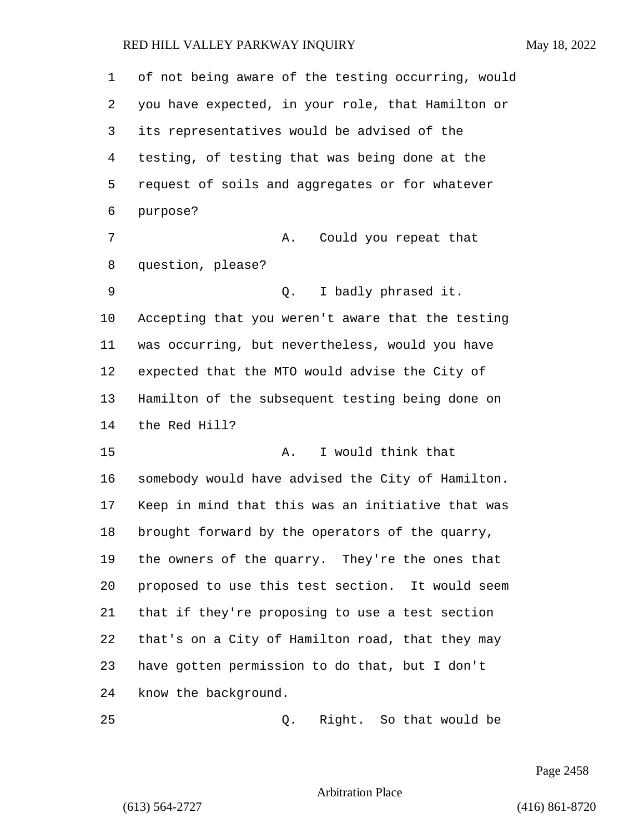| 1  | of not being aware of the testing occurring, would |
|----|----------------------------------------------------|
| 2  | you have expected, in your role, that Hamilton or  |
| 3  | its representatives would be advised of the        |
| 4  | testing, of testing that was being done at the     |
| 5  | request of soils and aggregates or for whatever    |
| 6  | purpose?                                           |
| 7  | Could you repeat that<br>Α.                        |
| 8  | question, please?                                  |
| 9  | I badly phrased it.<br>Q.                          |
| 10 | Accepting that you weren't aware that the testing  |
| 11 | was occurring, but nevertheless, would you have    |
| 12 | expected that the MTO would advise the City of     |
| 13 | Hamilton of the subsequent testing being done on   |
| 14 | the Red Hill?                                      |
| 15 | I would think that<br>Α.                           |
| 16 | somebody would have advised the City of Hamilton.  |
| 17 | Keep in mind that this was an initiative that was  |
| 18 | brought forward by the operators of the quarry,    |
| 19 | the owners of the quarry. They're the ones that    |
| 20 | proposed to use this test section. It would seem   |
| 21 | that if they're proposing to use a test section    |
| 22 | that's on a City of Hamilton road, that they may   |
| 23 | have gotten permission to do that, but I don't     |
| 24 | know the background.                               |
| 25 | Right. So that would be<br>Q.                      |

Page 2458

Arbitration Place

(613) 564-2727 (416) 861-8720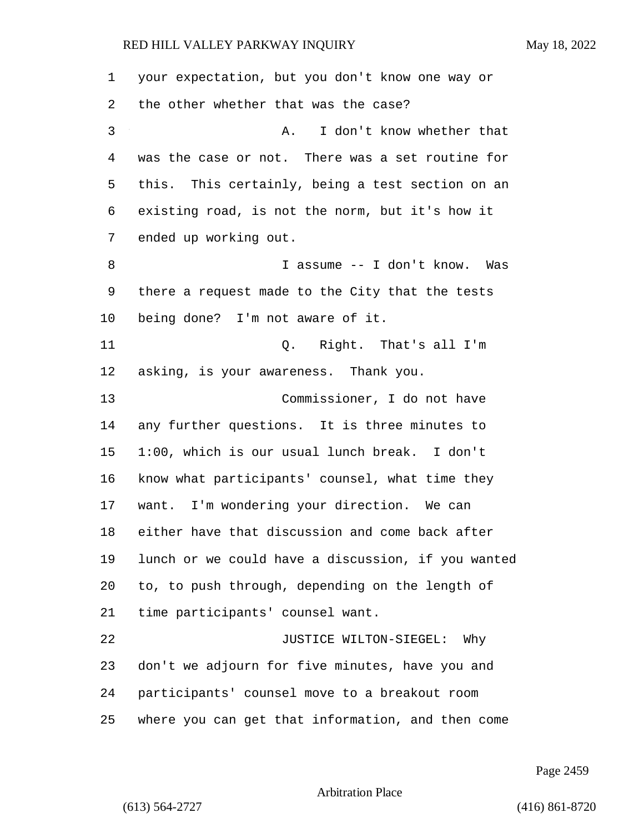| 1               | your expectation, but you don't know one way or    |
|-----------------|----------------------------------------------------|
| 2               | the other whether that was the case?               |
| 3               | I don't know whether that<br>A.                    |
| 4               | was the case or not. There was a set routine for   |
| 5               | this. This certainly, being a test section on an   |
| 6               | existing road, is not the norm, but it's how it    |
| 7               | ended up working out.                              |
| 8               | I assume -- I don't know. Was                      |
| 9               | there a request made to the City that the tests    |
| $10 \,$         | being done? I'm not aware of it.                   |
| 11              | Q. Right. That's all I'm                           |
| 12 <sub>1</sub> | asking, is your awareness. Thank you.              |
| 13              | Commissioner, I do not have                        |
| 14              | any further questions. It is three minutes to      |
| 15              | 1:00, which is our usual lunch break. I don't      |
| 16              | know what participants' counsel, what time they    |
| 17              | want. I'm wondering your direction. We can         |
| 18              | either have that discussion and come back after    |
| 19              | lunch or we could have a discussion, if you wanted |
| 20              | to, to push through, depending on the length of    |
| 21              | time participants' counsel want.                   |
| 22              | JUSTICE WILTON-SIEGEL:<br>Why                      |
| 23              | don't we adjourn for five minutes, have you and    |
| 24              | participants' counsel move to a breakout room      |
| 25              | where you can get that information, and then come  |

Page 2459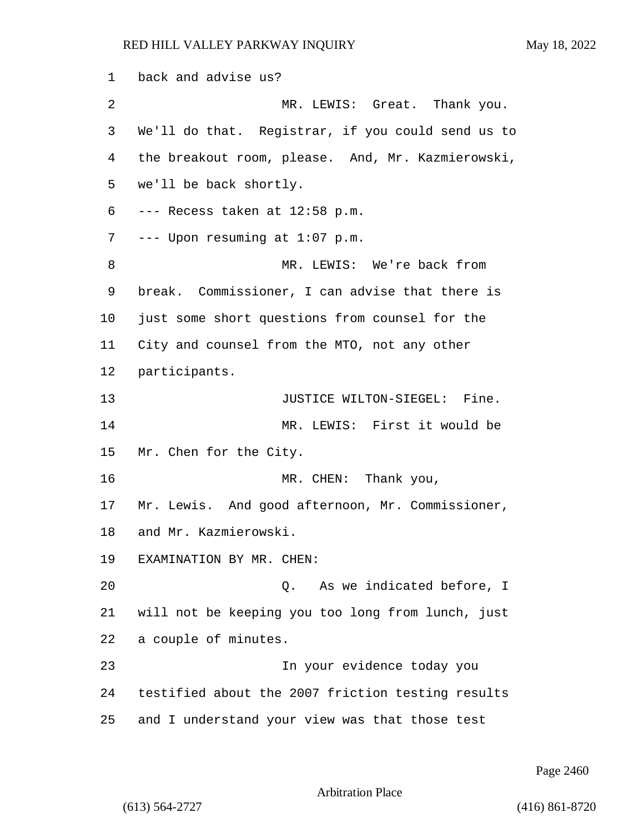back and advise us? 2 MR. LEWIS: Great. Thank you. We'll do that. Registrar, if you could send us to the breakout room, please. And, Mr. Kazmierowski, we'll be back shortly. --- Recess taken at 12:58 p.m. --- Upon resuming at 1:07 p.m. 8 MR. LEWIS: We're back from break. Commissioner, I can advise that there is just some short questions from counsel for the City and counsel from the MTO, not any other participants. **JUSTICE WILTON-SIEGEL:** Fine. 14 MR. LEWIS: First it would be Mr. Chen for the City. 16 MR. CHEN: Thank you, Mr. Lewis. And good afternoon, Mr. Commissioner, and Mr. Kazmierowski. EXAMINATION BY MR. CHEN: 20 Q. As we indicated before, I will not be keeping you too long from lunch, just a couple of minutes. 23 In your evidence today you testified about the 2007 friction testing results and I understand your view was that those test

Page 2460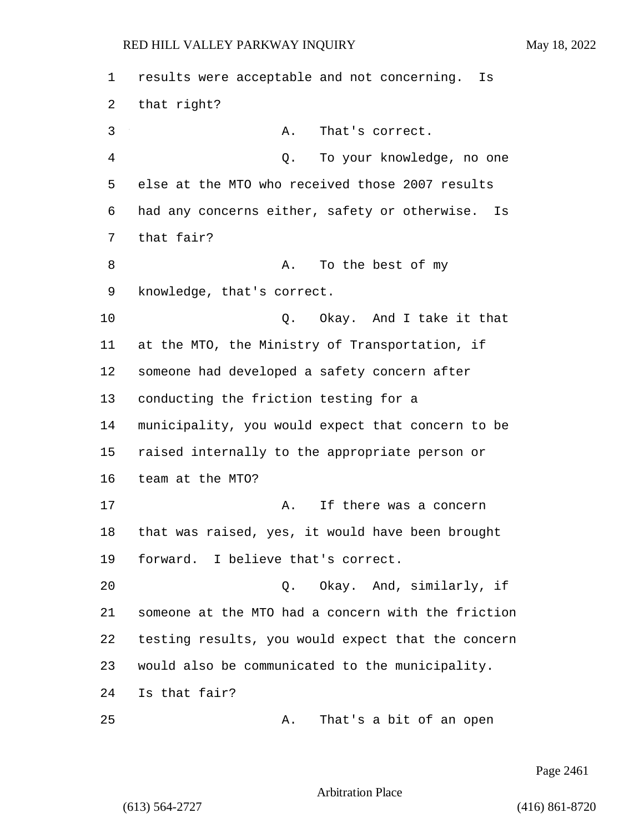results were acceptable and not concerning. Is that right? 3 A. That's correct. 4 Q. To your knowledge, no one else at the MTO who received those 2007 results had any concerns either, safety or otherwise. Is that fair? 8 A. To the best of my knowledge, that's correct. **Q.** Okay. And I take it that at the MTO, the Ministry of Transportation, if someone had developed a safety concern after conducting the friction testing for a municipality, you would expect that concern to be raised internally to the appropriate person or team at the MTO? 17 A. If there was a concern that was raised, yes, it would have been brought forward. I believe that's correct. 20 Q. Okay. And, similarly, if someone at the MTO had a concern with the friction testing results, you would expect that the concern would also be communicated to the municipality. Is that fair? 25 A. That's a bit of an open

Page 2461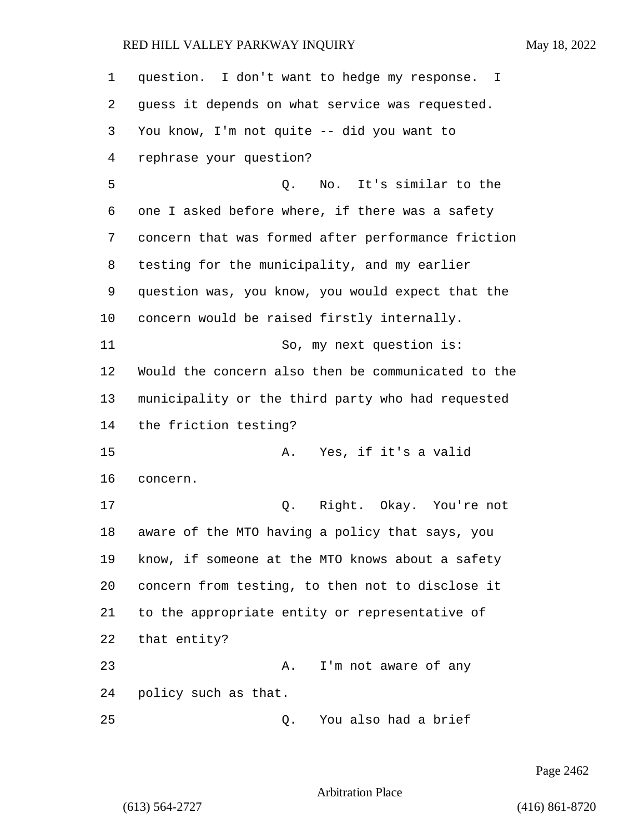| 1  | question. I don't want to hedge my response. I     |
|----|----------------------------------------------------|
| 2  | guess it depends on what service was requested.    |
| 3  | You know, I'm not quite -- did you want to         |
| 4  | rephrase your question?                            |
| 5  | No. It's similar to the<br>Q.                      |
| 6  | one I asked before where, if there was a safety    |
| 7  | concern that was formed after performance friction |
| 8  | testing for the municipality, and my earlier       |
| 9  | question was, you know, you would expect that the  |
| 10 | concern would be raised firstly internally.        |
| 11 | So, my next question is:                           |
| 12 | Would the concern also then be communicated to the |
| 13 | municipality or the third party who had requested  |
| 14 | the friction testing?                              |
| 15 | Yes, if it's a valid<br>Α.                         |
| 16 | concern.                                           |
| 17 | Right. Okay. You're not<br>Q.                      |
| 18 | aware of the MTO having a policy that says, you    |
| 19 | know, if someone at the MTO knows about a safety   |
| 20 | concern from testing, to then not to disclose it   |
| 21 | to the appropriate entity or representative of     |
| 22 | that entity?                                       |
| 23 | I'm not aware of any<br>Α.                         |
| 24 | policy such as that.                               |
| 25 | You also had a brief<br>Q.                         |

Page 2462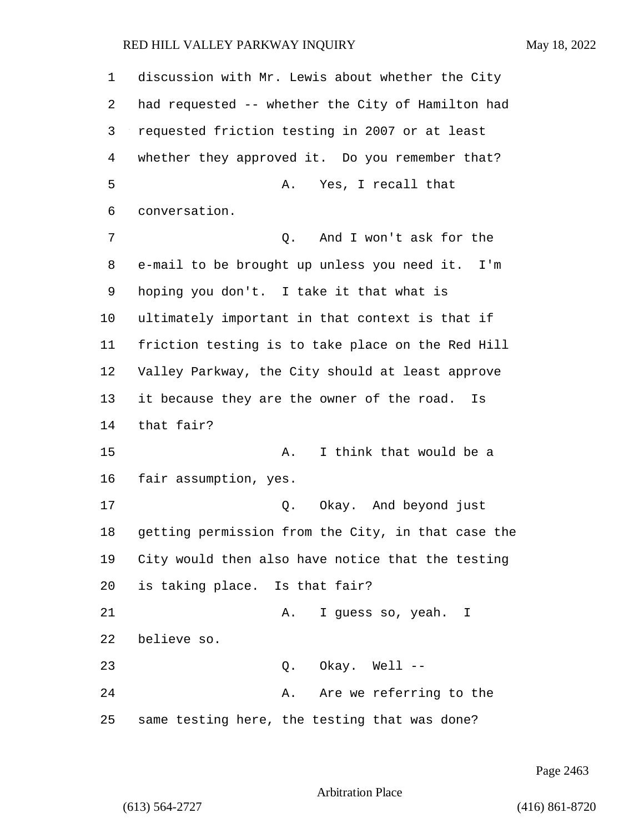discussion with Mr. Lewis about whether the City had requested -- whether the City of Hamilton had requested friction testing in 2007 or at least whether they approved it. Do you remember that? 5 A. Yes, I recall that conversation. 7 Q. And I won't ask for the e-mail to be brought up unless you need it. I'm hoping you don't. I take it that what is ultimately important in that context is that if friction testing is to take place on the Red Hill Valley Parkway, the City should at least approve it because they are the owner of the road. Is that fair? 15 A. I think that would be a fair assumption, yes. 17 Q. Okay. And beyond just getting permission from the City, in that case the City would then also have notice that the testing is taking place. Is that fair? 21 A. I guess so, yeah. I believe so. 23 Q. Okay. Well -- 24 A. Are we referring to the same testing here, the testing that was done?

Page 2463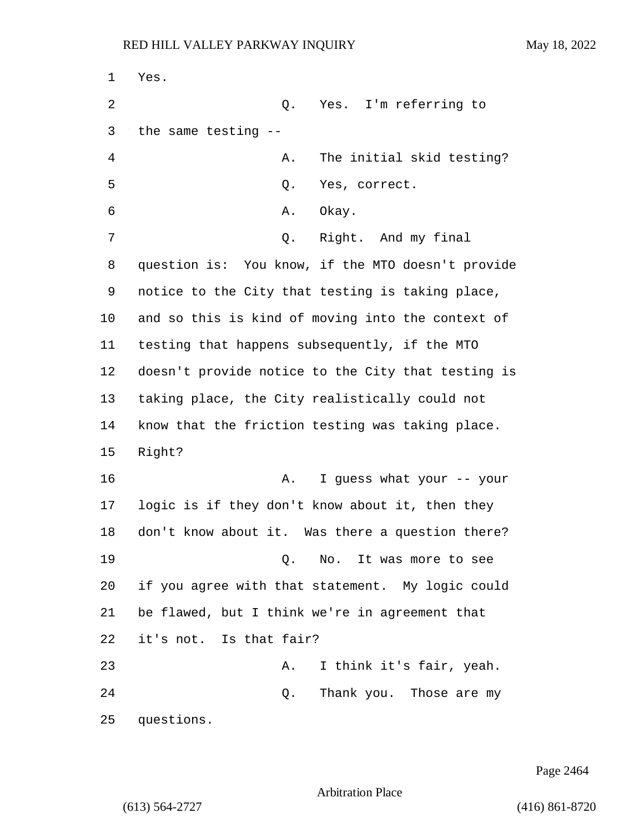1 Yes. 2 Q. Yes. I'm referring to 3 the same testing -- 4 A. The initial skid testing? 5 Q. Yes, correct. 6 A. Okay. 7 Q. Right. And my final 8 question is: You know, if the MTO doesn't provide 9 notice to the City that testing is taking place, 10 and so this is kind of moving into the context of 11 testing that happens subsequently, if the MTO 12 doesn't provide notice to the City that testing is 13 taking place, the City realistically could not 14 know that the friction testing was taking place. 15 Right? 16 A. I guess what your -- your 17 logic is if they don't know about it, then they 18 don't know about it. Was there a question there? 19 O. No. It was more to see 20 if you agree with that statement. My logic could 21 be flawed, but I think we're in agreement that 22 it's not. Is that fair? 23 A. I think it's fair, yeah. 24 Q. Thank you. Those are my 25 questions.

Page 2464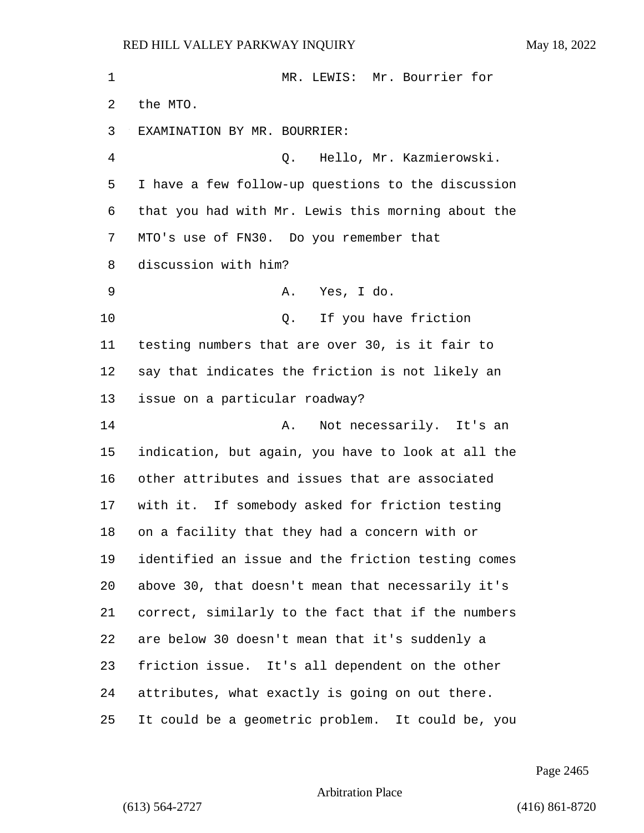| 1       | MR. LEWIS: Mr. Bourrier for                        |
|---------|----------------------------------------------------|
| 2       | the MTO.                                           |
| 3       | EXAMINATION BY MR. BOURRIER:                       |
| 4       | Hello, Mr. Kazmierowski.<br>Q.                     |
| 5       | I have a few follow-up questions to the discussion |
| 6       | that you had with Mr. Lewis this morning about the |
| 7       | MTO's use of FN30. Do you remember that            |
| 8       | discussion with him?                               |
| 9       | Yes, I do.<br>А.                                   |
| 10      | Q. If you have friction                            |
| 11      | testing numbers that are over 30, is it fair to    |
| 12      | say that indicates the friction is not likely an   |
| 13      | issue on a particular roadway?                     |
| 14      | Not necessarily. It's an<br>Α.                     |
| 15      | indication, but again, you have to look at all the |
| 16      | other attributes and issues that are associated    |
| 17      | with it. If somebody asked for friction testing    |
| 18      | on a facility that they had a concern with or      |
| 19      | identified an issue and the friction testing comes |
| $20 \,$ | above 30, that doesn't mean that necessarily it's  |
| 21      | correct, similarly to the fact that if the numbers |
| 22      | are below 30 doesn't mean that it's suddenly a     |
| 23      | friction issue. It's all dependent on the other    |
| 24      | attributes, what exactly is going on out there.    |
| 25      | It could be a geometric problem. It could be, you  |

Page 2465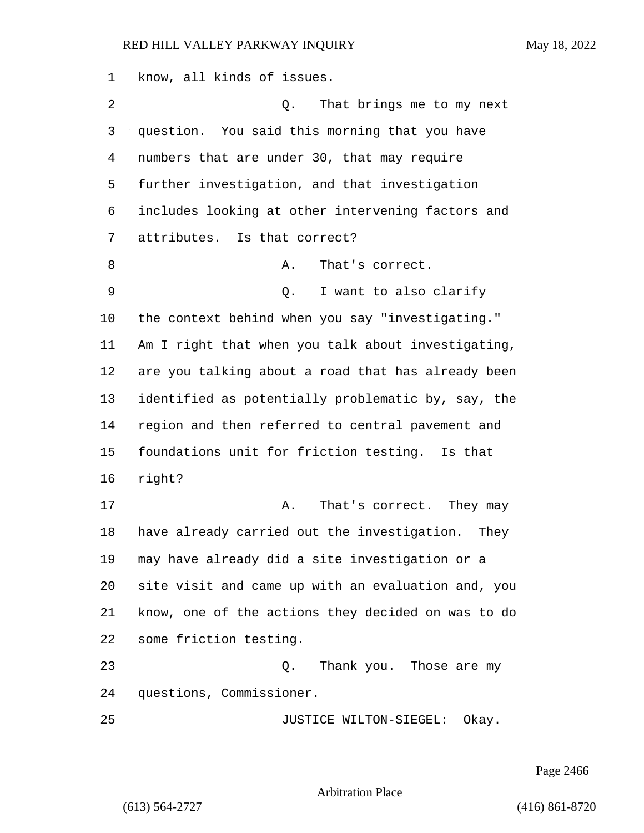know, all kinds of issues. 2 Q. That brings me to my next question. You said this morning that you have numbers that are under 30, that may require further investigation, and that investigation includes looking at other intervening factors and attributes. Is that correct? 8 A. That's correct. 9 Q. I want to also clarify the context behind when you say "investigating." Am I right that when you talk about investigating, are you talking about a road that has already been identified as potentially problematic by, say, the region and then referred to central pavement and foundations unit for friction testing. Is that right? 17 A. That's correct. They may have already carried out the investigation. They may have already did a site investigation or a site visit and came up with an evaluation and, you know, one of the actions they decided on was to do some friction testing. 23 Q. Thank you. Those are my questions, Commissioner. 25 JUSTICE WILTON-SIEGEL: Okay.

Page 2466